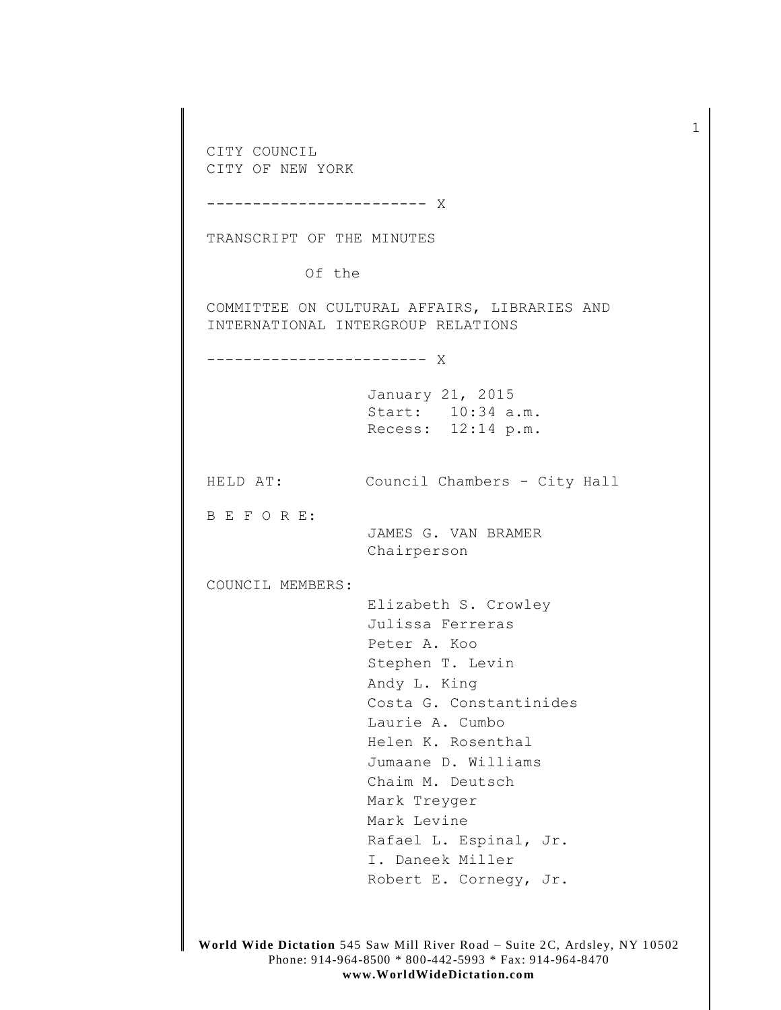CITY COUNCIL CITY OF NEW YORK ------------------------ X TRANSCRIPT OF THE MINUTES Of the COMMITTEE ON CULTURAL AFFAIRS, LIBRARIES AND INTERNATIONAL INTERGROUP RELATIONS ------------------------ X January 21, 2015 Start: 10:34 a.m. Recess: 12:14 p.m. HELD AT: Council Chambers - City Hall B E F O R E: JAMES G. VAN BRAMER Chairperson COUNCIL MEMBERS: Elizabeth S. Crowley Julissa Ferreras Peter A. Koo Stephen T. Levin Andy L. King Costa G. Constantinides Laurie A. Cumbo Helen K. Rosenthal Jumaane D. Williams Chaim M. Deutsch Mark Treyger Mark Levine Rafael L. Espinal, Jr. I. Daneek Miller Robert E. Cornegy, Jr.

1

**World Wide Dictation** 545 Saw Mill River Road – Suite 2C, Ardsley, NY 10502 Phone: 914-964-8500 \* 800-442-5993 \* Fax: 914-964-8470 **www.Worl dWideDicta tion.co m**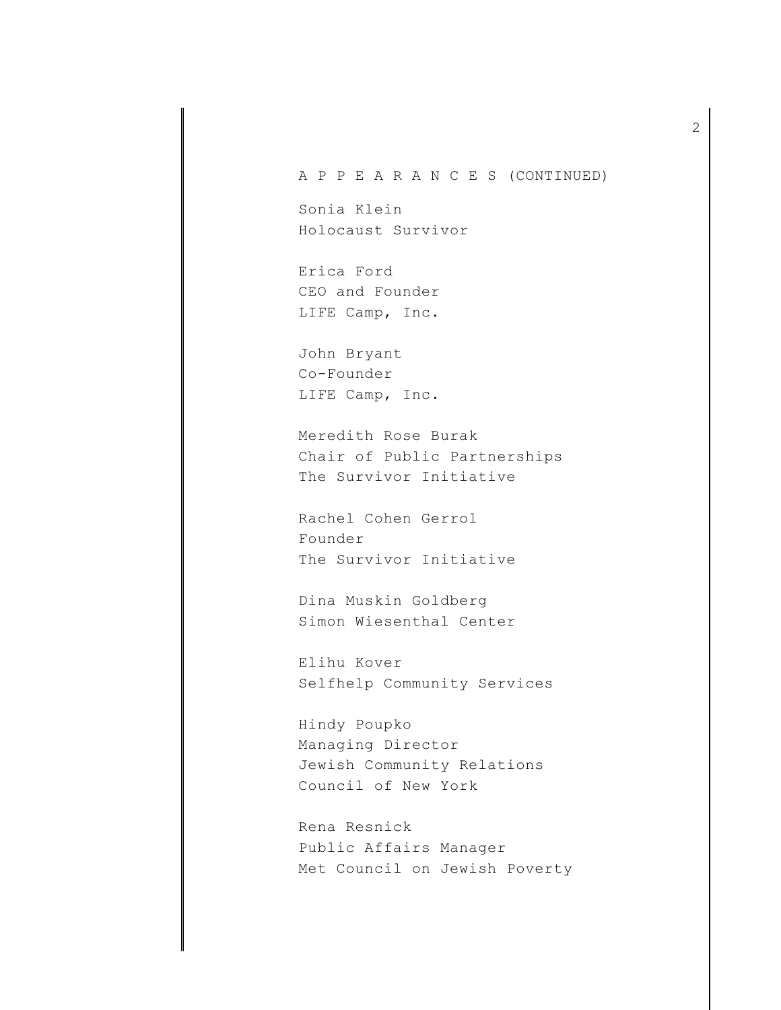## A P P E A R A N C E S (CONTINUED)

Sonia Klein Holocaust Survivor

Erica Ford CEO and Founder LIFE Camp, Inc.

John Bryant Co-Founder LIFE Camp, Inc.

Meredith Rose Burak Chair of Public Partnerships The Survivor Initiative

Rachel Cohen Gerrol Founder The Survivor Initiative

Dina Muskin Goldberg Simon Wiesenthal Center

Elihu Kover Selfhelp Community Services

Hindy Poupko Managing Director Jewish Community Relations Council of New York

Rena Resnick Public Affairs Manager Met Council on Jewish Poverty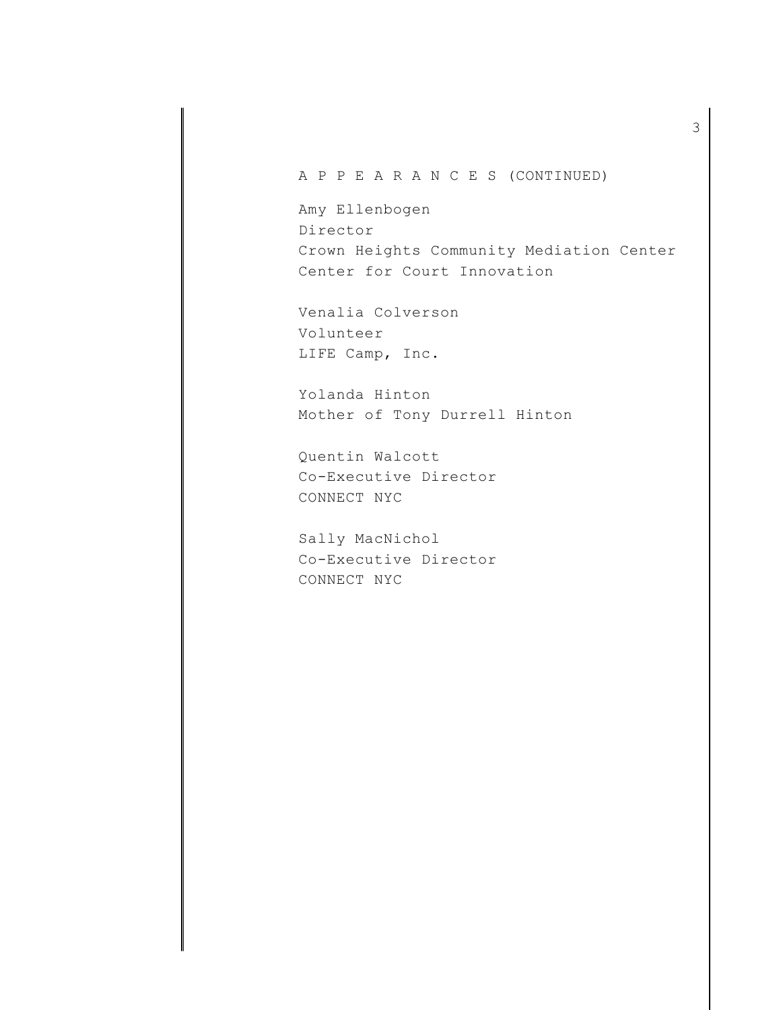## A P P E A R A N C E S (CONTINUED)

Amy Ellenbogen Director Crown Heights Community Mediation Center Center for Court Innovation

Venalia Colverson Volunteer LIFE Camp, Inc.

Yolanda Hinton Mother of Tony Durrell Hinton

Quentin Walcott Co-Executive Director CONNECT NYC

Sally MacNichol Co-Executive Director CONNECT NYC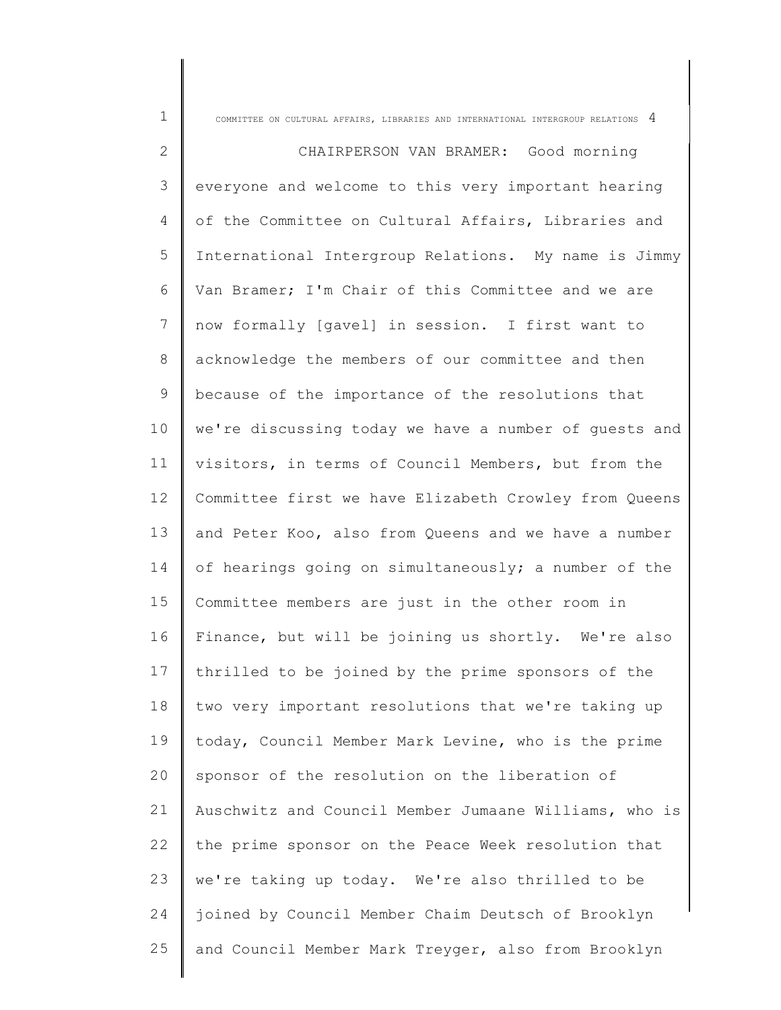| $\mathbf 1$  | COMMITTEE ON CULTURAL AFFAIRS, LIBRARIES AND INTERNATIONAL INTERGROUP RELATIONS $4$ |
|--------------|-------------------------------------------------------------------------------------|
| $\mathbf{2}$ | CHAIRPERSON VAN BRAMER: Good morning                                                |
| 3            | everyone and welcome to this very important hearing                                 |
| 4            | of the Committee on Cultural Affairs, Libraries and                                 |
| 5            | International Intergroup Relations. My name is Jimmy                                |
| 6            | Van Bramer; I'm Chair of this Committee and we are                                  |
| 7            | now formally [gavel] in session. I first want to                                    |
| $8\,$        | acknowledge the members of our committee and then                                   |
| $\mathsf 9$  | because of the importance of the resolutions that                                   |
| 10           | we're discussing today we have a number of quests and                               |
| 11           | visitors, in terms of Council Members, but from the                                 |
| 12           | Committee first we have Elizabeth Crowley from Queens                               |
| 13           | and Peter Koo, also from Queens and we have a number                                |
| 14           | of hearings going on simultaneously; a number of the                                |
| 15           | Committee members are just in the other room in                                     |
| 16           | Finance, but will be joining us shortly. We're also                                 |
| 17           | thrilled to be joined by the prime sponsors of the                                  |
| 18           | two very important resolutions that we're taking up                                 |
| 19           | today, Council Member Mark Levine, who is the prime                                 |
| 20           | sponsor of the resolution on the liberation of                                      |
| 21           | Auschwitz and Council Member Jumaane Williams, who is                               |
| 22           | the prime sponsor on the Peace Week resolution that                                 |
| 23           | we're taking up today. We're also thrilled to be                                    |
| 24           | joined by Council Member Chaim Deutsch of Brooklyn                                  |
| 25           | and Council Member Mark Treyger, also from Brooklyn                                 |
|              |                                                                                     |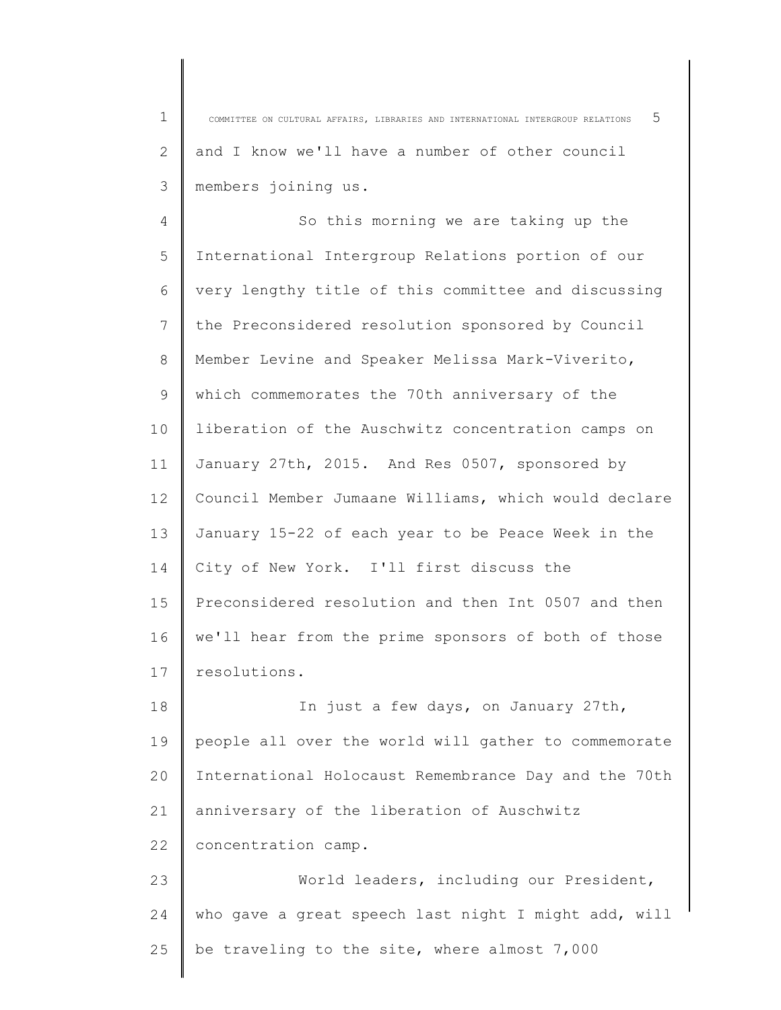1 2 3 COMMITTEE ON CULTURAL AFFAIRS, LIBRARIES AND INTERNATIONAL INTERGROUP RELATIONS 5 and I know we'll have a number of other council members joining us.

4 5 6 7 8 9 10 11 12 13 14 15 16 17 So this morning we are taking up the International Intergroup Relations portion of our very lengthy title of this committee and discussing the Preconsidered resolution sponsored by Council Member Levine and Speaker Melissa Mark-Viverito, which commemorates the 70th anniversary of the liberation of the Auschwitz concentration camps on January 27th, 2015. And Res 0507, sponsored by Council Member Jumaane Williams, which would declare January 15-22 of each year to be Peace Week in the City of New York. I'll first discuss the Preconsidered resolution and then Int 0507 and then we'll hear from the prime sponsors of both of those resolutions.

18 19  $20$ 21 22 In just a few days, on January 27th, people all over the world will gather to commemorate International Holocaust Remembrance Day and the 70th anniversary of the liberation of Auschwitz concentration camp.

23 24 25 World leaders, including our President, who gave a great speech last night I might add, will be traveling to the site, where almost 7,000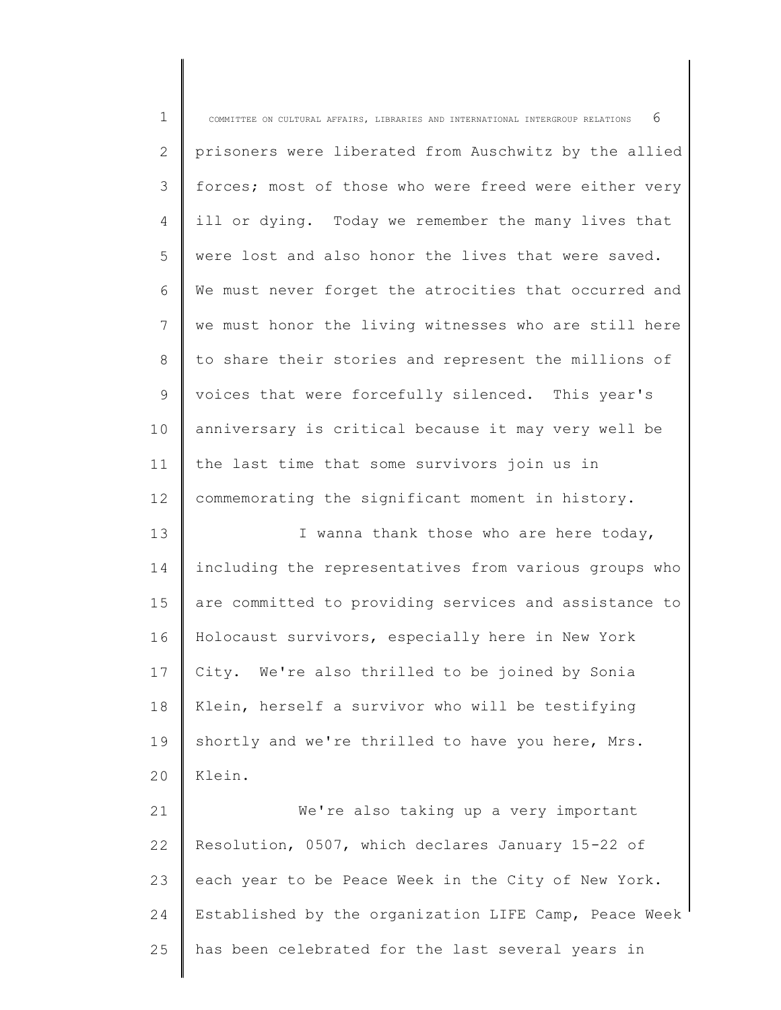| $\mathbf 1$ | 6<br>COMMITTEE ON CULTURAL AFFAIRS, LIBRARIES AND INTERNATIONAL INTERGROUP RELATIONS |
|-------------|--------------------------------------------------------------------------------------|
| 2           | prisoners were liberated from Auschwitz by the allied                                |
| 3           | forces; most of those who were freed were either very                                |
| 4           | ill or dying. Today we remember the many lives that                                  |
| 5           | were lost and also honor the lives that were saved.                                  |
| 6           | We must never forget the atrocities that occurred and                                |
| 7           | we must honor the living witnesses who are still here                                |
| 8           | to share their stories and represent the millions of                                 |
| 9           | voices that were forcefully silenced. This year's                                    |
| 10          | anniversary is critical because it may very well be                                  |
| 11          | the last time that some survivors join us in                                         |
| 12          | commemorating the significant moment in history.                                     |
| 13          | I wanna thank those who are here today,                                              |
| 14          | including the representatives from various groups who                                |
| 15          | are committed to providing services and assistance to                                |
| 16          | Holocaust survivors, especially here in New York                                     |
| 17          | City. We're also thrilled to be joined by Sonia                                      |
| 18          | Klein, herself a survivor who will be testifying                                     |
| 19          | shortly and we're thrilled to have you here, Mrs.                                    |
| 20          | Klein.                                                                               |
| 21          | We're also taking up a very important                                                |
| 22          | Resolution, 0507, which declares January 15-22 of                                    |
| 23          | each year to be Peace Week in the City of New York.                                  |
| 24          | Established by the organization LIFE Camp, Peace Week                                |
| 25          | has been celebrated for the last several years in                                    |
|             |                                                                                      |

∥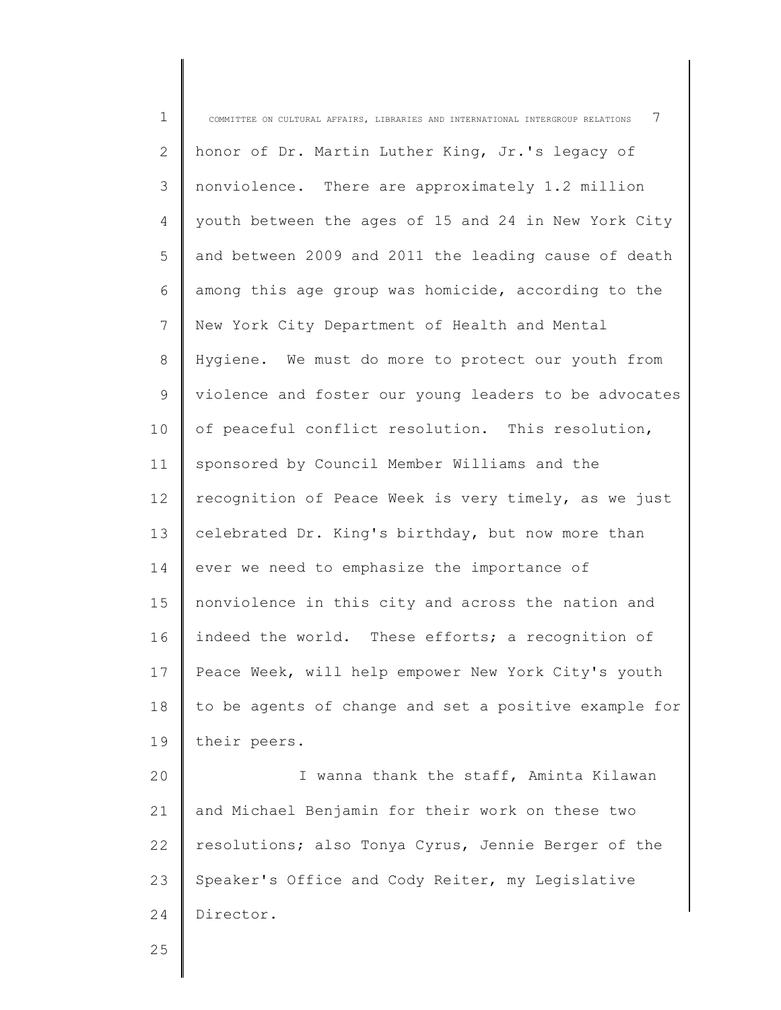| $\mathbf 1$  | 7<br>COMMITTEE ON CULTURAL AFFAIRS, LIBRARIES AND INTERNATIONAL INTERGROUP RELATIONS |
|--------------|--------------------------------------------------------------------------------------|
| $\mathbf{2}$ | honor of Dr. Martin Luther King, Jr.'s legacy of                                     |
| 3            | nonviolence. There are approximately 1.2 million                                     |
| 4            | youth between the ages of 15 and 24 in New York City                                 |
| 5            | and between 2009 and 2011 the leading cause of death                                 |
| 6            | among this age group was homicide, according to the                                  |
| 7            | New York City Department of Health and Mental                                        |
| 8            | Hygiene. We must do more to protect our youth from                                   |
| 9            | violence and foster our young leaders to be advocates                                |
| 10           | of peaceful conflict resolution. This resolution,                                    |
| 11           | sponsored by Council Member Williams and the                                         |
| 12           | recognition of Peace Week is very timely, as we just                                 |
| 13           | celebrated Dr. King's birthday, but now more than                                    |
| 14           | ever we need to emphasize the importance of                                          |
| 15           | nonviolence in this city and across the nation and                                   |
| 16           | indeed the world. These efforts; a recognition of                                    |
| 17           | Peace Week, will help empower New York City's youth                                  |
| 18           | to be agents of change and set a positive example for                                |
| 19           | their peers.                                                                         |
| 20           | I wanna thank the staff, Aminta Kilawan                                              |
| 21           | and Michael Benjamin for their work on these two                                     |
| 22           | resolutions; also Tonya Cyrus, Jennie Berger of the                                  |
| 23           | Speaker's Office and Cody Reiter, my Legislative                                     |
| 24           | Director.                                                                            |
| 25           |                                                                                      |
|              |                                                                                      |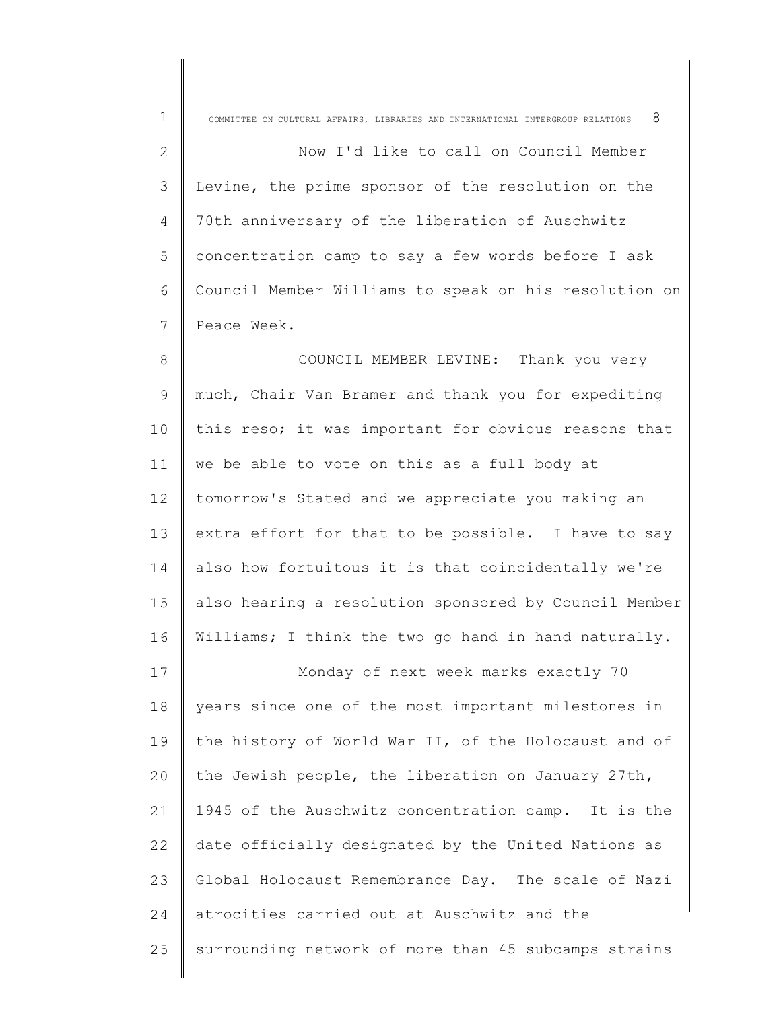| $\mathbf 1$  | 8<br>COMMITTEE ON CULTURAL AFFAIRS, LIBRARIES AND INTERNATIONAL INTERGROUP RELATIONS |
|--------------|--------------------------------------------------------------------------------------|
| $\mathbf{2}$ | Now I'd like to call on Council Member                                               |
| 3            | Levine, the prime sponsor of the resolution on the                                   |
| 4            | 70th anniversary of the liberation of Auschwitz                                      |
| 5            | concentration camp to say a few words before I ask                                   |
| 6            | Council Member Williams to speak on his resolution on                                |
| 7            | Peace Week.                                                                          |
| 8            | COUNCIL MEMBER LEVINE: Thank you very                                                |
| $\mathsf 9$  | much, Chair Van Bramer and thank you for expediting                                  |
| 10           | this reso; it was important for obvious reasons that                                 |
| 11           | we be able to vote on this as a full body at                                         |
| 12           | tomorrow's Stated and we appreciate you making an                                    |
| 13           | extra effort for that to be possible. I have to say                                  |
| 14           | also how fortuitous it is that coincidentally we're                                  |
| 15           | also hearing a resolution sponsored by Council Member                                |
| 16           | Williams; I think the two go hand in hand naturally.                                 |
| 17           | Monday of next week marks exactly 70                                                 |
| 18           | years since one of the most important milestones in                                  |
| 19           | the history of World War II, of the Holocaust and of                                 |
| 20           | the Jewish people, the liberation on January 27th,                                   |
| 21           | 1945 of the Auschwitz concentration camp. It is the                                  |
| 22           | date officially designated by the United Nations as                                  |
| 23           | Global Holocaust Remembrance Day. The scale of Nazi                                  |
| 24           | atrocities carried out at Auschwitz and the                                          |
| 25           | surrounding network of more than 45 subcamps strains                                 |
|              |                                                                                      |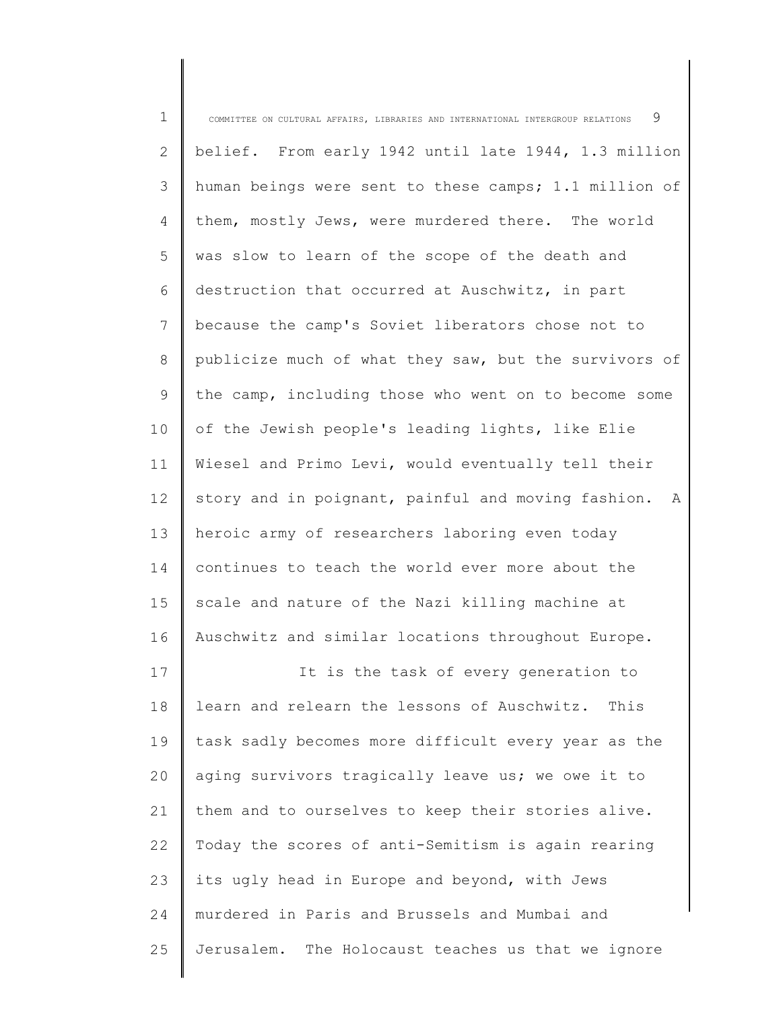| $\mathbf 1$ | 9<br>COMMITTEE ON CULTURAL AFFAIRS, LIBRARIES AND INTERNATIONAL INTERGROUP RELATIONS |
|-------------|--------------------------------------------------------------------------------------|
| 2           | belief. From early 1942 until late 1944, 1.3 million                                 |
| 3           | human beings were sent to these camps; 1.1 million of                                |
| 4           | them, mostly Jews, were murdered there. The world                                    |
| 5           | was slow to learn of the scope of the death and                                      |
| 6           | destruction that occurred at Auschwitz, in part                                      |
| 7           | because the camp's Soviet liberators chose not to                                    |
| 8           | publicize much of what they saw, but the survivors of                                |
| 9           | the camp, including those who went on to become some                                 |
| 10          | of the Jewish people's leading lights, like Elie                                     |
| 11          | Wiesel and Primo Levi, would eventually tell their                                   |
| 12          | story and in poignant, painful and moving fashion.<br>A                              |
| 13          | heroic army of researchers laboring even today                                       |
| 14          | continues to teach the world ever more about the                                     |
| 15          | scale and nature of the Nazi killing machine at                                      |
| 16          | Auschwitz and similar locations throughout Europe.                                   |
| 17          | It is the task of every generation to                                                |
| 18          | learn and relearn the lessons of Auschwitz.<br>This                                  |
| 19          | task sadly becomes more difficult every year as the                                  |
| 20          | aging survivors tragically leave us; we owe it to                                    |
| 21          | them and to ourselves to keep their stories alive.                                   |
| 22          | Today the scores of anti-Semitism is again rearing                                   |
| 23          | its ugly head in Europe and beyond, with Jews                                        |
| 24          | murdered in Paris and Brussels and Mumbai and                                        |
| 25          | Jerusalem. The Holocaust teaches us that we ignore                                   |
|             |                                                                                      |

║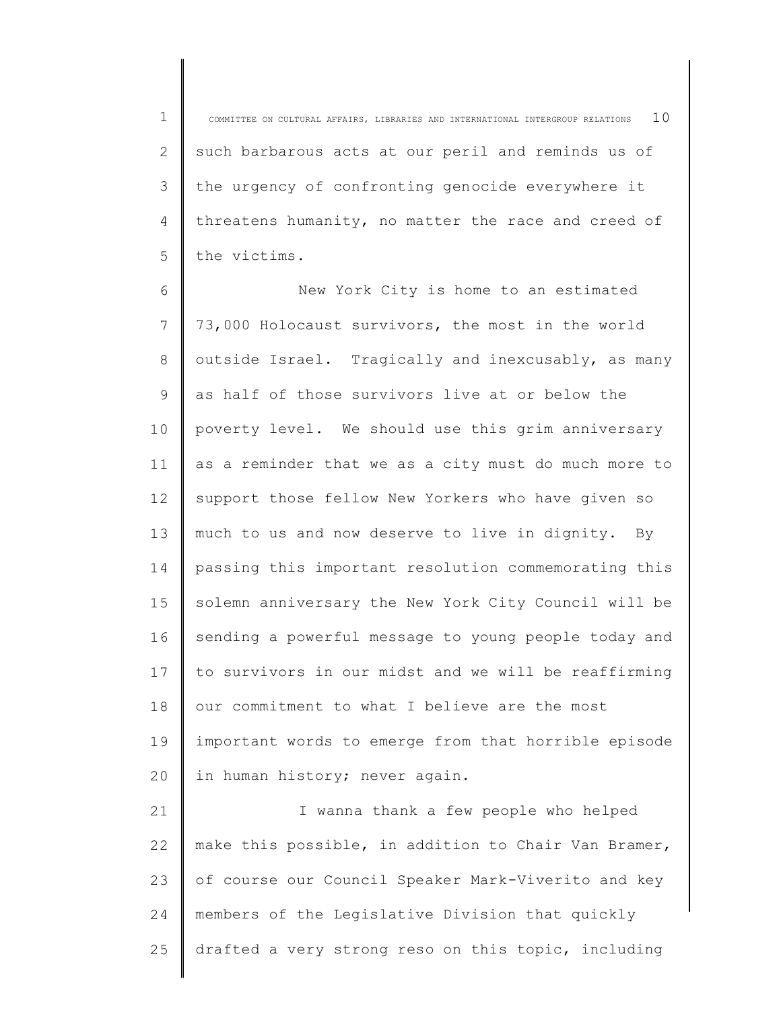1 2 3 4 5 COMMITTEE ON CULTURAL AFFAIRS, LIBRARIES AND INTERNATIONAL INTERGROUP RELATIONS  $10$ such barbarous acts at our peril and reminds us of the urgency of confronting genocide everywhere it threatens humanity, no matter the race and creed of the victims.

6 7 8 9 10 11 12 13 14 15 16 17 18 19 20 New York City is home to an estimated 73,000 Holocaust survivors, the most in the world outside Israel. Tragically and inexcusably, as many as half of those survivors live at or below the poverty level. We should use this grim anniversary as a reminder that we as a city must do much more to support those fellow New Yorkers who have given so much to us and now deserve to live in dignity. By passing this important resolution commemorating this solemn anniversary the New York City Council will be sending a powerful message to young people today and to survivors in our midst and we will be reaffirming our commitment to what I believe are the most important words to emerge from that horrible episode in human history; never again.

21 22 23 24 25 I wanna thank a few people who helped make this possible, in addition to Chair Van Bramer, of course our Council Speaker Mark-Viverito and key members of the Legislative Division that quickly drafted a very strong reso on this topic, including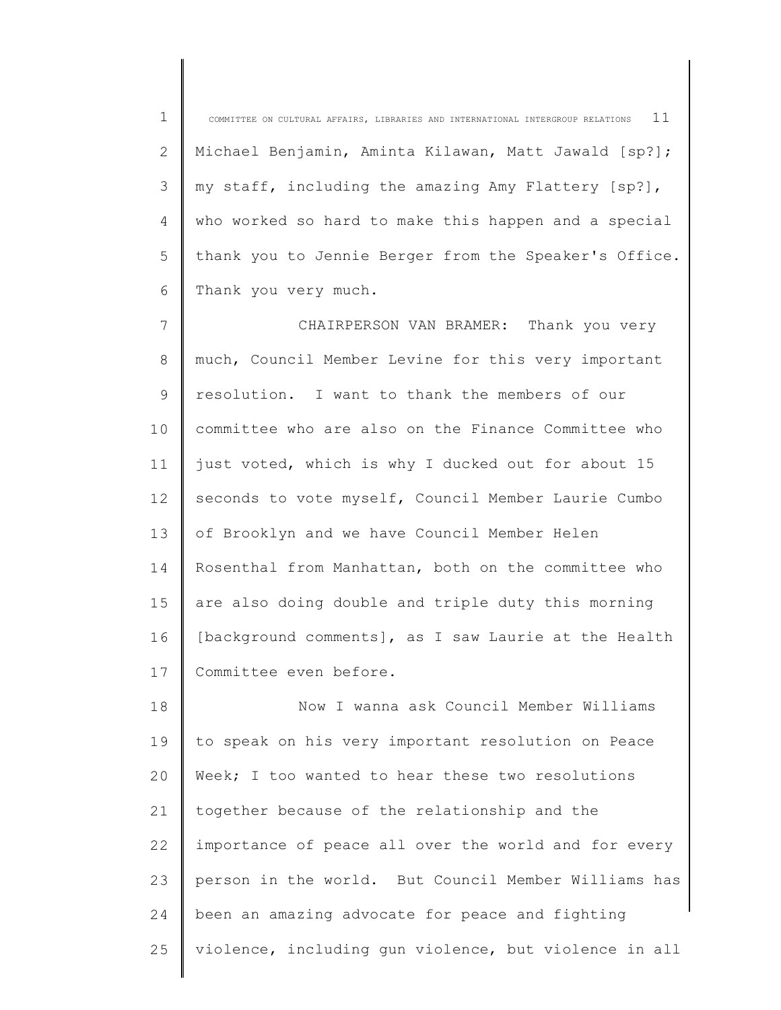1 2 3 4 5 6 COMMITTEE ON CULTURAL AFFAIRS, LIBRARIES AND INTERNATIONAL INTERGROUP RELATIONS  $\;$  11 Michael Benjamin, Aminta Kilawan, Matt Jawald [sp?]; my staff, including the amazing Amy Flattery [sp?], who worked so hard to make this happen and a special thank you to Jennie Berger from the Speaker's Office. Thank you very much.

7 8 9 10 11 12 13 14 15 16 17 CHAIRPERSON VAN BRAMER: Thank you very much, Council Member Levine for this very important resolution. I want to thank the members of our committee who are also on the Finance Committee who just voted, which is why I ducked out for about 15 seconds to vote myself, Council Member Laurie Cumbo of Brooklyn and we have Council Member Helen Rosenthal from Manhattan, both on the committee who are also doing double and triple duty this morning [background comments], as I saw Laurie at the Health Committee even before.

18 19 20 21 22 23 24 25 Now I wanna ask Council Member Williams to speak on his very important resolution on Peace Week; I too wanted to hear these two resolutions together because of the relationship and the importance of peace all over the world and for every person in the world. But Council Member Williams has been an amazing advocate for peace and fighting violence, including gun violence, but violence in all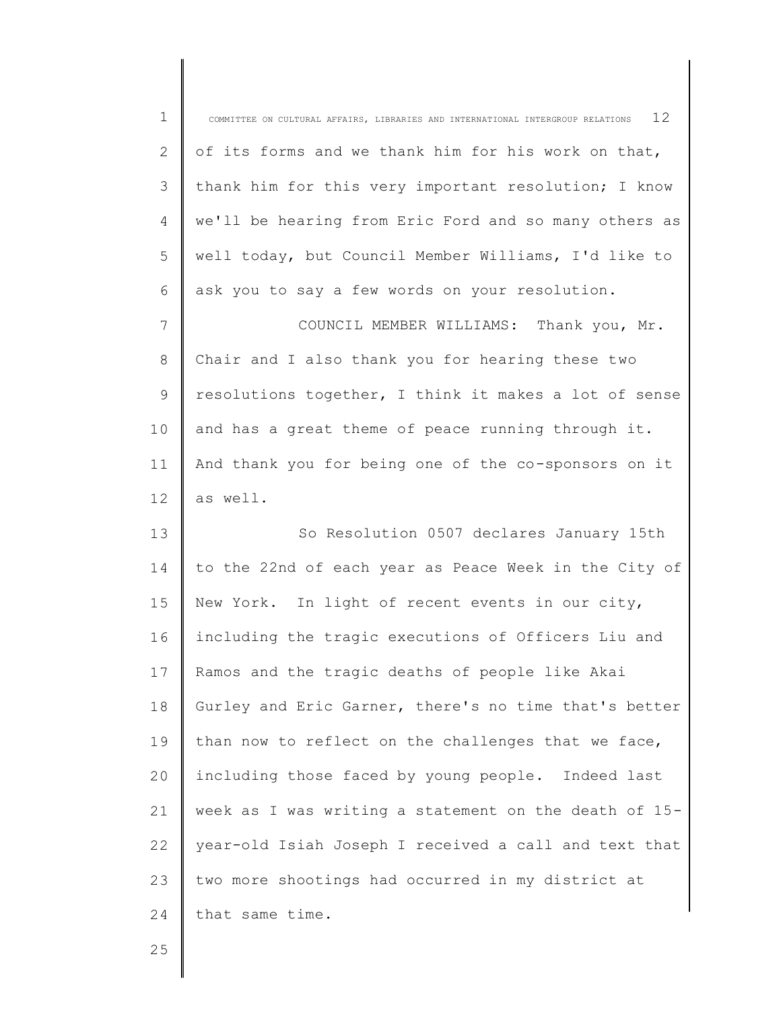| $\mathbf 1$     | 12<br>COMMITTEE ON CULTURAL AFFAIRS, LIBRARIES AND INTERNATIONAL INTERGROUP RELATIONS |
|-----------------|---------------------------------------------------------------------------------------|
| 2               | of its forms and we thank him for his work on that,                                   |
| 3               | thank him for this very important resolution; I know                                  |
| 4               | we'll be hearing from Eric Ford and so many others as                                 |
| 5               | well today, but Council Member Williams, I'd like to                                  |
| 6               | ask you to say a few words on your resolution.                                        |
| $7\phantom{.0}$ | COUNCIL MEMBER WILLIAMS: Thank you, Mr.                                               |
| 8               | Chair and I also thank you for hearing these two                                      |
| 9               | resolutions together, I think it makes a lot of sense                                 |
| 10              | and has a great theme of peace running through it.                                    |
| 11              | And thank you for being one of the co-sponsors on it                                  |
| 12              | as well.                                                                              |
| 13              | So Resolution 0507 declares January 15th                                              |
| 14              | to the 22nd of each year as Peace Week in the City of                                 |
| 15              | New York. In light of recent events in our city,                                      |
| 16              | including the tragic executions of Officers Liu and                                   |
| 17              | Ramos and the tragic deaths of people like Akai                                       |
| 18              | Gurley and Eric Garner, there's no time that's better                                 |
| 19              | than now to reflect on the challenges that we face,                                   |
| 20              | including those faced by young people. Indeed last                                    |
| 21              | week as I was writing a statement on the death of 15-                                 |
| 22              |                                                                                       |
|                 | year-old Isiah Joseph I received a call and text that                                 |
| 23              | two more shootings had occurred in my district at                                     |
| 24              | that same time.                                                                       |

25

Ι

∥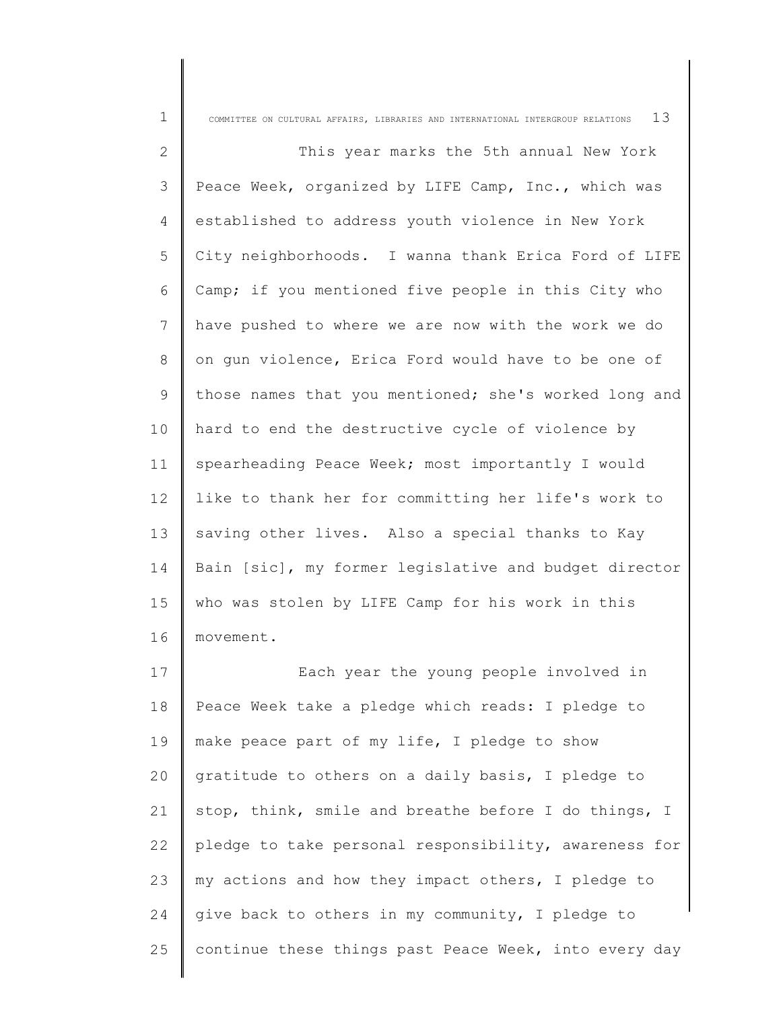| $\mathbf 1$ | 13<br>COMMITTEE ON CULTURAL AFFAIRS, LIBRARIES AND INTERNATIONAL INTERGROUP RELATIONS |
|-------------|---------------------------------------------------------------------------------------|
| 2           | This year marks the 5th annual New York                                               |
| 3           | Peace Week, organized by LIFE Camp, Inc., which was                                   |
| 4           | established to address youth violence in New York                                     |
| 5           | City neighborhoods. I wanna thank Erica Ford of LIFE                                  |
| 6           | Camp; if you mentioned five people in this City who                                   |
| 7           | have pushed to where we are now with the work we do                                   |
| 8           | on gun violence, Erica Ford would have to be one of                                   |
| 9           | those names that you mentioned; she's worked long and                                 |
| 10          | hard to end the destructive cycle of violence by                                      |
| 11          | spearheading Peace Week; most importantly I would                                     |
| 12          | like to thank her for committing her life's work to                                   |
| 13          | saving other lives. Also a special thanks to Kay                                      |
| 14          | Bain [sic], my former legislative and budget director                                 |
| 15          | who was stolen by LIFE Camp for his work in this                                      |
| 16          | movement.                                                                             |
| 17          | Each year the young people involved in                                                |
| 18          | Peace Week take a pledge which reads: I pledge to                                     |
| 19          | make peace part of my life, I pledge to show                                          |
| 20          | gratitude to others on a daily basis, I pledge to                                     |
| 21          | stop, think, smile and breathe before I do things, I                                  |
| 22          | pledge to take personal responsibility, awareness for                                 |
| 23          | my actions and how they impact others, I pledge to                                    |
| 24          | give back to others in my community, I pledge to                                      |
| 25          | continue these things past Peace Week, into every day                                 |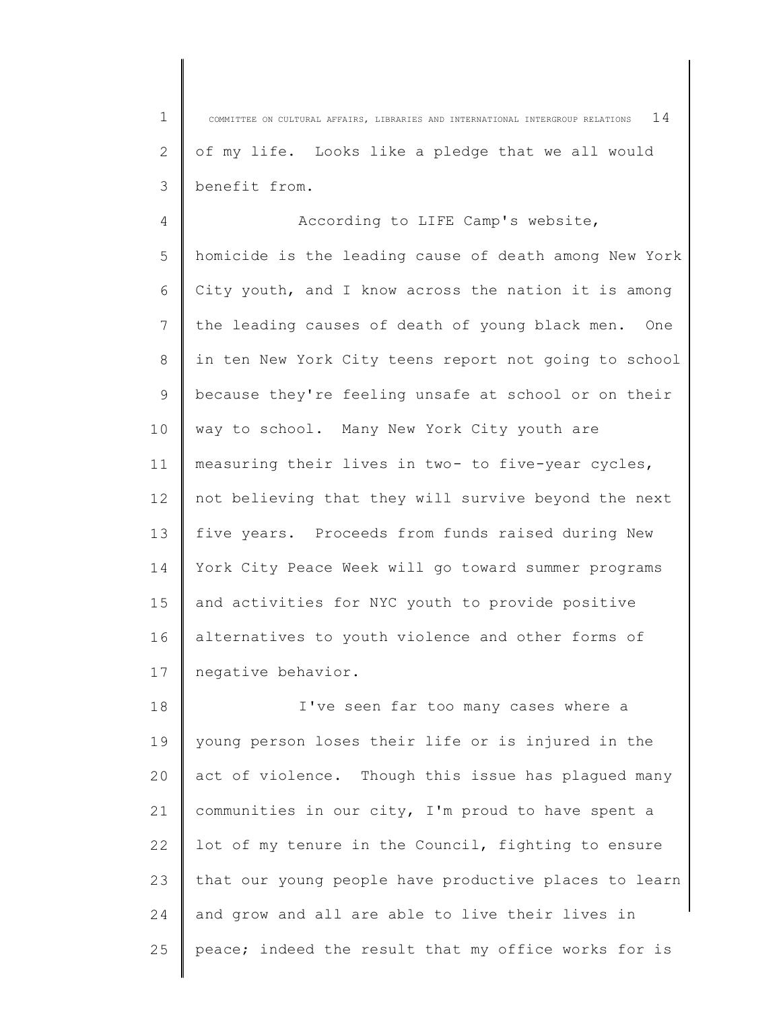1 2 3 COMMITTEE ON CULTURAL AFFAIRS, LIBRARIES AND INTERNATIONAL INTERGROUP RELATIONS  $1\,4$ of my life. Looks like a pledge that we all would benefit from.

4 5 6 7 8 9 10 11 12 13 14 15 16 17 According to LIFE Camp's website, homicide is the leading cause of death among New York City youth, and I know across the nation it is among the leading causes of death of young black men. One in ten New York City teens report not going to school because they're feeling unsafe at school or on their way to school. Many New York City youth are measuring their lives in two- to five-year cycles, not believing that they will survive beyond the next five years. Proceeds from funds raised during New York City Peace Week will go toward summer programs and activities for NYC youth to provide positive alternatives to youth violence and other forms of negative behavior.

18 19  $20$ 21 22 23 24 25 I've seen far too many cases where a young person loses their life or is injured in the act of violence. Though this issue has plagued many communities in our city, I'm proud to have spent a lot of my tenure in the Council, fighting to ensure that our young people have productive places to learn and grow and all are able to live their lives in peace; indeed the result that my office works for is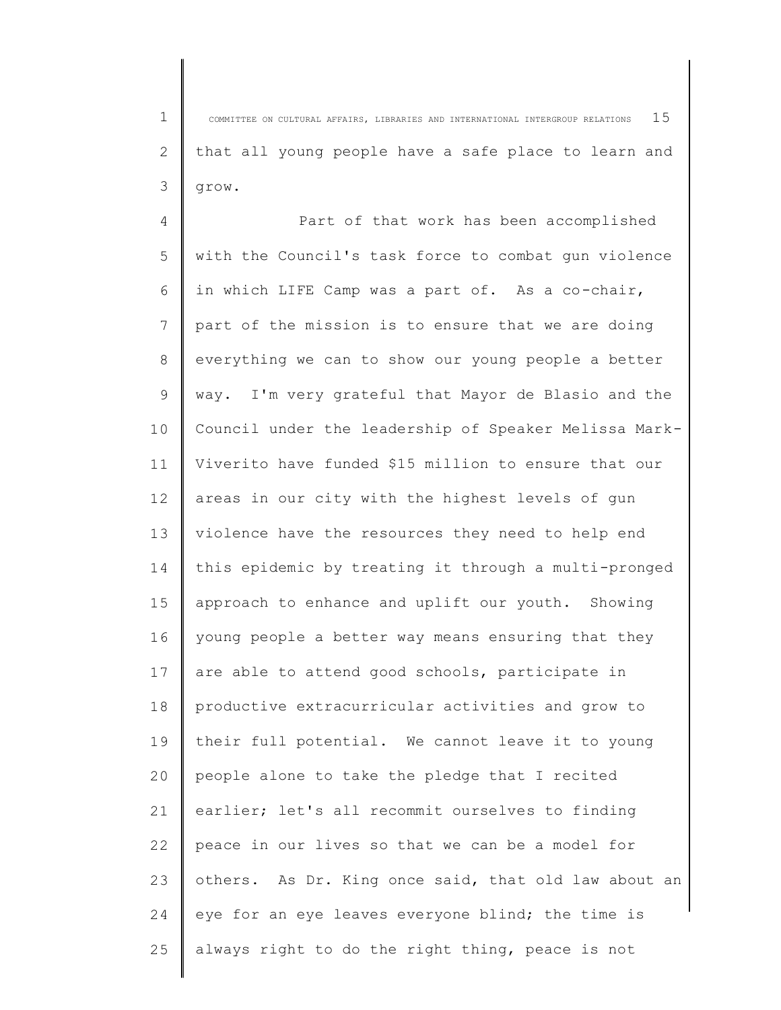1 2 3 COMMITTEE ON CULTURAL AFFAIRS, LIBRARIES AND INTERNATIONAL INTERGROUP RELATIONS  $15$ that all young people have a safe place to learn and grow.

4 5 6 7 8 9 10 11 12 13 14 15 16 17 18 19 20 21 22 23 24 25 Part of that work has been accomplished with the Council's task force to combat gun violence in which LIFE Camp was a part of. As a co-chair, part of the mission is to ensure that we are doing everything we can to show our young people a better way. I'm very grateful that Mayor de Blasio and the Council under the leadership of Speaker Melissa Mark-Viverito have funded \$15 million to ensure that our areas in our city with the highest levels of gun violence have the resources they need to help end this epidemic by treating it through a multi-pronged approach to enhance and uplift our youth. Showing young people a better way means ensuring that they are able to attend good schools, participate in productive extracurricular activities and grow to their full potential. We cannot leave it to young people alone to take the pledge that I recited earlier; let's all recommit ourselves to finding peace in our lives so that we can be a model for others. As Dr. King once said, that old law about an eye for an eye leaves everyone blind; the time is always right to do the right thing, peace is not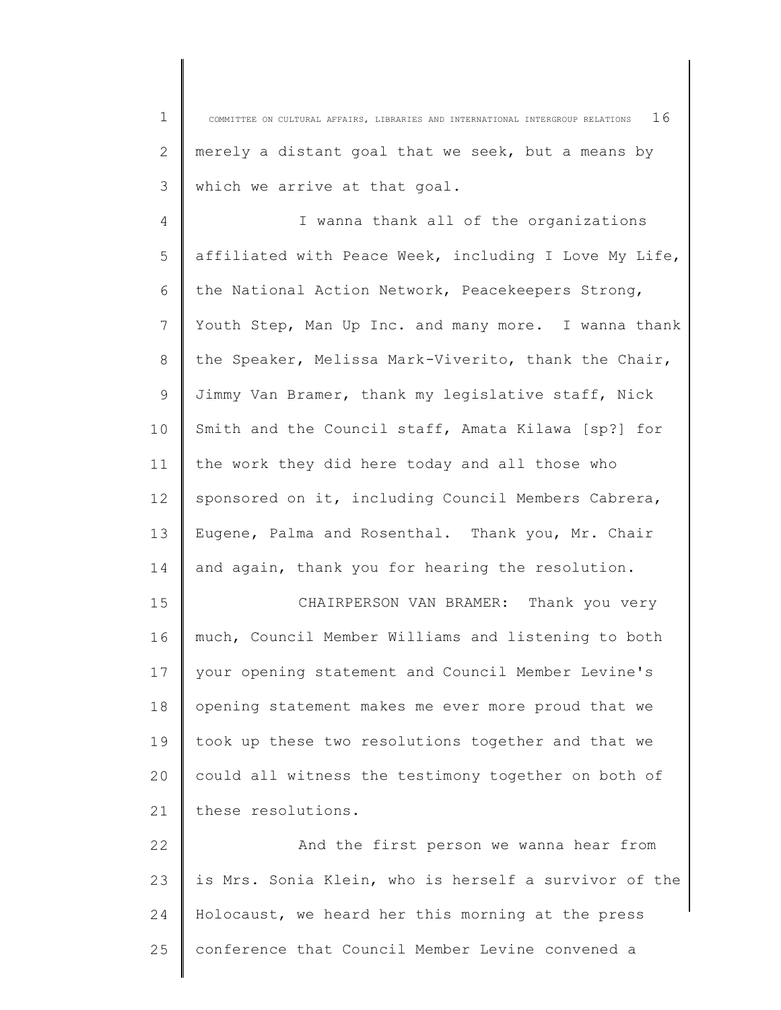1 2 3 COMMITTEE ON CULTURAL AFFAIRS, LIBRARIES AND INTERNATIONAL INTERGROUP RELATIONS  $16$ merely a distant goal that we seek, but a means by which we arrive at that goal.

4 5 6 7 8 9 10 11 12 13 14 I wanna thank all of the organizations affiliated with Peace Week, including I Love My Life, the National Action Network, Peacekeepers Strong, Youth Step, Man Up Inc. and many more. I wanna thank the Speaker, Melissa Mark-Viverito, thank the Chair, Jimmy Van Bramer, thank my legislative staff, Nick Smith and the Council staff, Amata Kilawa [sp?] for the work they did here today and all those who sponsored on it, including Council Members Cabrera, Eugene, Palma and Rosenthal. Thank you, Mr. Chair and again, thank you for hearing the resolution.

15 16 17 18 19 20 21 CHAIRPERSON VAN BRAMER: Thank you very much, Council Member Williams and listening to both your opening statement and Council Member Levine's opening statement makes me ever more proud that we took up these two resolutions together and that we could all witness the testimony together on both of these resolutions.

22 23 24 25 And the first person we wanna hear from is Mrs. Sonia Klein, who is herself a survivor of the Holocaust, we heard her this morning at the press conference that Council Member Levine convened a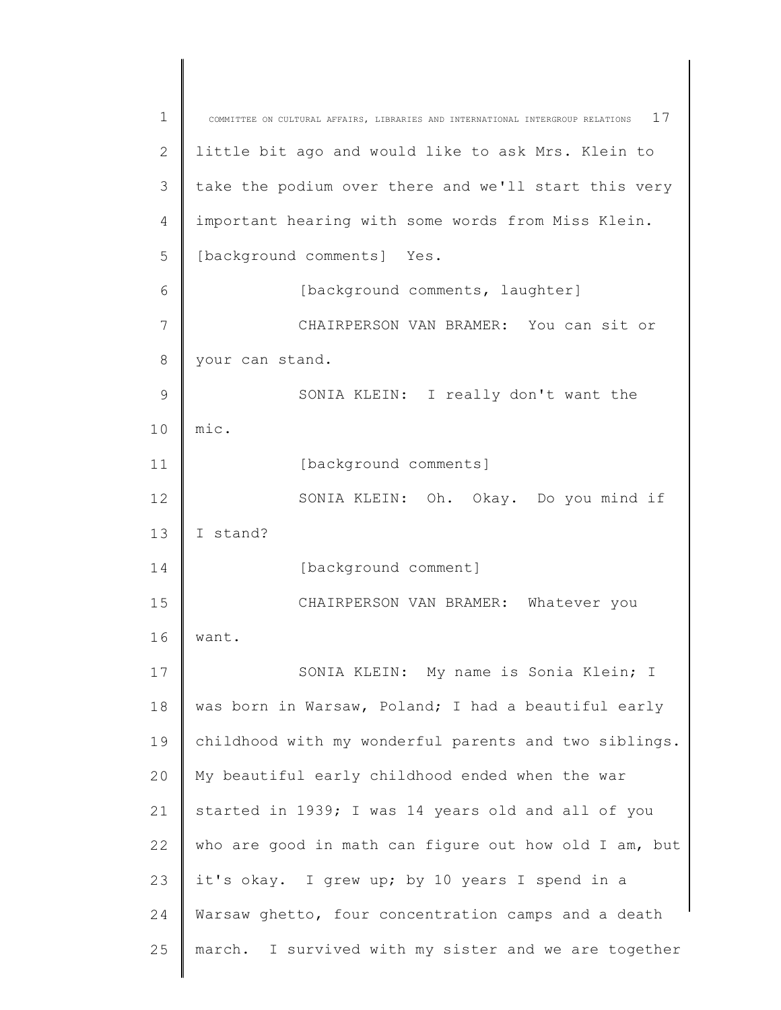| 1  | 17<br>COMMITTEE ON CULTURAL AFFAIRS, LIBRARIES AND INTERNATIONAL INTERGROUP RELATIONS |
|----|---------------------------------------------------------------------------------------|
| 2  | little bit ago and would like to ask Mrs. Klein to                                    |
| 3  | take the podium over there and we'll start this very                                  |
| 4  | important hearing with some words from Miss Klein.                                    |
| 5  | [background comments] Yes.                                                            |
| 6  | [background comments, laughter]                                                       |
| 7  | CHAIRPERSON VAN BRAMER: You can sit or                                                |
| 8  | your can stand.                                                                       |
| 9  | SONIA KLEIN: I really don't want the                                                  |
| 10 | mic.                                                                                  |
| 11 | [background comments]                                                                 |
| 12 | SONIA KLEIN: Oh. Okay. Do you mind if                                                 |
| 13 | I stand?                                                                              |
| 14 | [background comment]                                                                  |
| 15 | CHAIRPERSON VAN BRAMER: Whatever you                                                  |
| 16 | want.                                                                                 |
| 17 | SONIA KLEIN: My name is Sonia Klein; I                                                |
| 18 | was born in Warsaw, Poland; I had a beautiful early                                   |
| 19 | childhood with my wonderful parents and two siblings.                                 |
| 20 | My beautiful early childhood ended when the war                                       |
| 21 | started in 1939; I was 14 years old and all of you                                    |
| 22 | who are good in math can figure out how old I am, but                                 |
| 23 | it's okay. I grew up; by 10 years I spend in a                                        |
| 24 | Warsaw ghetto, four concentration camps and a death                                   |
| 25 | march. I survived with my sister and we are together                                  |
|    |                                                                                       |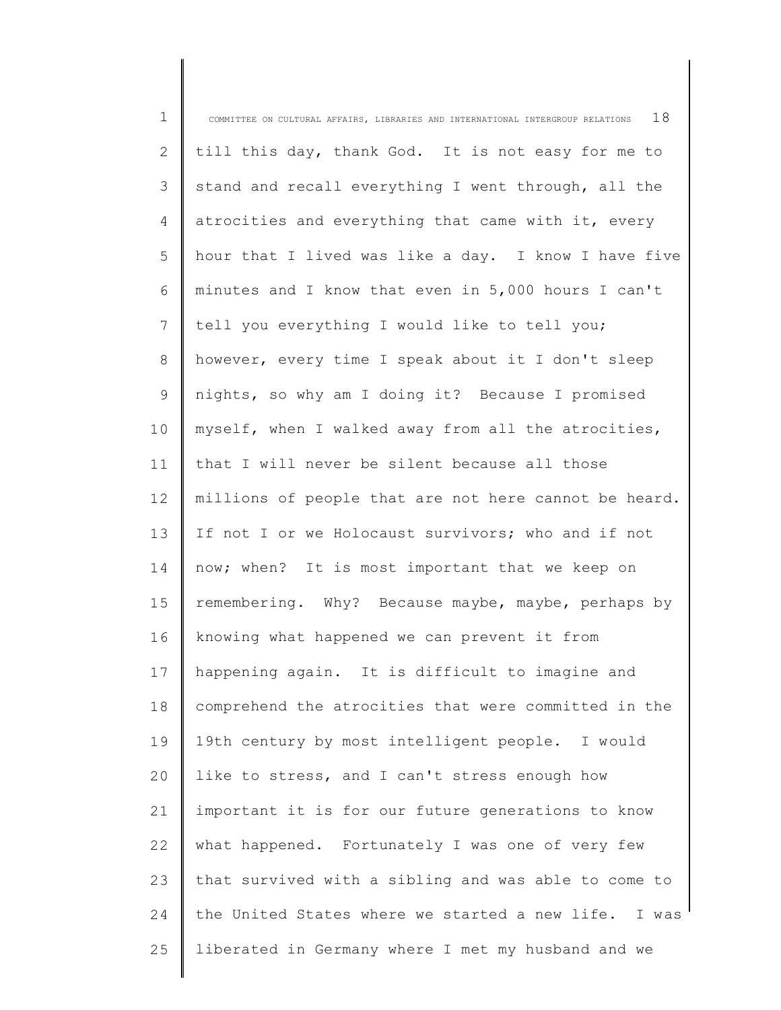| $\mathbf 1$ | 18<br>COMMITTEE ON CULTURAL AFFAIRS, LIBRARIES AND INTERNATIONAL INTERGROUP RELATIONS |
|-------------|---------------------------------------------------------------------------------------|
| 2           | till this day, thank God. It is not easy for me to                                    |
| 3           | stand and recall everything I went through, all the                                   |
| 4           | atrocities and everything that came with it, every                                    |
| 5           | hour that I lived was like a day. I know I have five                                  |
| 6           | minutes and I know that even in 5,000 hours I can't                                   |
| 7           | tell you everything I would like to tell you;                                         |
| 8           | however, every time I speak about it I don't sleep                                    |
| 9           | nights, so why am I doing it? Because I promised                                      |
| 10          | myself, when I walked away from all the atrocities,                                   |
| 11          | that I will never be silent because all those                                         |
| 12          | millions of people that are not here cannot be heard.                                 |
| 13          | If not I or we Holocaust survivors; who and if not                                    |
| 14          | now; when? It is most important that we keep on                                       |
| 15          | remembering. Why? Because maybe, maybe, perhaps by                                    |
| 16          | knowing what happened we can prevent it from                                          |
| 17          | happening again. It is difficult to imagine and                                       |
| 18          | comprehend the atrocities that were committed in the                                  |
| 19          | 19th century by most intelligent people. I would                                      |
| 20          | like to stress, and I can't stress enough how                                         |
| 21          | important it is for our future generations to know                                    |
| 22          | what happened. Fortunately I was one of very few                                      |
| 23          | that survived with a sibling and was able to come to                                  |
| 24          | the United States where we started a new life. I was                                  |
| 25          | liberated in Germany where I met my husband and we                                    |
|             |                                                                                       |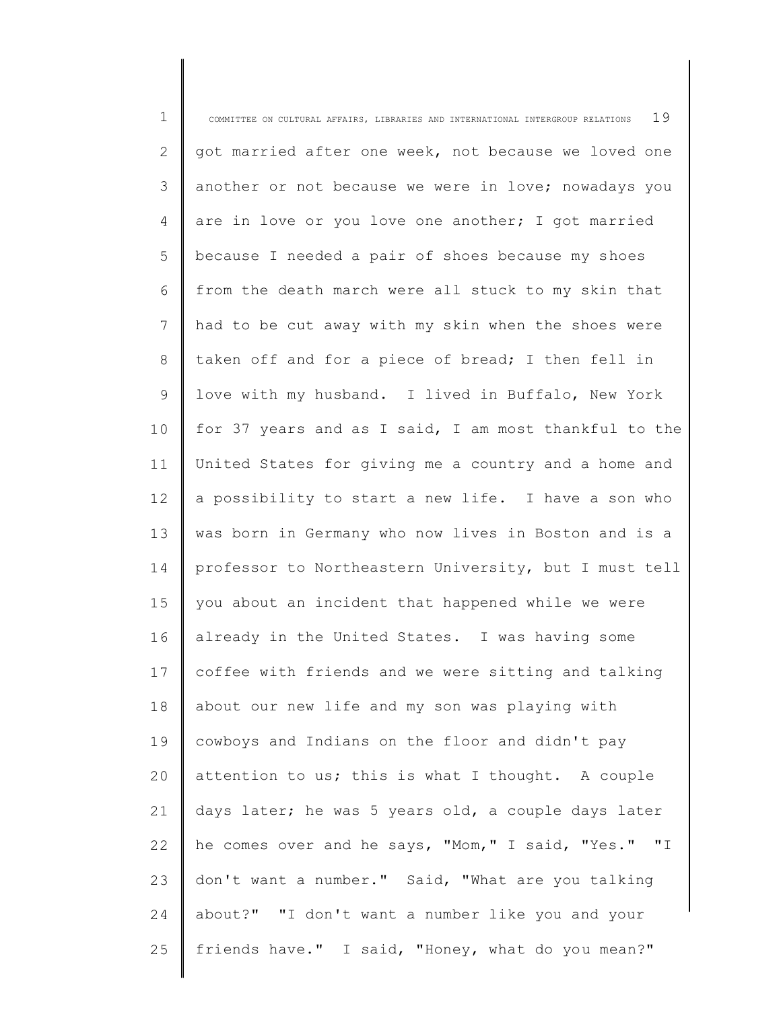1 2 3 4 5 6 7 8 9 10 11 12 13 14 15 16 17 18 19  $20$ 21 22 23 24 25 COMMITTEE ON CULTURAL AFFAIRS, LIBRARIES AND INTERNATIONAL INTERGROUP RELATIONS  $19$ got married after one week, not because we loved one another or not because we were in love; nowadays you are in love or you love one another; I got married because I needed a pair of shoes because my shoes from the death march were all stuck to my skin that had to be cut away with my skin when the shoes were taken off and for a piece of bread; I then fell in love with my husband. I lived in Buffalo, New York for 37 years and as I said, I am most thankful to the United States for giving me a country and a home and a possibility to start a new life. I have a son who was born in Germany who now lives in Boston and is a professor to Northeastern University, but I must tell you about an incident that happened while we were already in the United States. I was having some coffee with friends and we were sitting and talking about our new life and my son was playing with cowboys and Indians on the floor and didn't pay attention to us; this is what I thought. A couple days later; he was 5 years old, a couple days later he comes over and he says, "Mom," I said, "Yes." "I don't want a number." Said, "What are you talking about?" "I don't want a number like you and your friends have." I said, "Honey, what do you mean?"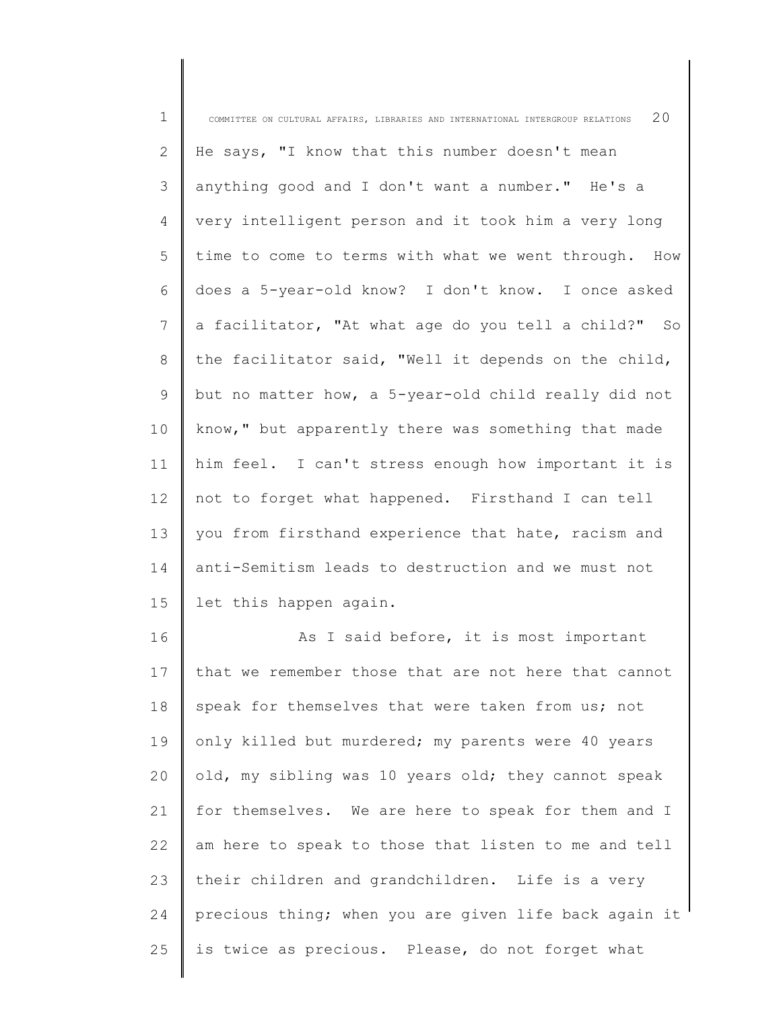| $\mathbf 1$    | 20<br>COMMITTEE ON CULTURAL AFFAIRS, LIBRARIES AND INTERNATIONAL INTERGROUP RELATIONS |
|----------------|---------------------------------------------------------------------------------------|
| 2              | He says, "I know that this number doesn't mean                                        |
| $\mathfrak{Z}$ | anything good and I don't want a number." He's a                                      |
| 4              | very intelligent person and it took him a very long                                   |
| 5              | time to come to terms with what we went through. How                                  |
| 6              | does a 5-year-old know? I don't know. I once asked                                    |
| 7              | a facilitator, "At what age do you tell a child?" So                                  |
| 8              | the facilitator said, "Well it depends on the child,                                  |
| 9              | but no matter how, a 5-year-old child really did not                                  |
| 10             | know," but apparently there was something that made                                   |
| 11             | him feel. I can't stress enough how important it is                                   |
| 12             | not to forget what happened. Firsthand I can tell                                     |
| 13             | you from firsthand experience that hate, racism and                                   |
| 14             | anti-Semitism leads to destruction and we must not                                    |
| 15             | let this happen again.                                                                |
| 16             | As I said before, it is most important                                                |
| 17             | that we remember those that are not here that cannot                                  |
| 18             | speak for themselves that were taken from us; not                                     |
| 19             | only killed but murdered; my parents were 40 years                                    |
| 20             | old, my sibling was 10 years old; they cannot speak                                   |
| 21             | for themselves. We are here to speak for them and I                                   |
| 22             | am here to speak to those that listen to me and tell                                  |
| 23             | their children and grandchildren. Life is a very                                      |
| 24             | precious thing; when you are given life back again it                                 |
| 25             | is twice as precious. Please, do not forget what                                      |
|                |                                                                                       |

║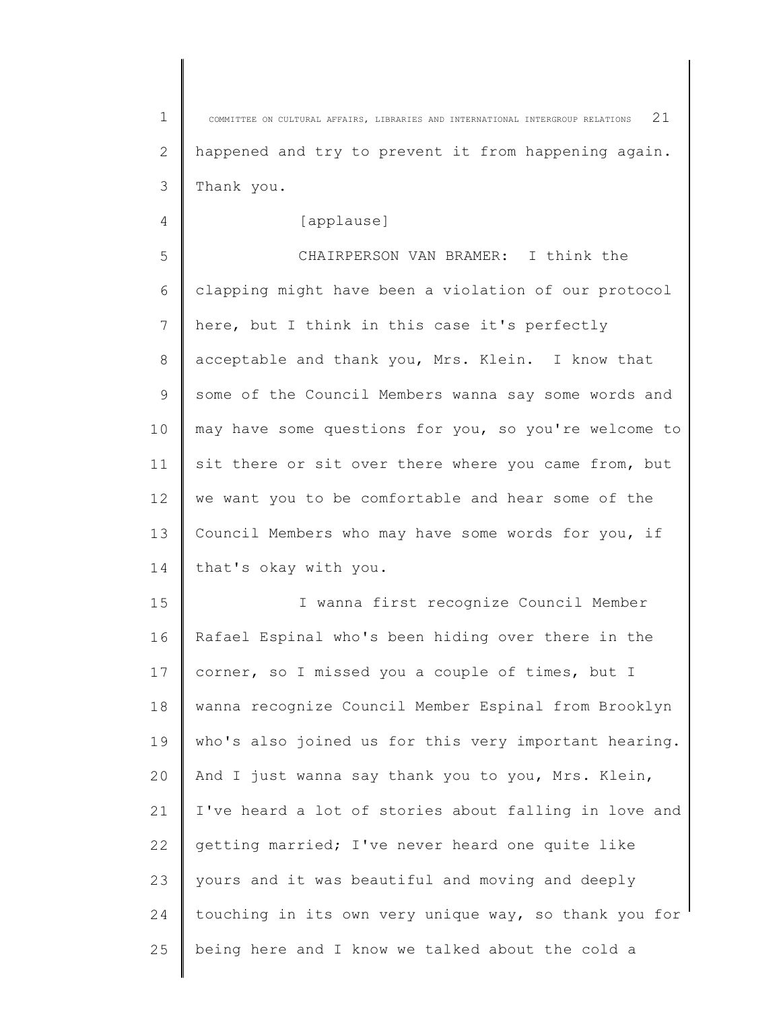1 2 3 COMMITTEE ON CULTURAL AFFAIRS, LIBRARIES AND INTERNATIONAL INTERGROUP RELATIONS  $2\,1$ happened and try to prevent it from happening again. Thank you.

[applause]

4

5 6 7 8 9 10 11 12 13 14 CHAIRPERSON VAN BRAMER: I think the clapping might have been a violation of our protocol here, but I think in this case it's perfectly acceptable and thank you, Mrs. Klein. I know that some of the Council Members wanna say some words and may have some questions for you, so you're welcome to sit there or sit over there where you came from, but we want you to be comfortable and hear some of the Council Members who may have some words for you, if that's okay with you.

15 16 17 18 19 20 21 22 23 24 25 I wanna first recognize Council Member Rafael Espinal who's been hiding over there in the corner, so I missed you a couple of times, but I wanna recognize Council Member Espinal from Brooklyn who's also joined us for this very important hearing. And I just wanna say thank you to you, Mrs. Klein, I've heard a lot of stories about falling in love and getting married; I've never heard one quite like yours and it was beautiful and moving and deeply touching in its own very unique way, so thank you for being here and I know we talked about the cold a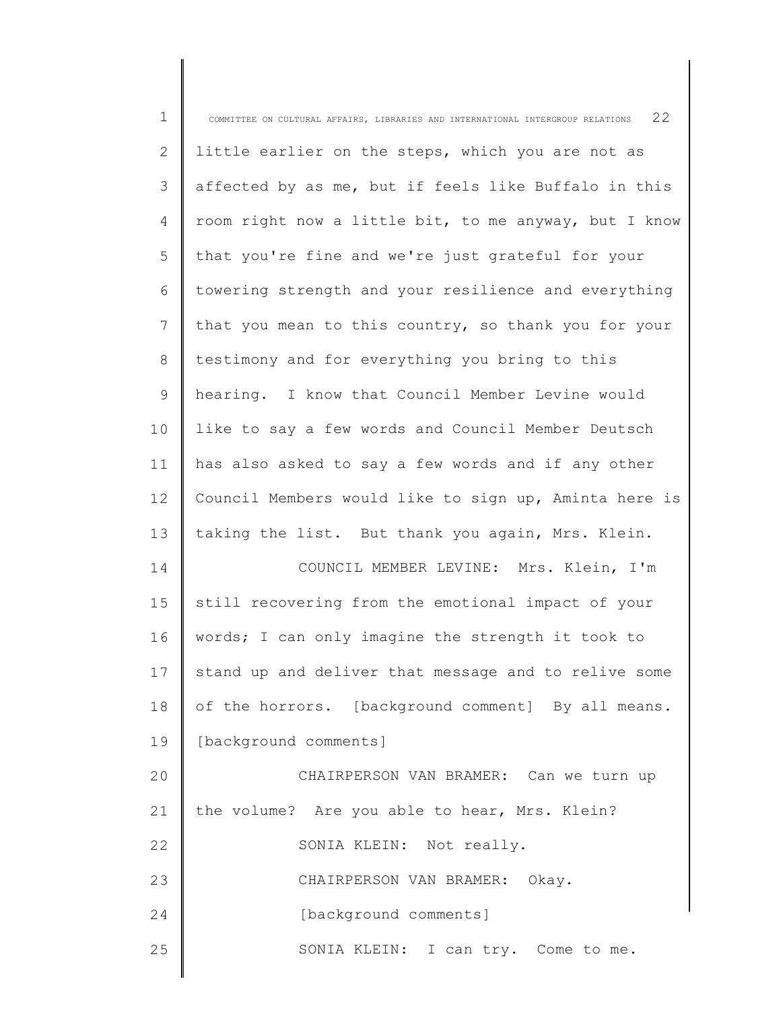| $\mathbf 1$    | COMMITTEE ON CULTURAL AFFAIRS, LIBRARIES AND INTERNATIONAL INTERGROUP RELATIONS $22$ |
|----------------|--------------------------------------------------------------------------------------|
| 2              | little earlier on the steps, which you are not as                                    |
| 3              | affected by as me, but if feels like Buffalo in this                                 |
| $\overline{4}$ | room right now a little bit, to me anyway, but I know                                |
| 5              | that you're fine and we're just grateful for your                                    |
| 6              | towering strength and your resilience and everything                                 |
| 7              | that you mean to this country, so thank you for your                                 |
| 8              | testimony and for everything you bring to this                                       |
| 9              | hearing. I know that Council Member Levine would                                     |
| 10             | like to say a few words and Council Member Deutsch                                   |
| 11             | has also asked to say a few words and if any other                                   |
| 12             | Council Members would like to sign up, Aminta here is                                |
| 13             | taking the list. But thank you again, Mrs. Klein.                                    |
| 14             | COUNCIL MEMBER LEVINE: Mrs. Klein, I'm                                               |
| 15             | still recovering from the emotional impact of your                                   |
| 16             | words; I can only imagine the strength it took to                                    |
| 17             | stand up and deliver that message and to relive some                                 |
| 18             | of the horrors. [background comment] By all means.                                   |
| 19             | [background comments]                                                                |
| 20             | CHAIRPERSON VAN BRAMER: Can we turn up                                               |
| 21             | the volume? Are you able to hear, Mrs. Klein?                                        |
| 22             | SONIA KLEIN: Not really.                                                             |
| 23             | CHAIRPERSON VAN BRAMER: Okay.                                                        |
| 24             | [background comments]                                                                |
| 25             | SONIA KLEIN: I can try. Come to me.                                                  |
|                |                                                                                      |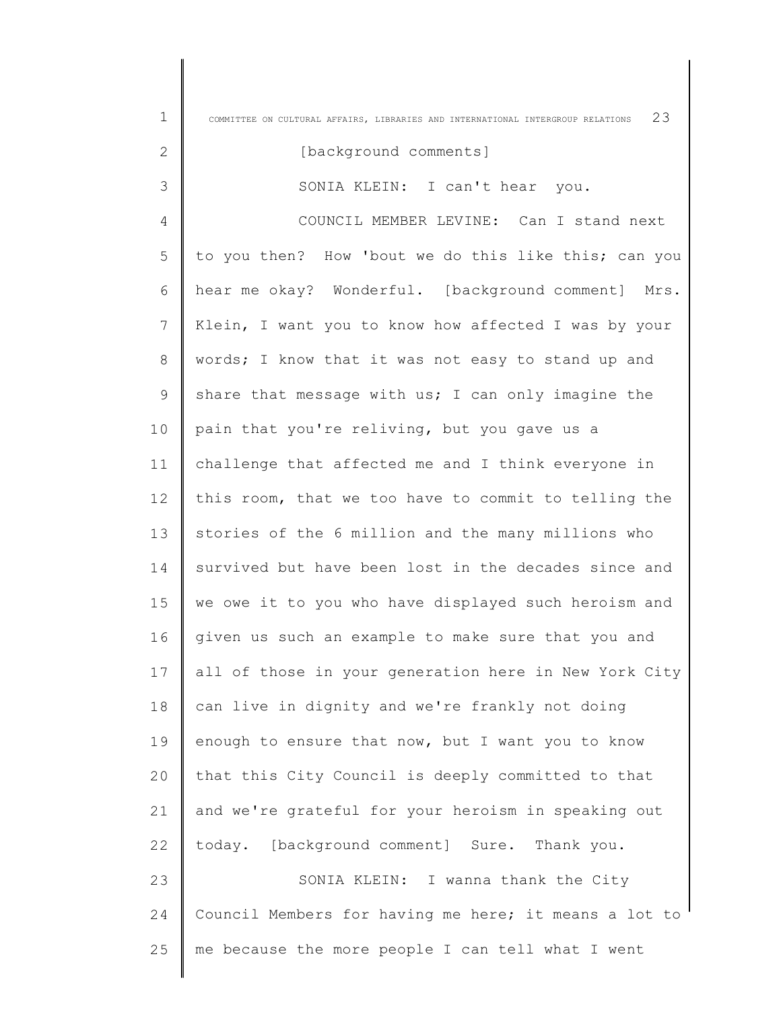| $\mathbf 1$ | 23<br>COMMITTEE ON CULTURAL AFFAIRS, LIBRARIES AND INTERNATIONAL INTERGROUP RELATIONS |
|-------------|---------------------------------------------------------------------------------------|
| 2           | [background comments]                                                                 |
| 3           | SONIA KLEIN: I can't hear you.                                                        |
| 4           | COUNCIL MEMBER LEVINE: Can I stand next                                               |
| 5           | to you then? How 'bout we do this like this; can you                                  |
| 6           | hear me okay? Wonderful. [background comment] Mrs.                                    |
| 7           | Klein, I want you to know how affected I was by your                                  |
| 8           | words; I know that it was not easy to stand up and                                    |
| 9           | share that message with us; I can only imagine the                                    |
| 10          | pain that you're reliving, but you gave us a                                          |
| 11          | challenge that affected me and I think everyone in                                    |
| 12          | this room, that we too have to commit to telling the                                  |
| 13          | stories of the 6 million and the many millions who                                    |
| 14          | survived but have been lost in the decades since and                                  |
| 15          | we owe it to you who have displayed such heroism and                                  |
| 16          | given us such an example to make sure that you and                                    |
| 17          | all of those in your generation here in New York City                                 |
| 18          | can live in dignity and we're frankly not doing                                       |
| 19          | enough to ensure that now, but I want you to know                                     |
| 20          | that this City Council is deeply committed to that                                    |
| 21          | and we're grateful for your heroism in speaking out                                   |
| 22          | today. [background comment] Sure. Thank you.                                          |
| 23          | SONIA KLEIN: I wanna thank the City                                                   |
| 24          | Council Members for having me here; it means a lot to                                 |
| 25          | me because the more people I can tell what I went                                     |

I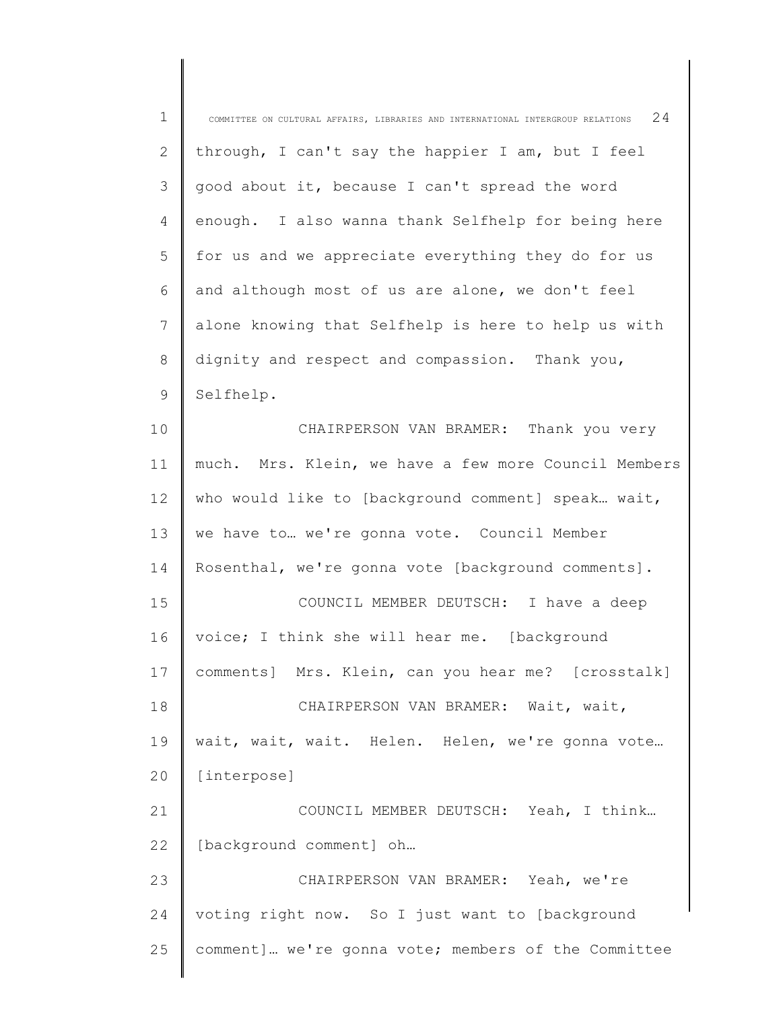| $\mathbf 1$  | 24<br>COMMITTEE ON CULTURAL AFFAIRS, LIBRARIES AND INTERNATIONAL INTERGROUP RELATIONS |
|--------------|---------------------------------------------------------------------------------------|
| $\mathbf{2}$ | through, I can't say the happier I am, but I feel                                     |
| 3            | good about it, because I can't spread the word                                        |
| 4            | enough. I also wanna thank Selfhelp for being here                                    |
| 5            | for us and we appreciate everything they do for us                                    |
| 6            | and although most of us are alone, we don't feel                                      |
| 7            | alone knowing that Selfhelp is here to help us with                                   |
| 8            | dignity and respect and compassion. Thank you,                                        |
| 9            | Selfhelp.                                                                             |
| 10           | CHAIRPERSON VAN BRAMER: Thank you very                                                |
| 11           | much. Mrs. Klein, we have a few more Council Members                                  |
| 12           | who would like to [background comment] speak wait,                                    |
| 13           | we have to we're gonna vote. Council Member                                           |
| 14           | Rosenthal, we're gonna vote [background comments].                                    |
| 15           | COUNCIL MEMBER DEUTSCH: I have a deep                                                 |
| 16           | voice; I think she will hear me. [background                                          |
| 17           | comments] Mrs. Klein, can you hear me? [crosstalk]                                    |
| 18           | CHAIRPERSON VAN BRAMER: Wait, wait,                                                   |
| 19           | wait, wait, wait. Helen. Helen, we're gonna vote                                      |
| 20           | [interpose]                                                                           |
| 21           | COUNCIL MEMBER DEUTSCH: Yeah, I think                                                 |
| 22           | [background comment] oh                                                               |
| 23           | CHAIRPERSON VAN BRAMER: Yeah, we're                                                   |
| 24           | voting right now. So I just want to [background                                       |
| 25           | comment] we're gonna vote; members of the Committee                                   |
|              |                                                                                       |

║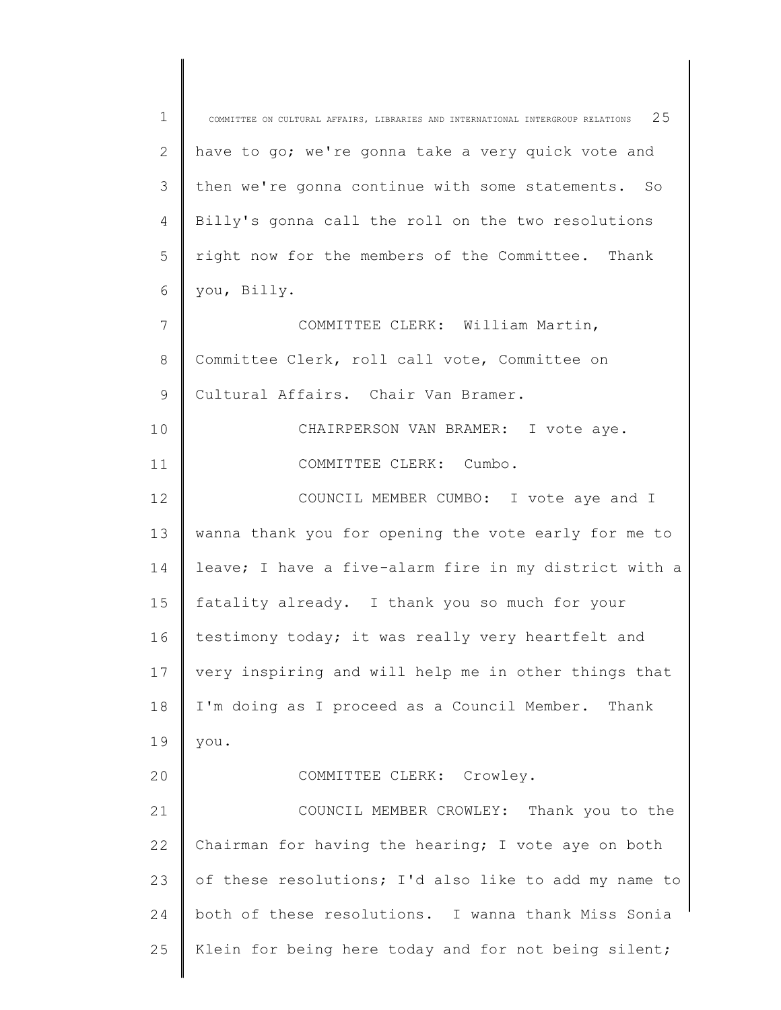| $\mathbf 1$      | 25<br>COMMITTEE ON CULTURAL AFFAIRS, LIBRARIES AND INTERNATIONAL INTERGROUP RELATIONS |
|------------------|---------------------------------------------------------------------------------------|
| $\mathbf{2}$     | have to go; we're gonna take a very quick vote and                                    |
| 3                | then we're gonna continue with some statements. So                                    |
| $\overline{4}$   | Billy's gonna call the roll on the two resolutions                                    |
| 5                | right now for the members of the Committee. Thank                                     |
| 6                | you, Billy.                                                                           |
| $\boldsymbol{7}$ | COMMITTEE CLERK: William Martin,                                                      |
| $8\,$            | Committee Clerk, roll call vote, Committee on                                         |
| $\mathsf 9$      | Cultural Affairs. Chair Van Bramer.                                                   |
| 10               | CHAIRPERSON VAN BRAMER: I vote aye.                                                   |
| 11               | COMMITTEE CLERK: Cumbo.                                                               |
| 12               | COUNCIL MEMBER CUMBO: I vote aye and I                                                |
| 13               | wanna thank you for opening the vote early for me to                                  |
| 14               | leave; I have a five-alarm fire in my district with a                                 |
| 15               | fatality already. I thank you so much for your                                        |
| 16               | testimony today; it was really very heartfelt and                                     |
| 17               | very inspiring and will help me in other things that                                  |
| 18               | I'm doing as I proceed as a Council Member. Thank                                     |
| 19               | you.                                                                                  |
| 20               | COMMITTEE CLERK: Crowley.                                                             |
| 21               | COUNCIL MEMBER CROWLEY:<br>Thank you to the                                           |
| 22               | Chairman for having the hearing; I vote aye on both                                   |
| 23               | of these resolutions; I'd also like to add my name to                                 |
| 24               | both of these resolutions. I wanna thank Miss Sonia                                   |
| 25               | Klein for being here today and for not being silent;                                  |
|                  |                                                                                       |

 $\begin{array}{c} \hline \end{array}$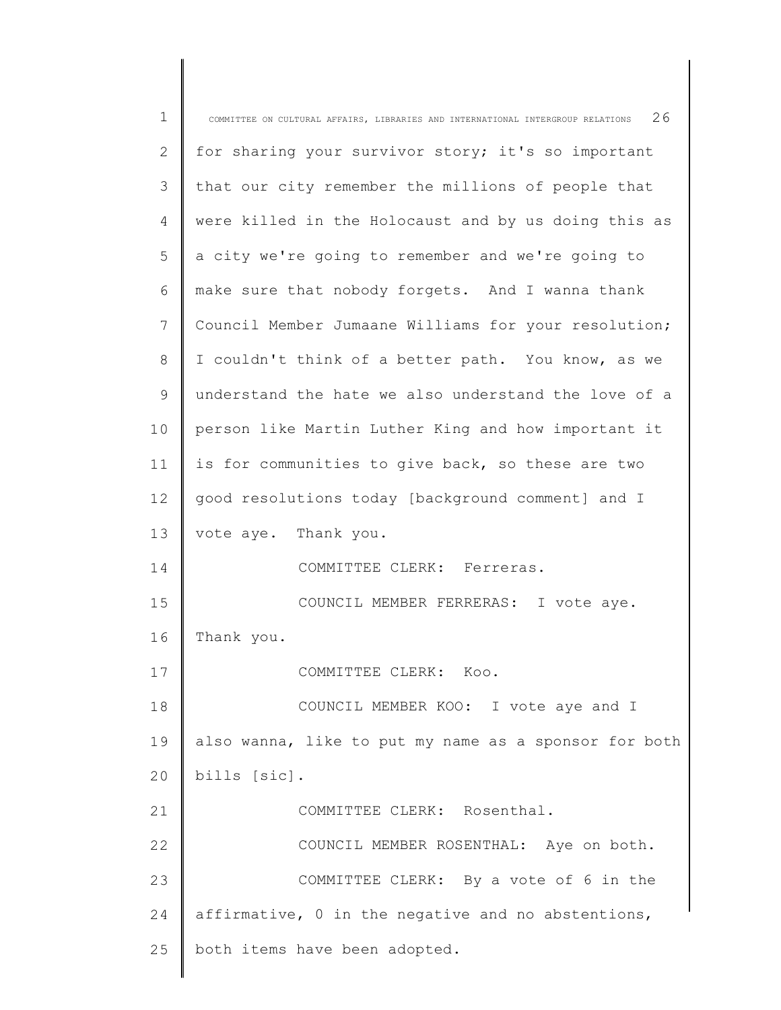| $\mathbf 1$ | 26<br>COMMITTEE ON CULTURAL AFFAIRS, LIBRARIES AND INTERNATIONAL INTERGROUP RELATIONS |
|-------------|---------------------------------------------------------------------------------------|
| 2           | for sharing your survivor story; it's so important                                    |
| 3           | that our city remember the millions of people that                                    |
| 4           | were killed in the Holocaust and by us doing this as                                  |
| 5           | a city we're going to remember and we're going to                                     |
| 6           | make sure that nobody forgets. And I wanna thank                                      |
| 7           | Council Member Jumaane Williams for your resolution;                                  |
| 8           | I couldn't think of a better path. You know, as we                                    |
| 9           | understand the hate we also understand the love of a                                  |
| 10          | person like Martin Luther King and how important it                                   |
| 11          | is for communities to give back, so these are two                                     |
| 12          | good resolutions today [background comment] and I                                     |
| 13          | vote aye. Thank you.                                                                  |
| 14          | COMMITTEE CLERK: Ferreras.                                                            |
| 15          | COUNCIL MEMBER FERRERAS: I vote aye.                                                  |
| 16          | Thank you.                                                                            |
| 17          | COMMITTEE CLERK: Koo.                                                                 |
| 18          | COUNCIL MEMBER KOO: I vote aye and I                                                  |
| 19          | also wanna, like to put my name as a sponsor for both                                 |
| 20          | bills [sic].                                                                          |
| 21          | COMMITTEE CLERK: Rosenthal.                                                           |
| 22          | COUNCIL MEMBER ROSENTHAL: Aye on both.                                                |
| 23          | COMMITTEE CLERK: By a vote of 6 in the                                                |
| 24          | affirmative, 0 in the negative and no abstentions,                                    |
| 25          | both items have been adopted.                                                         |
|             |                                                                                       |

║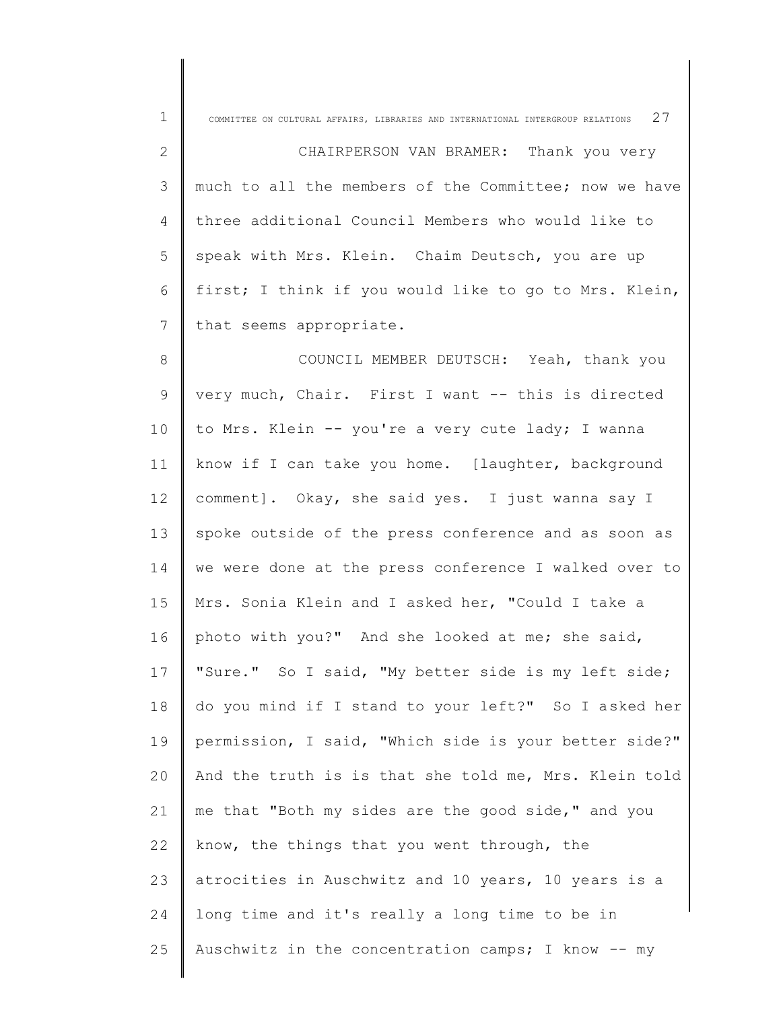| $\mathbf 1$ | 27<br>COMMITTEE ON CULTURAL AFFAIRS, LIBRARIES AND INTERNATIONAL INTERGROUP RELATIONS |
|-------------|---------------------------------------------------------------------------------------|
| 2           | CHAIRPERSON VAN BRAMER: Thank you very                                                |
| 3           | much to all the members of the Committee; now we have                                 |
| 4           | three additional Council Members who would like to                                    |
| 5           | speak with Mrs. Klein. Chaim Deutsch, you are up                                      |
| 6           | first; I think if you would like to go to Mrs. Klein,                                 |
| 7           | that seems appropriate.                                                               |
| 8           | COUNCIL MEMBER DEUTSCH: Yeah, thank you                                               |
| 9           | very much, Chair. First I want -- this is directed                                    |
| 10          | to Mrs. Klein -- you're a very cute lady; I wanna                                     |
| 11          | know if I can take you home. [laughter, background                                    |
| 12          | comment]. Okay, she said yes. I just wanna say I                                      |
| 13          | spoke outside of the press conference and as soon as                                  |
| 14          | we were done at the press conference I walked over to                                 |
| 15          | Mrs. Sonia Klein and I asked her, "Could I take a                                     |
| 16          | photo with you?" And she looked at me; she said,                                      |
| 17          | "Sure." So I said, "My better side is my left side;                                   |
| 18          | do you mind if I stand to your left?" So I asked her                                  |
| 19          | permission, I said, "Which side is your better side?"                                 |
| 20          | And the truth is is that she told me, Mrs. Klein told                                 |
| 21          | me that "Both my sides are the good side," and you                                    |
| 22          | know, the things that you went through, the                                           |
| 23          | atrocities in Auschwitz and 10 years, 10 years is a                                   |
| 24          | long time and it's really a long time to be in                                        |
| 25          | Auschwitz in the concentration camps; I know -- my                                    |
|             |                                                                                       |

∥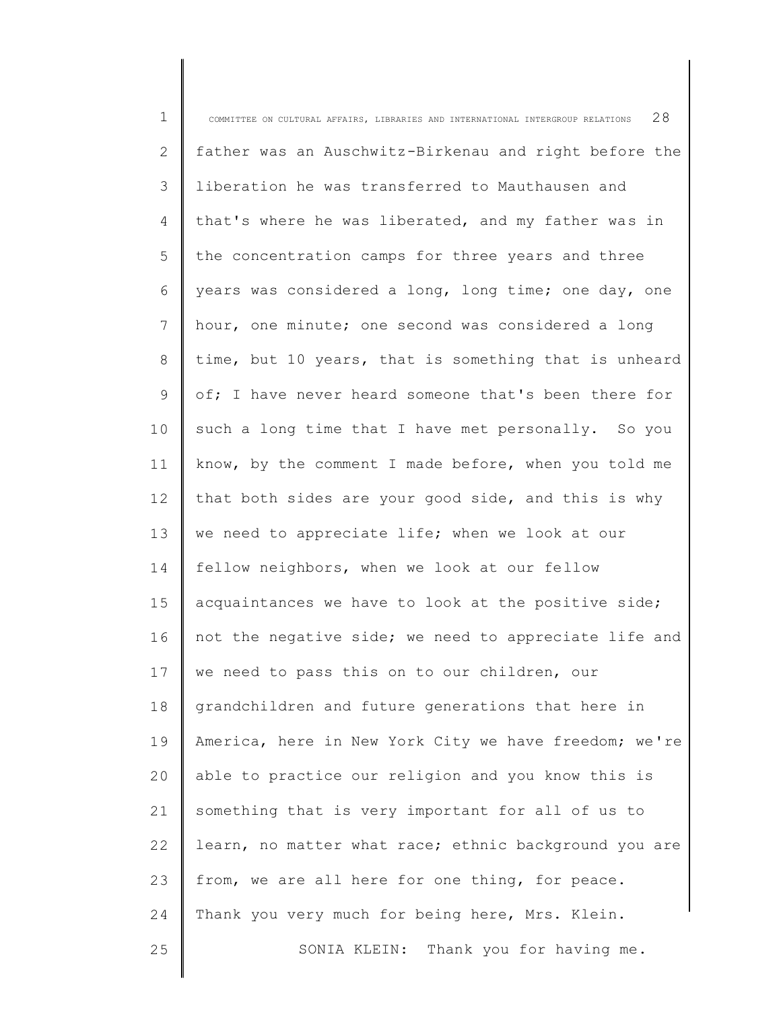| $\mathbf 1$ | 28<br>COMMITTEE ON CULTURAL AFFAIRS, LIBRARIES AND INTERNATIONAL INTERGROUP RELATIONS |
|-------------|---------------------------------------------------------------------------------------|
| 2           | father was an Auschwitz-Birkenau and right before the                                 |
| 3           | liberation he was transferred to Mauthausen and                                       |
| 4           | that's where he was liberated, and my father was in                                   |
| 5           | the concentration camps for three years and three                                     |
| 6           | years was considered a long, long time; one day, one                                  |
| 7           | hour, one minute; one second was considered a long                                    |
| $8\,$       | time, but 10 years, that is something that is unheard                                 |
| $\mathsf 9$ | of; I have never heard someone that's been there for                                  |
| 10          | such a long time that I have met personally. So you                                   |
| 11          | know, by the comment I made before, when you told me                                  |
| 12          | that both sides are your good side, and this is why                                   |
| 13          | we need to appreciate life; when we look at our                                       |
| 14          | fellow neighbors, when we look at our fellow                                          |
| 15          | acquaintances we have to look at the positive side;                                   |
| 16          | not the negative side; we need to appreciate life and                                 |
| 17          | we need to pass this on to our children, our                                          |
| 18          | grandchildren and future generations that here in                                     |
| 19          | America, here in New York City we have freedom; we're                                 |
| 20          | able to practice our religion and you know this is                                    |
| 21          | something that is very important for all of us to                                     |
| 22          | learn, no matter what race; ethnic background you are                                 |
| 23          | from, we are all here for one thing, for peace.                                       |
| 24          | Thank you very much for being here, Mrs. Klein.                                       |
| 25          | SONIA KLEIN: Thank you for having me.                                                 |
|             |                                                                                       |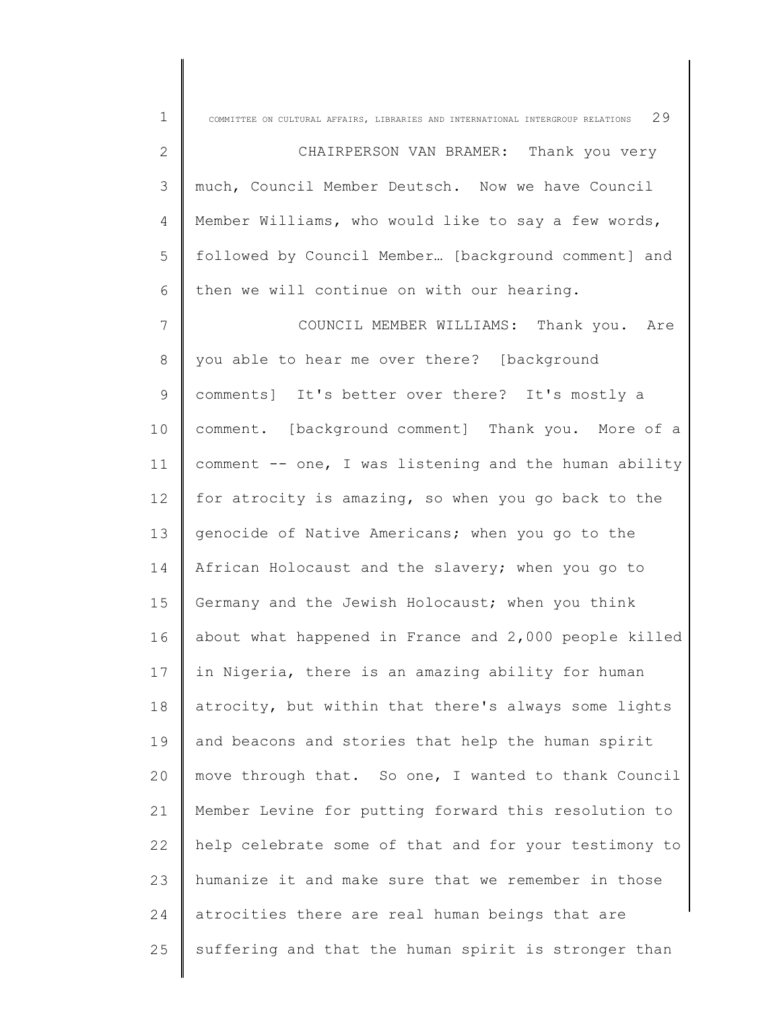| $\mathbf 1$  | COMMITTEE ON CULTURAL AFFAIRS, LIBRARIES AND INTERNATIONAL INTERGROUP RELATIONS $29$ |
|--------------|--------------------------------------------------------------------------------------|
| $\mathbf{2}$ | CHAIRPERSON VAN BRAMER: Thank you very                                               |
| 3            | much, Council Member Deutsch. Now we have Council                                    |
| 4            | Member Williams, who would like to say a few words,                                  |
| 5            | followed by Council Member [background comment] and                                  |
| 6            | then we will continue on with our hearing.                                           |
| 7            | COUNCIL MEMBER WILLIAMS: Thank you. Are                                              |
| 8            | you able to hear me over there? [background                                          |
| 9            | comments] It's better over there? It's mostly a                                      |
| 10           | comment. [background comment] Thank you. More of a                                   |
| 11           | comment -- one, I was listening and the human ability                                |
| 12           | for atrocity is amazing, so when you go back to the                                  |
| 13           | genocide of Native Americans; when you go to the                                     |
| 14           | African Holocaust and the slavery; when you go to                                    |
| 15           | Germany and the Jewish Holocaust; when you think                                     |
| 16           | about what happened in France and 2,000 people killed                                |
| 17           | in Nigeria, there is an amazing ability for human                                    |
| 18           | atrocity, but within that there's always some lights                                 |
| 19           | and beacons and stories that help the human spirit                                   |
| 20           | move through that. So one, I wanted to thank Council                                 |
| 21           | Member Levine for putting forward this resolution to                                 |
| 22           | help celebrate some of that and for your testimony to                                |
| 23           | humanize it and make sure that we remember in those                                  |
| 24           | atrocities there are real human beings that are                                      |
| 25           | suffering and that the human spirit is stronger than                                 |
|              |                                                                                      |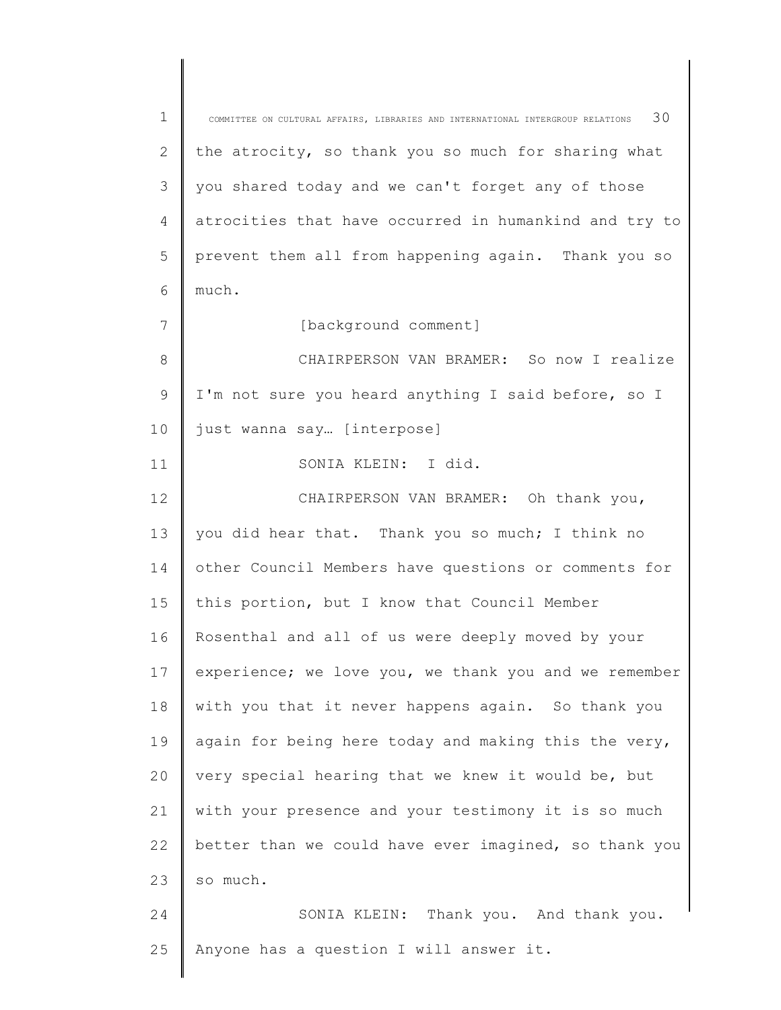1 2 3 4 5 6 7 8 9 10 11 12 13 14 15 16 17 18 19 20 21 22 23 24 25 COMMITTEE ON CULTURAL AFFAIRS, LIBRARIES AND INTERNATIONAL INTERGROUP RELATIONS  $30$ the atrocity, so thank you so much for sharing what you shared today and we can't forget any of those atrocities that have occurred in humankind and try to prevent them all from happening again. Thank you so much. [background comment] CHAIRPERSON VAN BRAMER: So now I realize I'm not sure you heard anything I said before, so I just wanna say… [interpose] SONIA KLEIN: I did. CHAIRPERSON VAN BRAMER: Oh thank you, you did hear that. Thank you so much; I think no other Council Members have questions or comments for this portion, but I know that Council Member Rosenthal and all of us were deeply moved by your experience; we love you, we thank you and we remember with you that it never happens again. So thank you again for being here today and making this the very, very special hearing that we knew it would be, but with your presence and your testimony it is so much better than we could have ever imagined, so thank you so much. SONIA KLEIN: Thank you. And thank you. Anyone has a question I will answer it.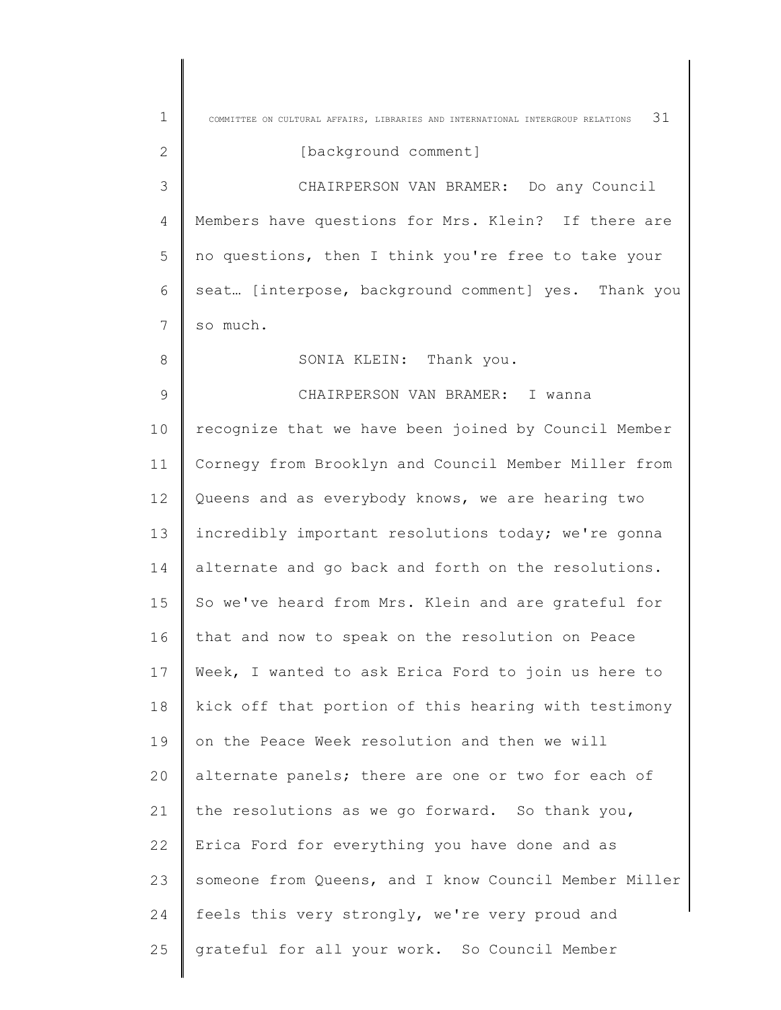| $\mathbf{1}$   | 31<br>COMMITTEE ON CULTURAL AFFAIRS, LIBRARIES AND INTERNATIONAL INTERGROUP RELATIONS |
|----------------|---------------------------------------------------------------------------------------|
| $\mathbf{2}$   | [background comment]                                                                  |
| 3              | CHAIRPERSON VAN BRAMER: Do any Council                                                |
| $\overline{4}$ | Members have questions for Mrs. Klein? If there are                                   |
| 5              | no questions, then I think you're free to take your                                   |
| 6              | seat [interpose, background comment] yes. Thank you                                   |
| 7              | so much.                                                                              |
| 8              | SONIA KLEIN: Thank you.                                                               |
| $\mathcal{G}$  | CHAIRPERSON VAN BRAMER: I wanna                                                       |
| 10             | recognize that we have been joined by Council Member                                  |
| 11             | Cornegy from Brooklyn and Council Member Miller from                                  |
| 12             | Queens and as everybody knows, we are hearing two                                     |
| 13             | incredibly important resolutions today; we're gonna                                   |
| 14             | alternate and go back and forth on the resolutions.                                   |
| 15             | So we've heard from Mrs. Klein and are grateful for                                   |
| 16             | that and now to speak on the resolution on Peace                                      |
| 17             | Week, I wanted to ask Erica Ford to join us here to                                   |
| 18             | kick off that portion of this hearing with testimony                                  |
| 19             | on the Peace Week resolution and then we will                                         |
| 20             | alternate panels; there are one or two for each of                                    |
| 21             | the resolutions as we go forward. So thank you,                                       |
| 22             | Erica Ford for everything you have done and as                                        |
| 23             | someone from Queens, and I know Council Member Miller                                 |
| 24             | feels this very strongly, we're very proud and                                        |
| 25             | grateful for all your work. So Council Member                                         |
|                |                                                                                       |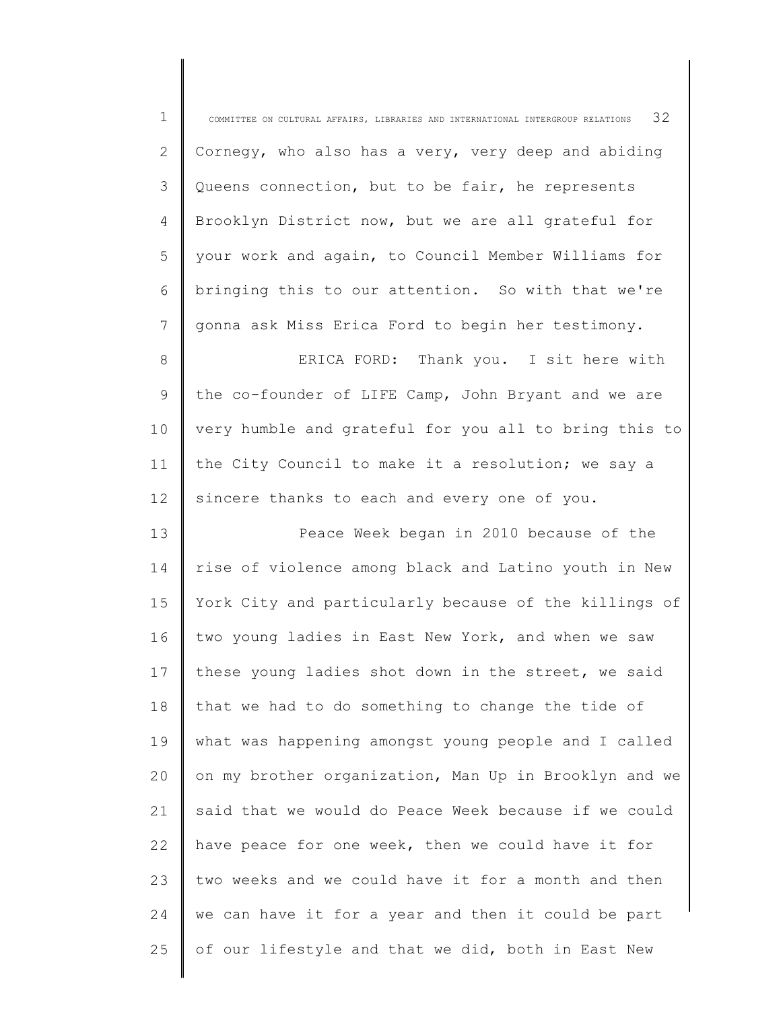| $\mathbf 1$    | 32<br>COMMITTEE ON CULTURAL AFFAIRS, LIBRARIES AND INTERNATIONAL INTERGROUP RELATIONS |
|----------------|---------------------------------------------------------------------------------------|
| $\mathbf{2}$   | Cornegy, who also has a very, very deep and abiding                                   |
| 3              | Queens connection, but to be fair, he represents                                      |
| $\overline{4}$ | Brooklyn District now, but we are all grateful for                                    |
| 5              | your work and again, to Council Member Williams for                                   |
| 6              | bringing this to our attention. So with that we're                                    |
| 7              | gonna ask Miss Erica Ford to begin her testimony.                                     |
| $\,8\,$        | ERICA FORD: Thank you. I sit here with                                                |
| $\mathsf 9$    | the co-founder of LIFE Camp, John Bryant and we are                                   |
| $10$           | very humble and grateful for you all to bring this to                                 |
| 11             | the City Council to make it a resolution; we say a                                    |
| 12             | sincere thanks to each and every one of you.                                          |
| 13             | Peace Week began in 2010 because of the                                               |
| 14             | rise of violence among black and Latino youth in New                                  |
| 15             | York City and particularly because of the killings of                                 |
| 16             | two young ladies in East New York, and when we saw                                    |
| 17             | these young ladies shot down in the street, we said                                   |
| 18             | that we had to do something to change the tide of                                     |
| 19             | what was happening amongst young people and I called                                  |
| 20             | on my brother organization, Man Up in Brooklyn and we                                 |
| 21             | said that we would do Peace Week because if we could                                  |
| 22             | have peace for one week, then we could have it for                                    |
| 23             | two weeks and we could have it for a month and then                                   |
| 24             | we can have it for a year and then it could be part                                   |
| 25             | of our lifestyle and that we did, both in East New                                    |

∥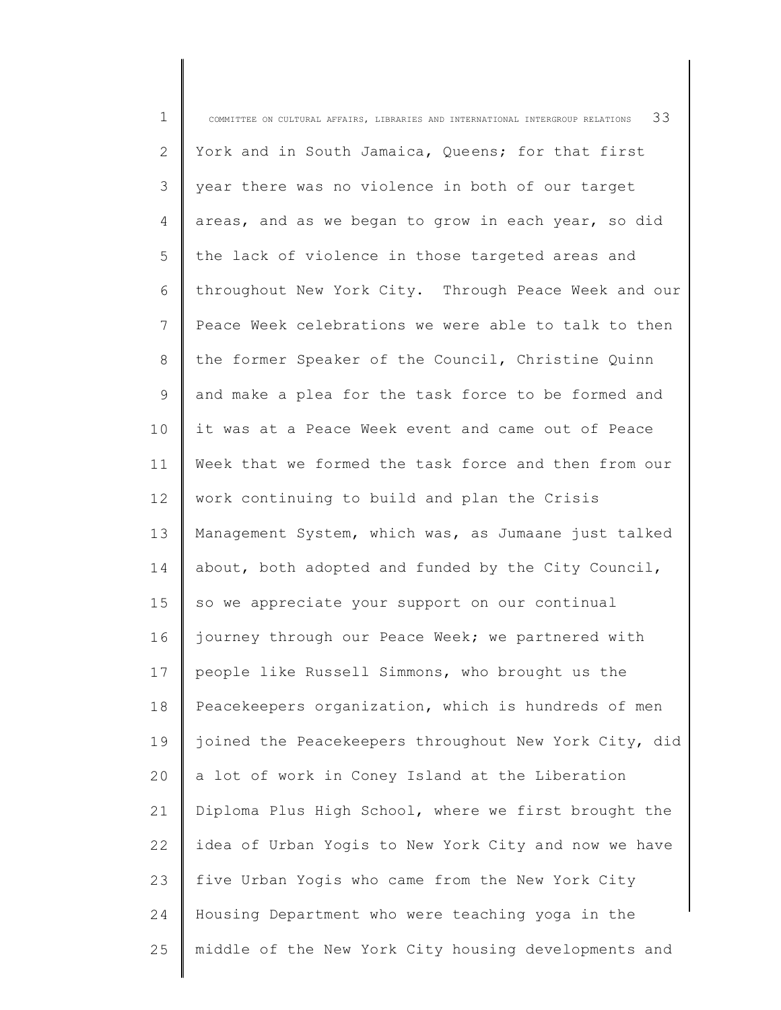| $\mathbf 1$  | 33<br>COMMITTEE ON CULTURAL AFFAIRS, LIBRARIES AND INTERNATIONAL INTERGROUP RELATIONS |
|--------------|---------------------------------------------------------------------------------------|
| $\mathbf{2}$ | York and in South Jamaica, Queens; for that first                                     |
| 3            | year there was no violence in both of our target                                      |
| 4            | areas, and as we began to grow in each year, so did                                   |
| 5            | the lack of violence in those targeted areas and                                      |
| 6            | throughout New York City. Through Peace Week and our                                  |
| 7            | Peace Week celebrations we were able to talk to then                                  |
| 8            | the former Speaker of the Council, Christine Quinn                                    |
| 9            | and make a plea for the task force to be formed and                                   |
| 10           | it was at a Peace Week event and came out of Peace                                    |
| 11           | Week that we formed the task force and then from our                                  |
| 12           | work continuing to build and plan the Crisis                                          |
| 13           | Management System, which was, as Jumaane just talked                                  |
| 14           | about, both adopted and funded by the City Council,                                   |
| 15           | so we appreciate your support on our continual                                        |
| 16           | journey through our Peace Week; we partnered with                                     |
| 17           | people like Russell Simmons, who brought us the                                       |
| 18           | Peacekeepers organization, which is hundreds of men                                   |
| 19           | joined the Peacekeepers throughout New York City, did                                 |
| 20           | a lot of work in Coney Island at the Liberation                                       |
| 21           | Diploma Plus High School, where we first brought the                                  |
| 22           | idea of Urban Yogis to New York City and now we have                                  |
| 23           | five Urban Yogis who came from the New York City                                      |
| 24           | Housing Department who were teaching yoga in the                                      |
| 25           | middle of the New York City housing developments and                                  |
|              |                                                                                       |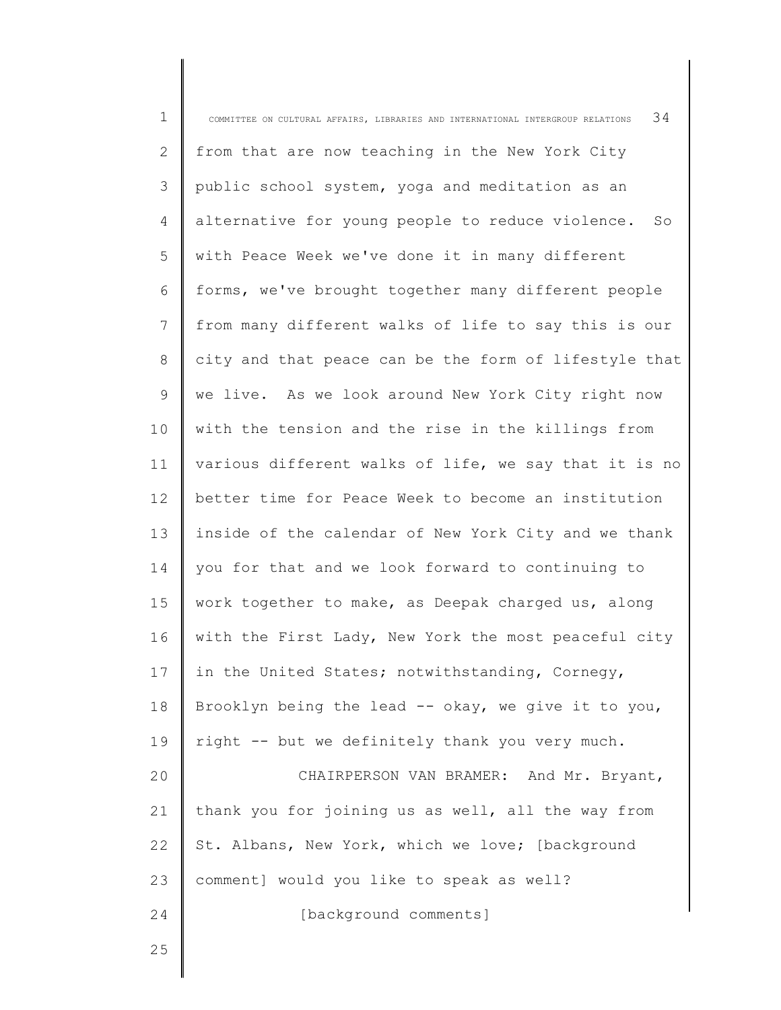| $\mathbf 1$  | 34<br>COMMITTEE ON CULTURAL AFFAIRS, LIBRARIES AND INTERNATIONAL INTERGROUP RELATIONS |
|--------------|---------------------------------------------------------------------------------------|
| $\mathbf{2}$ | from that are now teaching in the New York City                                       |
| 3            | public school system, yoga and meditation as an                                       |
| 4            | alternative for young people to reduce violence.<br>SO                                |
| 5            | with Peace Week we've done it in many different                                       |
| 6            | forms, we've brought together many different people                                   |
| 7            | from many different walks of life to say this is our                                  |
| 8            | city and that peace can be the form of lifestyle that                                 |
| 9            | we live. As we look around New York City right now                                    |
| 10           | with the tension and the rise in the killings from                                    |
| 11           | various different walks of life, we say that it is no                                 |
| 12           | better time for Peace Week to become an institution                                   |
| 13           | inside of the calendar of New York City and we thank                                  |
| 14           | you for that and we look forward to continuing to                                     |
| 15           | work together to make, as Deepak charged us, along                                    |
| 16           | with the First Lady, New York the most peaceful city                                  |
| 17           | in the United States; notwithstanding, Cornegy,                                       |
| 18           | Brooklyn being the lead -- okay, we give it to you,                                   |
| 19           | right -- but we definitely thank you very much.                                       |
| 20           | CHAIRPERSON VAN BRAMER: And Mr. Bryant,                                               |
| 21           | thank you for joining us as well, all the way from                                    |
| 22           | St. Albans, New York, which we love; [background                                      |
| 23           | comment] would you like to speak as well?                                             |
| 24           | [background comments]                                                                 |
| 25           |                                                                                       |
|              |                                                                                       |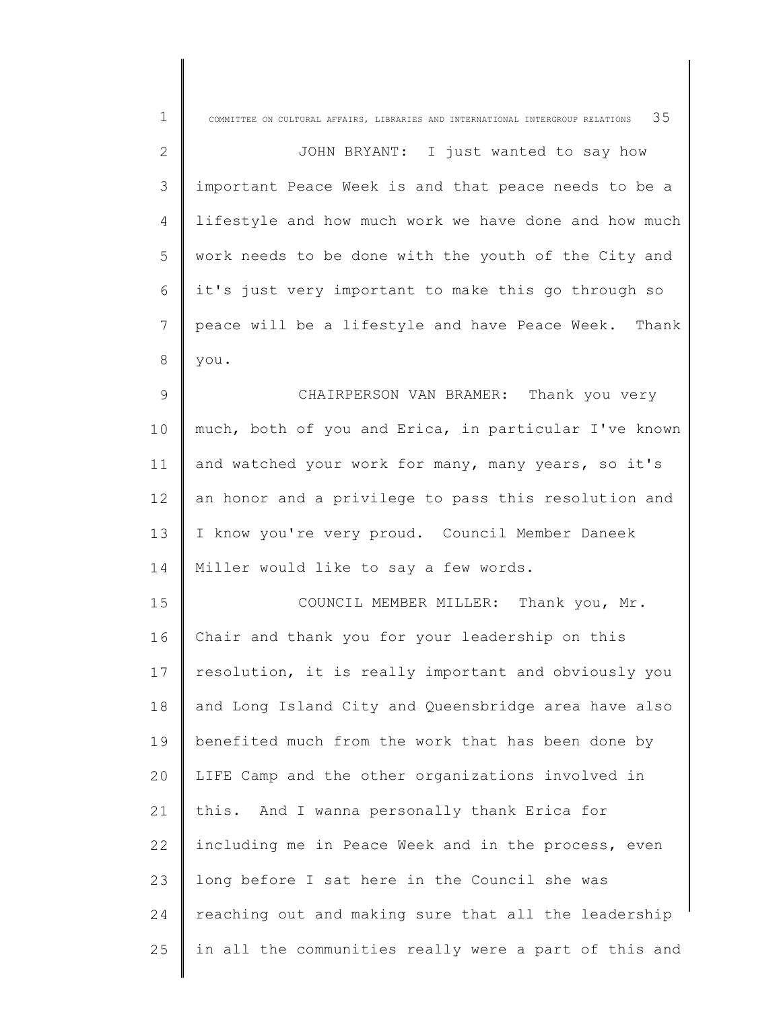| $\mathbf 1$    | 35<br>COMMITTEE ON CULTURAL AFFAIRS, LIBRARIES AND INTERNATIONAL INTERGROUP RELATIONS |
|----------------|---------------------------------------------------------------------------------------|
| $\mathbf{2}$   | JOHN BRYANT: I just wanted to say how                                                 |
| 3              | important Peace Week is and that peace needs to be a                                  |
| 4              | lifestyle and how much work we have done and how much                                 |
| 5              | work needs to be done with the youth of the City and                                  |
| 6              | it's just very important to make this go through so                                   |
| 7              | peace will be a lifestyle and have Peace Week.<br>Thank                               |
| $\,8\,$        | you.                                                                                  |
| $\overline{9}$ | CHAIRPERSON VAN BRAMER: Thank you very                                                |
| 10             | much, both of you and Erica, in particular I've known                                 |
| 11             | and watched your work for many, many years, so it's                                   |
| 12             | an honor and a privilege to pass this resolution and                                  |
| 13             | I know you're very proud. Council Member Daneek                                       |
| 14             | Miller would like to say a few words.                                                 |
| 15             | COUNCIL MEMBER MILLER: Thank you, Mr.                                                 |
| 16             | Chair and thank you for your leadership on this                                       |
| 17             | resolution, it is really important and obviously you                                  |
| 18             | and Long Island City and Queensbridge area have also                                  |
| 19             | benefited much from the work that has been done by                                    |
| 20             | LIFE Camp and the other organizations involved in                                     |
| 21             | this. And I wanna personally thank Erica for                                          |
| 22             | including me in Peace Week and in the process, even                                   |
| 23             | long before I sat here in the Council she was                                         |
| 24             | reaching out and making sure that all the leadership                                  |
| 25             | in all the communities really were a part of this and                                 |
|                |                                                                                       |

∥ ║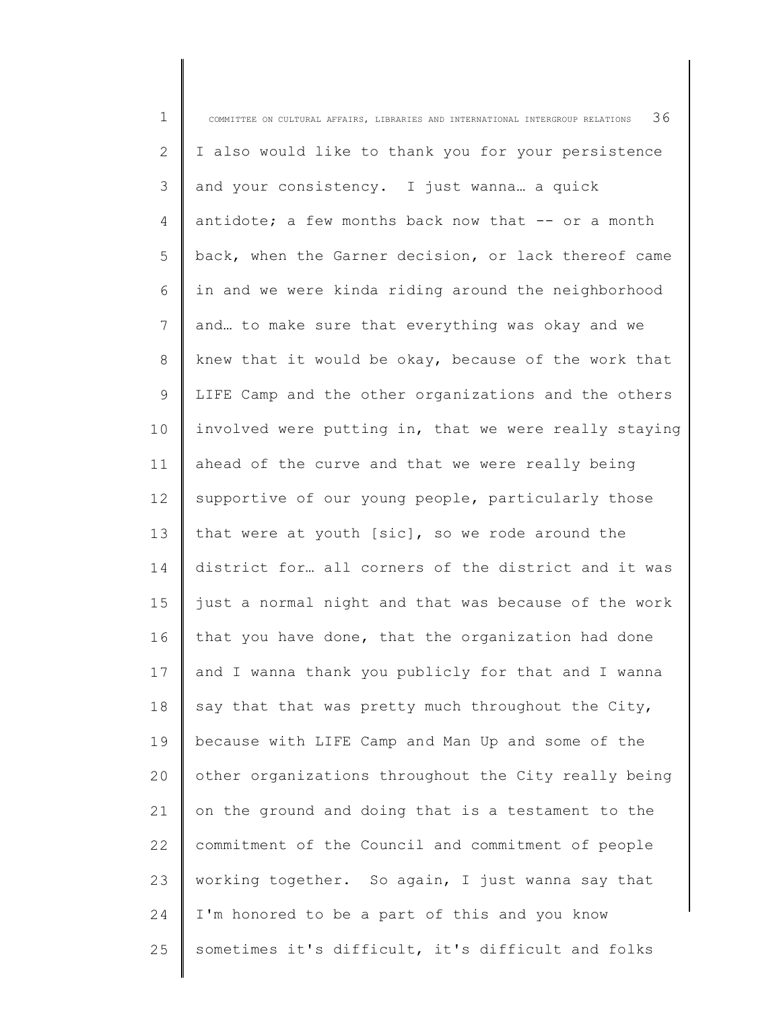1 2 3 4 5 6 7 8 9 10 11 12 13 14 15 16 17 18 19 20 21 22 23 24 25 COMMITTEE ON CULTURAL AFFAIRS, LIBRARIES AND INTERNATIONAL INTERGROUP RELATIONS  $36$ I also would like to thank you for your persistence and your consistency. I just wanna… a quick antidote; a few months back now that -- or a month back, when the Garner decision, or lack thereof came in and we were kinda riding around the neighborhood and… to make sure that everything was okay and we knew that it would be okay, because of the work that LIFE Camp and the other organizations and the others involved were putting in, that we were really staying ahead of the curve and that we were really being supportive of our young people, particularly those that were at youth [sic], so we rode around the district for… all corners of the district and it was just a normal night and that was because of the work that you have done, that the organization had done and I wanna thank you publicly for that and I wanna say that that was pretty much throughout the City, because with LIFE Camp and Man Up and some of the other organizations throughout the City really being on the ground and doing that is a testament to the commitment of the Council and commitment of people working together. So again, I just wanna say that I'm honored to be a part of this and you know sometimes it's difficult, it's difficult and folks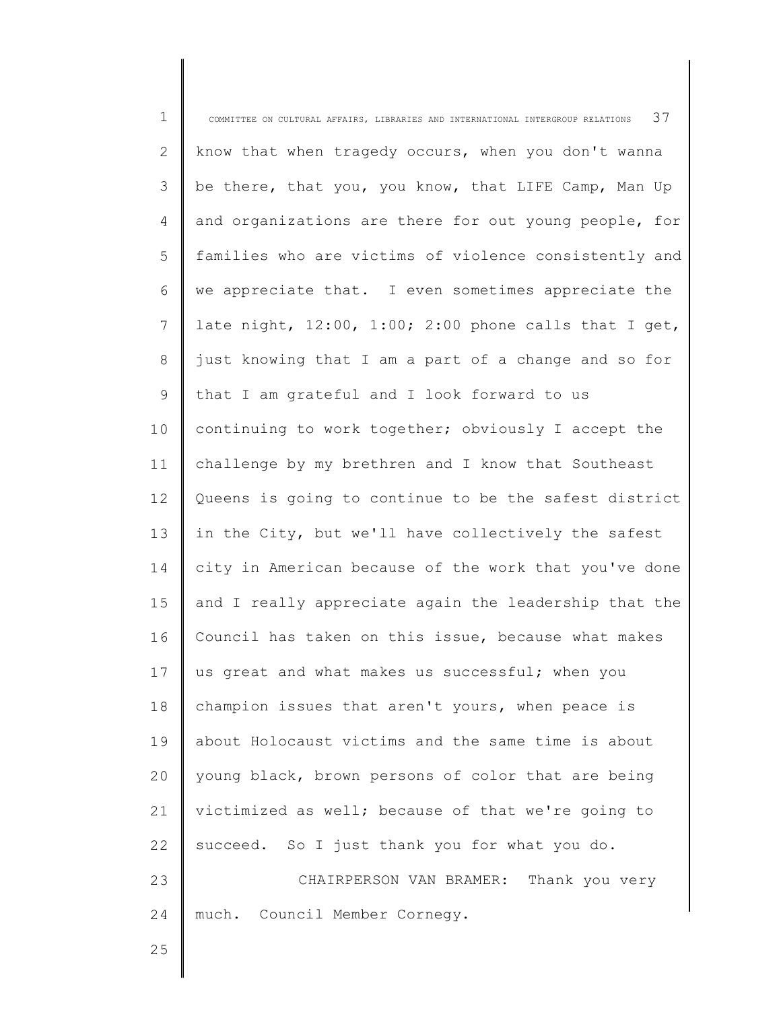| $\mathbf 1$    | 37<br>COMMITTEE ON CULTURAL AFFAIRS, LIBRARIES AND INTERNATIONAL INTERGROUP RELATIONS |
|----------------|---------------------------------------------------------------------------------------|
| $\mathbf{2}$   | know that when tragedy occurs, when you don't wanna                                   |
| 3              | be there, that you, you know, that LIFE Camp, Man Up                                  |
| $\overline{4}$ | and organizations are there for out young people, for                                 |
| 5              | families who are victims of violence consistently and                                 |
| 6              | we appreciate that. I even sometimes appreciate the                                   |
| 7              | late night, $12:00$ , $1:00$ ; $2:00$ phone calls that I get,                         |
| 8              | just knowing that I am a part of a change and so for                                  |
| $\mathsf 9$    | that I am grateful and I look forward to us                                           |
| 10             | continuing to work together; obviously I accept the                                   |
| 11             | challenge by my brethren and I know that Southeast                                    |
| 12             | Queens is going to continue to be the safest district                                 |
| 13             | in the City, but we'll have collectively the safest                                   |
| 14             | city in American because of the work that you've done                                 |
| 15             | and I really appreciate again the leadership that the                                 |
| 16             | Council has taken on this issue, because what makes                                   |
| 17             | us great and what makes us successful; when you                                       |
| 18             | champion issues that aren't yours, when peace is                                      |
| 19             | about Holocaust victims and the same time is about                                    |
| 20             | young black, brown persons of color that are being                                    |
| 21             | victimized as well; because of that we're going to                                    |
| 22             | succeed. So I just thank you for what you do.                                         |
| 23             | CHAIRPERSON VAN BRAMER: Thank you very                                                |
| 24             | much. Council Member Cornegy.                                                         |
| 25             |                                                                                       |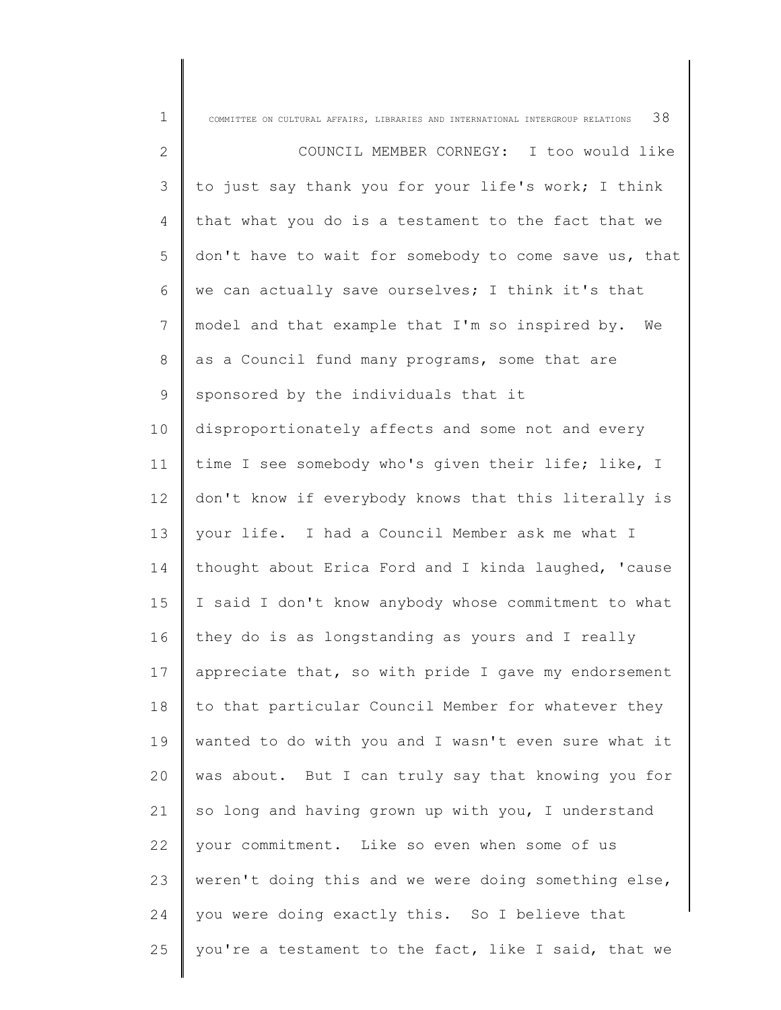| $\mathbf 1$  | 38<br>COMMITTEE ON CULTURAL AFFAIRS, LIBRARIES AND INTERNATIONAL INTERGROUP RELATIONS |
|--------------|---------------------------------------------------------------------------------------|
| $\mathbf{2}$ | COUNCIL MEMBER CORNEGY: I too would like                                              |
| 3            | to just say thank you for your life's work; I think                                   |
| 4            | that what you do is a testament to the fact that we                                   |
| 5            | don't have to wait for somebody to come save us, that                                 |
| 6            | we can actually save ourselves; I think it's that                                     |
| 7            | model and that example that I'm so inspired by.<br>We                                 |
| $8\,$        | as a Council fund many programs, some that are                                        |
| 9            | sponsored by the individuals that it                                                  |
| 10           | disproportionately affects and some not and every                                     |
| 11           | time I see somebody who's given their life; like, I                                   |
| 12           | don't know if everybody knows that this literally is                                  |
| 13           | your life. I had a Council Member ask me what I                                       |
| 14           | thought about Erica Ford and I kinda laughed, 'cause                                  |
| 15           | I said I don't know anybody whose commitment to what                                  |
| 16           | they do is as longstanding as yours and I really                                      |
| 17           | appreciate that, so with pride I gave my endorsement                                  |
| 18           | to that particular Council Member for whatever they                                   |
| 19           | wanted to do with you and I wasn't even sure what it                                  |
| 20           | was about. But I can truly say that knowing you for                                   |
| 21           | so long and having grown up with you, I understand                                    |
| 22           | your commitment. Like so even when some of us                                         |
| 23           | weren't doing this and we were doing something else,                                  |
| 24           | you were doing exactly this. So I believe that                                        |
| 25           | you're a testament to the fact, like I said, that we                                  |
|              |                                                                                       |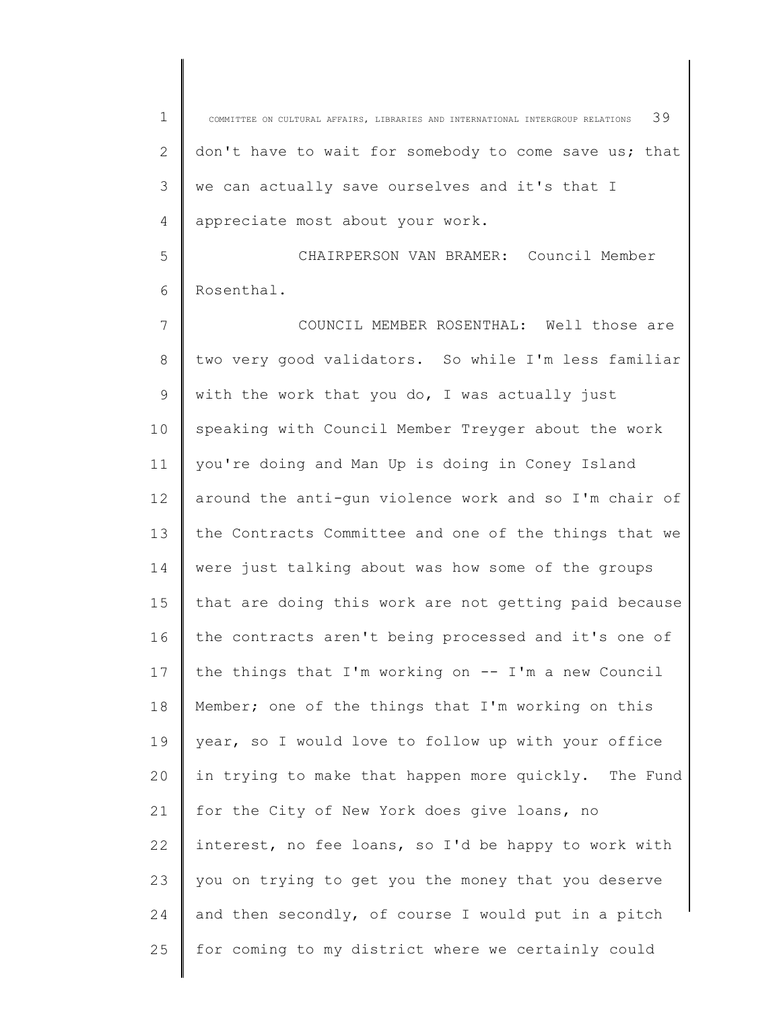1 2 3 4 COMMITTEE ON CULTURAL AFFAIRS, LIBRARIES AND INTERNATIONAL INTERGROUP RELATIONS  $39$ don't have to wait for somebody to come save us; that we can actually save ourselves and it's that I appreciate most about your work.

5 6 CHAIRPERSON VAN BRAMER: Council Member Rosenthal.

7 8 9 10 11 12 13 14 15 16 17 18 19 20 21 22 23 24 25 COUNCIL MEMBER ROSENTHAL: Well those are two very good validators. So while I'm less familiar with the work that you do, I was actually just speaking with Council Member Treyger about the work you're doing and Man Up is doing in Coney Island around the anti-gun violence work and so I'm chair of the Contracts Committee and one of the things that we were just talking about was how some of the groups that are doing this work are not getting paid because the contracts aren't being processed and it's one of the things that I'm working on -- I'm a new Council Member; one of the things that I'm working on this year, so I would love to follow up with your office in trying to make that happen more quickly. The Fund for the City of New York does give loans, no interest, no fee loans, so I'd be happy to work with you on trying to get you the money that you deserve and then secondly, of course I would put in a pitch for coming to my district where we certainly could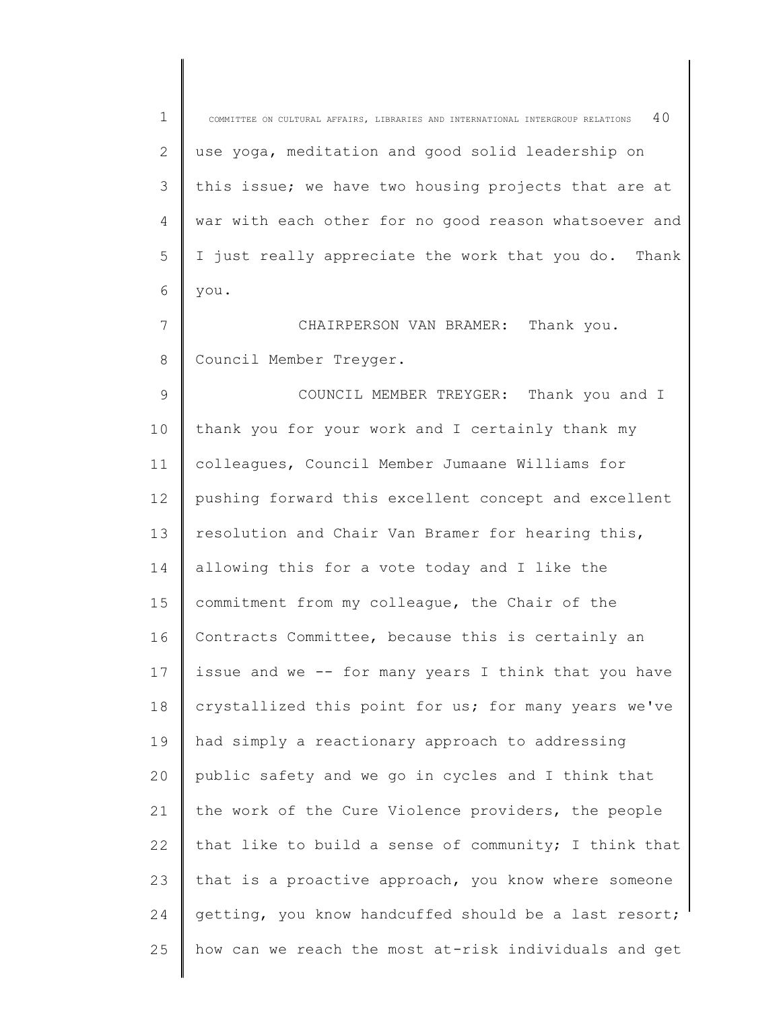| 1           | 40<br>COMMITTEE ON CULTURAL AFFAIRS, LIBRARIES AND INTERNATIONAL INTERGROUP RELATIONS |
|-------------|---------------------------------------------------------------------------------------|
| 2           | use yoga, meditation and good solid leadership on                                     |
| 3           | this issue; we have two housing projects that are at                                  |
| 4           | war with each other for no good reason whatsoever and                                 |
| 5           | I just really appreciate the work that you do.<br>Thank                               |
| 6           | you.                                                                                  |
| 7           | Thank you.<br>CHAIRPERSON VAN BRAMER:                                                 |
| 8           | Council Member Treyger.                                                               |
| $\mathsf 9$ | COUNCIL MEMBER TREYGER: Thank you and I                                               |
| 10          | thank you for your work and I certainly thank my                                      |
| 11          | colleagues, Council Member Jumaane Williams for                                       |
| 12          | pushing forward this excellent concept and excellent                                  |
| 13          | resolution and Chair Van Bramer for hearing this,                                     |
| 14          | allowing this for a vote today and I like the                                         |
| 15          | commitment from my colleague, the Chair of the                                        |
| 16          | Contracts Committee, because this is certainly an                                     |
| 17          | issue and we -- for many years I think that you have                                  |
| 18          | crystallized this point for us; for many years we've                                  |
| 19          | had simply a reactionary approach to addressing                                       |
| 20          | public safety and we go in cycles and I think that                                    |
| 21          | the work of the Cure Violence providers, the people                                   |
| 22          | that like to build a sense of community; I think that                                 |
| 23          | that is a proactive approach, you know where someone                                  |
| 24          | getting, you know handcuffed should be a last resort;                                 |
| 25          | how can we reach the most at-risk individuals and get                                 |
|             |                                                                                       |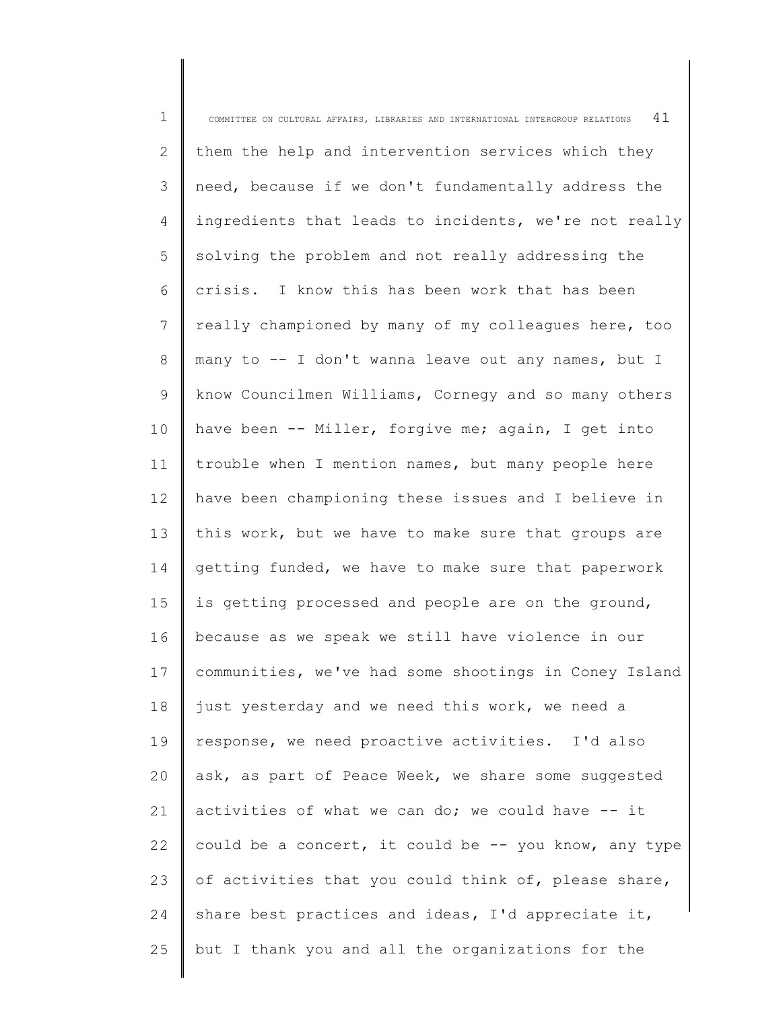| $\mathbf 1$ | 41<br>COMMITTEE ON CULTURAL AFFAIRS, LIBRARIES AND INTERNATIONAL INTERGROUP RELATIONS |
|-------------|---------------------------------------------------------------------------------------|
| 2           | them the help and intervention services which they                                    |
| 3           | need, because if we don't fundamentally address the                                   |
| 4           | ingredients that leads to incidents, we're not really                                 |
| 5           | solving the problem and not really addressing the                                     |
| 6           | crisis. I know this has been work that has been                                       |
| 7           | really championed by many of my colleagues here, too                                  |
| 8           | many to -- I don't wanna leave out any names, but I                                   |
| 9           | know Councilmen Williams, Cornegy and so many others                                  |
| 10          | have been -- Miller, forgive me; again, I get into                                    |
| 11          | trouble when I mention names, but many people here                                    |
| 12          | have been championing these issues and I believe in                                   |
| 13          | this work, but we have to make sure that groups are                                   |
| 14          | getting funded, we have to make sure that paperwork                                   |
| 15          | is getting processed and people are on the ground,                                    |
| 16          | because as we speak we still have violence in our                                     |
| 17          | communities, we've had some shootings in Coney Island                                 |
| 18          | just yesterday and we need this work, we need a                                       |
| 19          | response, we need proactive activities. I'd also                                      |
| 20          | ask, as part of Peace Week, we share some suggested                                   |
| 21          | activities of what we can do; we could have -- it                                     |
| 22          | could be a concert, it could be -- you know, any type                                 |
| 23          | of activities that you could think of, please share,                                  |
| 24          | share best practices and ideas, I'd appreciate it,                                    |
| 25          | but I thank you and all the organizations for the                                     |
|             |                                                                                       |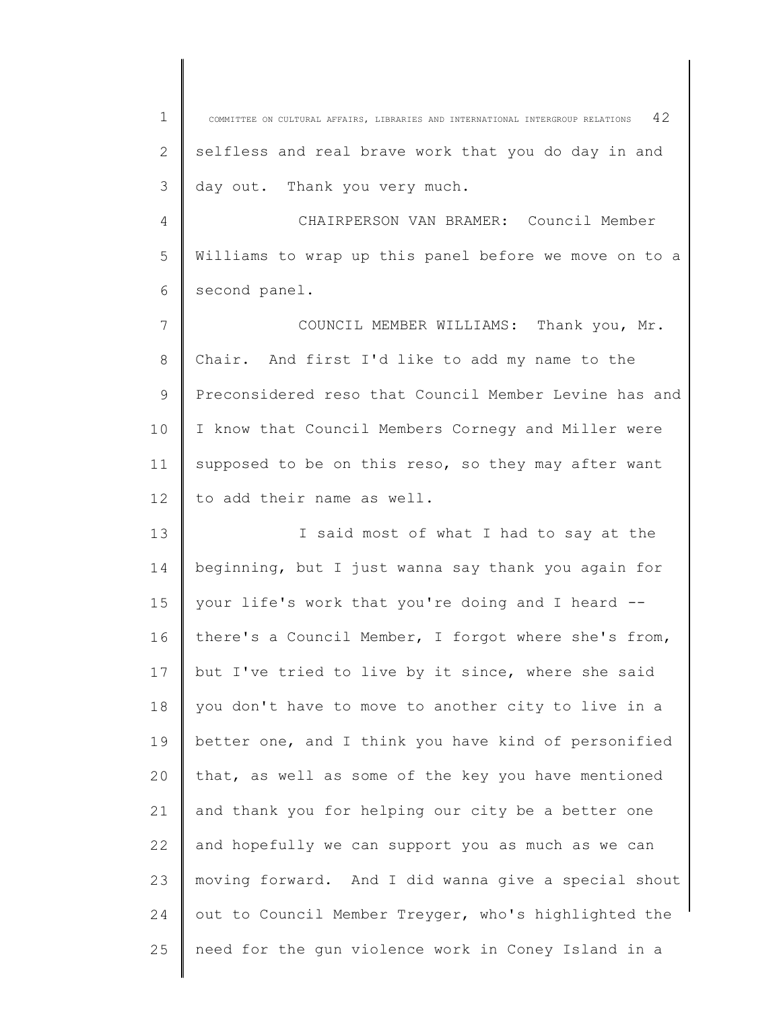1 2 3 4 5 6 7 8 9 10 11 12 13 14 15 16 17 18 19 20 21 22 23 24 25 COMMITTEE ON CULTURAL AFFAIRS, LIBRARIES AND INTERNATIONAL INTERGROUP RELATIONS  $42$ selfless and real brave work that you do day in and day out. Thank you very much. CHAIRPERSON VAN BRAMER: Council Member Williams to wrap up this panel before we move on to a second panel. COUNCIL MEMBER WILLIAMS: Thank you, Mr. Chair. And first I'd like to add my name to the Preconsidered reso that Council Member Levine has and I know that Council Members Cornegy and Miller were supposed to be on this reso, so they may after want to add their name as well. I said most of what I had to say at the beginning, but I just wanna say thank you again for your life's work that you're doing and I heard - there's a Council Member, I forgot where she's from, but I've tried to live by it since, where she said you don't have to move to another city to live in a better one, and I think you have kind of personified that, as well as some of the key you have mentioned and thank you for helping our city be a better one and hopefully we can support you as much as we can moving forward. And I did wanna give a special shout out to Council Member Treyger, who's highlighted the need for the gun violence work in Coney Island in a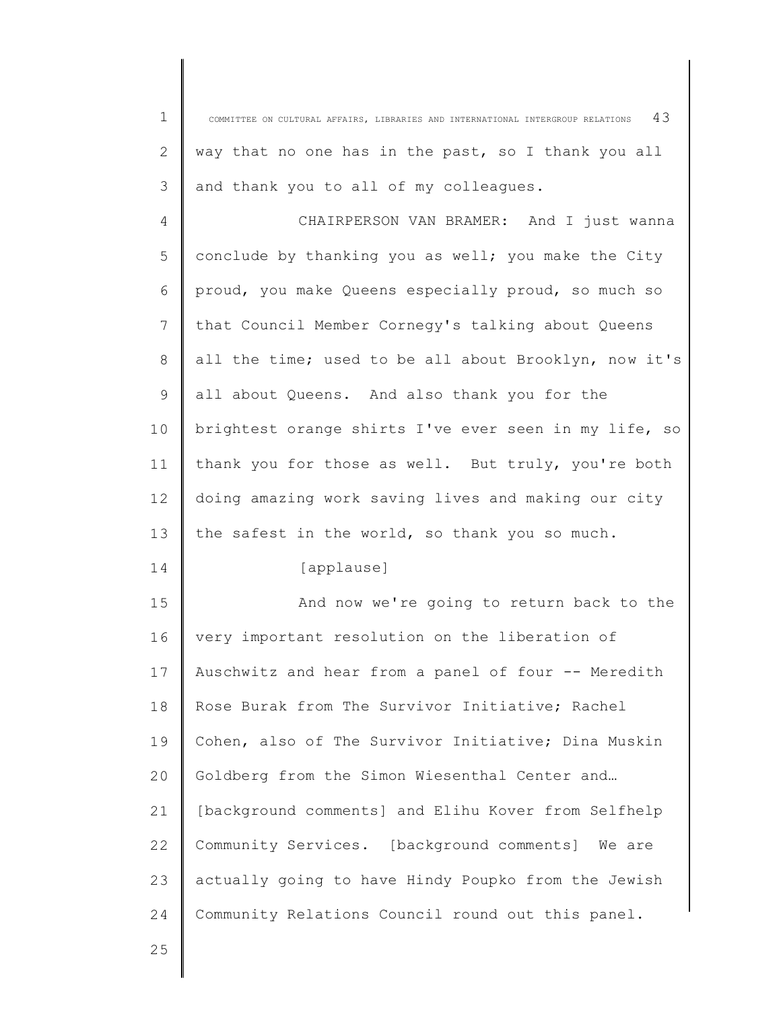1 3 COMMITTEE ON CULTURAL AFFAIRS, LIBRARIES AND INTERNATIONAL INTERGROUP RELATIONS  $43$ way that no one has in the past, so I thank you all and thank you to all of my colleagues.

4 5 6 7 8 9 10 11 12 13 CHAIRPERSON VAN BRAMER: And I just wanna conclude by thanking you as well; you make the City proud, you make Queens especially proud, so much so that Council Member Cornegy's talking about Queens all the time; used to be all about Brooklyn, now it's all about Queens. And also thank you for the brightest orange shirts I've ever seen in my life, so thank you for those as well. But truly, you're both doing amazing work saving lives and making our city the safest in the world, so thank you so much.

14

2

[applause]

15 16 17 18 19 20 21 22 23 24 And now we're going to return back to the very important resolution on the liberation of Auschwitz and hear from a panel of four -- Meredith Rose Burak from The Survivor Initiative; Rachel Cohen, also of The Survivor Initiative; Dina Muskin Goldberg from the Simon Wiesenthal Center and… [background comments] and Elihu Kover from Selfhelp Community Services. [background comments] We are actually going to have Hindy Poupko from the Jewish Community Relations Council round out this panel.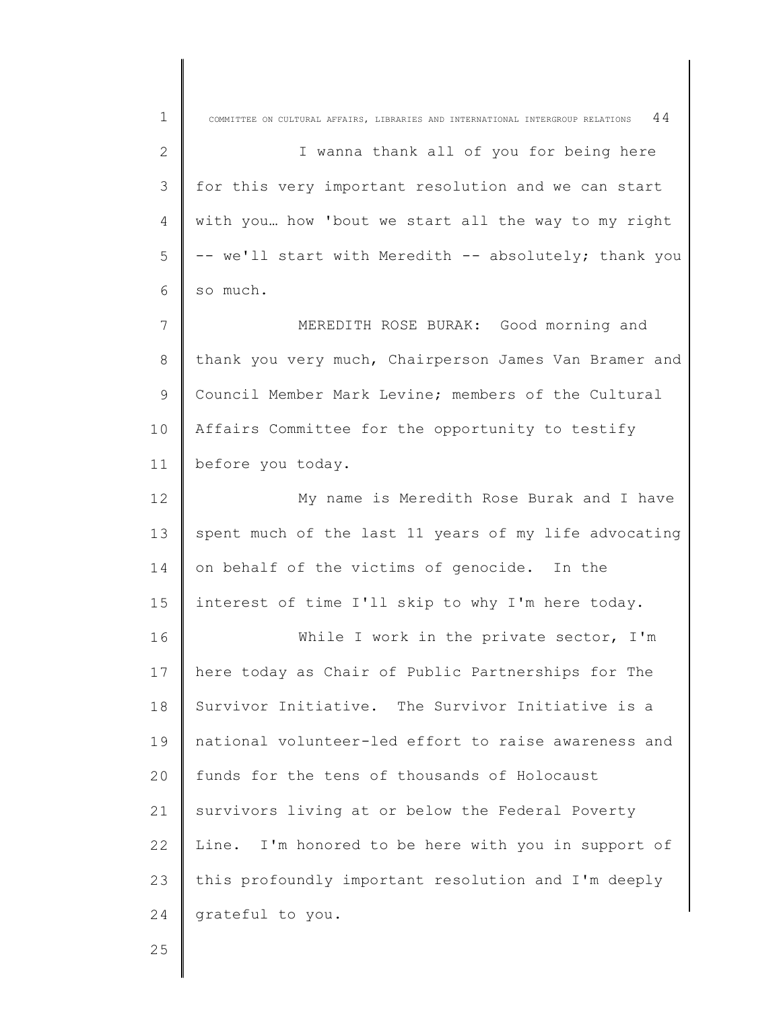| $\mathbf 1$    | 44<br>COMMITTEE ON CULTURAL AFFAIRS, LIBRARIES AND INTERNATIONAL INTERGROUP RELATIONS |
|----------------|---------------------------------------------------------------------------------------|
| $\mathbf{2}$   | I wanna thank all of you for being here                                               |
| 3              | for this very important resolution and we can start                                   |
| $\overline{4}$ | with you how 'bout we start all the way to my right                                   |
| 5              | -- we'll start with Meredith -- absolutely; thank you                                 |
| 6              | so much.                                                                              |
| 7              | MEREDITH ROSE BURAK: Good morning and                                                 |
| $\,8\,$        | thank you very much, Chairperson James Van Bramer and                                 |
| $\mathsf 9$    | Council Member Mark Levine; members of the Cultural                                   |
| 10             | Affairs Committee for the opportunity to testify                                      |
| 11             | before you today.                                                                     |
| 12             | My name is Meredith Rose Burak and I have                                             |
| 13             | spent much of the last 11 years of my life advocating                                 |
| 14             | on behalf of the victims of genocide. In the                                          |
| 15             | interest of time I'll skip to why I'm here today.                                     |
| 16             | While I work in the private sector, I'm                                               |
| 17             | here today as Chair of Public Partnerships for The                                    |
| 18             | Survivor Initiative. The Survivor Initiative is a                                     |
| 19             | national volunteer-led effort to raise awareness and                                  |
| 20             | funds for the tens of thousands of Holocaust                                          |
| 21             | survivors living at or below the Federal Poverty                                      |
| 22             | Line. I'm honored to be here with you in support of                                   |
| 23             | this profoundly important resolution and I'm deeply                                   |
| 24             | grateful to you.                                                                      |

25

I ∥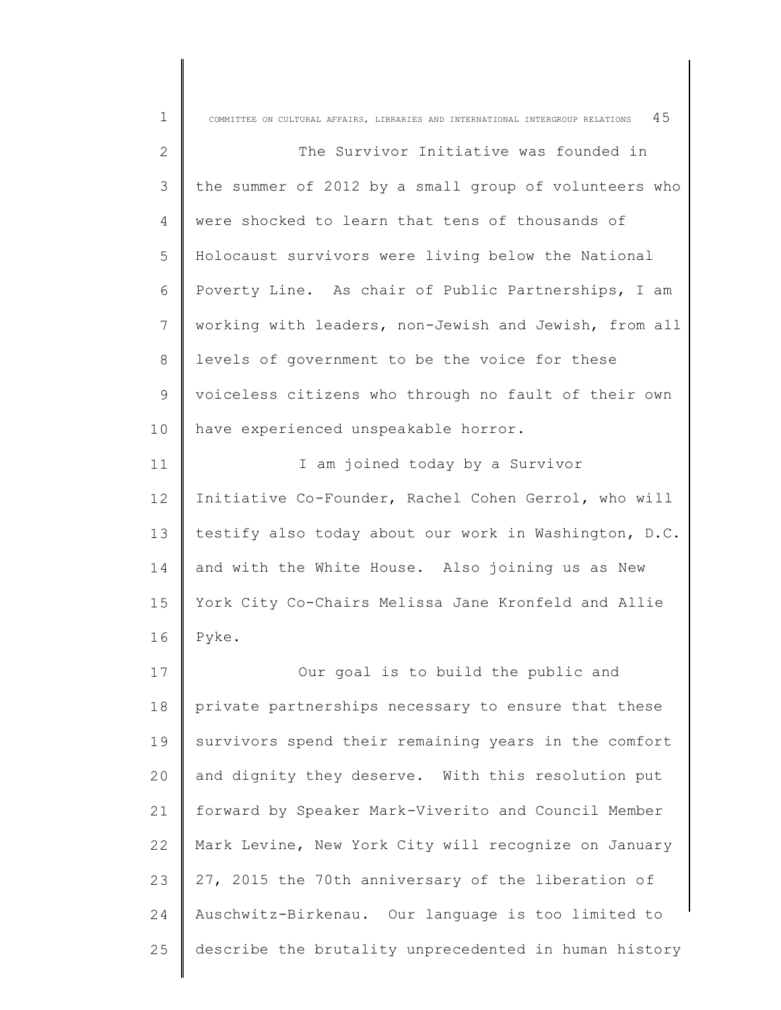| $\mathbf 1$    | 45<br>COMMITTEE ON CULTURAL AFFAIRS, LIBRARIES AND INTERNATIONAL INTERGROUP RELATIONS |
|----------------|---------------------------------------------------------------------------------------|
| 2              | The Survivor Initiative was founded in                                                |
| $\mathfrak{Z}$ | the summer of 2012 by a small group of volunteers who                                 |
| 4              | were shocked to learn that tens of thousands of                                       |
| 5              | Holocaust survivors were living below the National                                    |
| 6              | Poverty Line. As chair of Public Partnerships, I am                                   |
| 7              | working with leaders, non-Jewish and Jewish, from all                                 |
| $8\,$          | levels of government to be the voice for these                                        |
| $\mathsf 9$    | voiceless citizens who through no fault of their own                                  |
|                |                                                                                       |
| 10             | have experienced unspeakable horror.                                                  |
| 11             | I am joined today by a Survivor                                                       |
| 12             | Initiative Co-Founder, Rachel Cohen Gerrol, who will                                  |
| 13             | testify also today about our work in Washington, D.C.                                 |
| 14             | and with the White House. Also joining us as New                                      |
| 15             | York City Co-Chairs Melissa Jane Kronfeld and Allie                                   |
| 16             | Pyke.                                                                                 |
| 17             | Our goal is to build the public and                                                   |
| 18             | private partnerships necessary to ensure that these                                   |
| 19             | survivors spend their remaining years in the comfort                                  |
| 20             | and dignity they deserve. With this resolution put                                    |
| 21             | forward by Speaker Mark-Viverito and Council Member                                   |
| 22             | Mark Levine, New York City will recognize on January                                  |
| 23             | 27, 2015 the 70th anniversary of the liberation of                                    |
| 24             | Auschwitz-Birkenau. Our language is too limited to                                    |
| 25             | describe the brutality unprecedented in human history                                 |
|                |                                                                                       |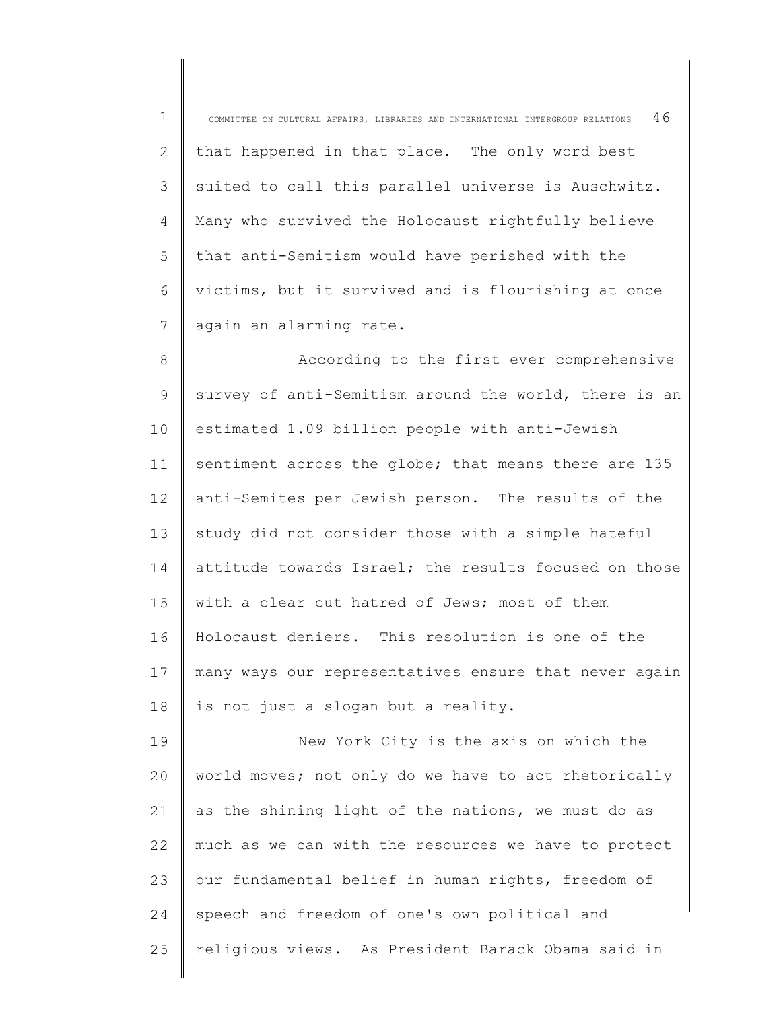1 2 3 4 5 6 7 8 9 10 11 12 13 14 15 16 17 18 19  $20$ 21 22 23 COMMITTEE ON CULTURAL AFFAIRS, LIBRARIES AND INTERNATIONAL INTERGROUP RELATIONS  $46$ that happened in that place. The only word best suited to call this parallel universe is Auschwitz. Many who survived the Holocaust rightfully believe that anti-Semitism would have perished with the victims, but it survived and is flourishing at once again an alarming rate. According to the first ever comprehensive survey of anti-Semitism around the world, there is an estimated 1.09 billion people with anti-Jewish sentiment across the globe; that means there are 135 anti-Semites per Jewish person. The results of the study did not consider those with a simple hateful attitude towards Israel; the results focused on those with a clear cut hatred of Jews; most of them Holocaust deniers. This resolution is one of the many ways our representatives ensure that never again is not just a slogan but a reality. New York City is the axis on which the world moves; not only do we have to act rhetorically as the shining light of the nations, we must do as much as we can with the resources we have to protect our fundamental belief in human rights, freedom of

25 religious views. As President Barack Obama said in

speech and freedom of one's own political and

24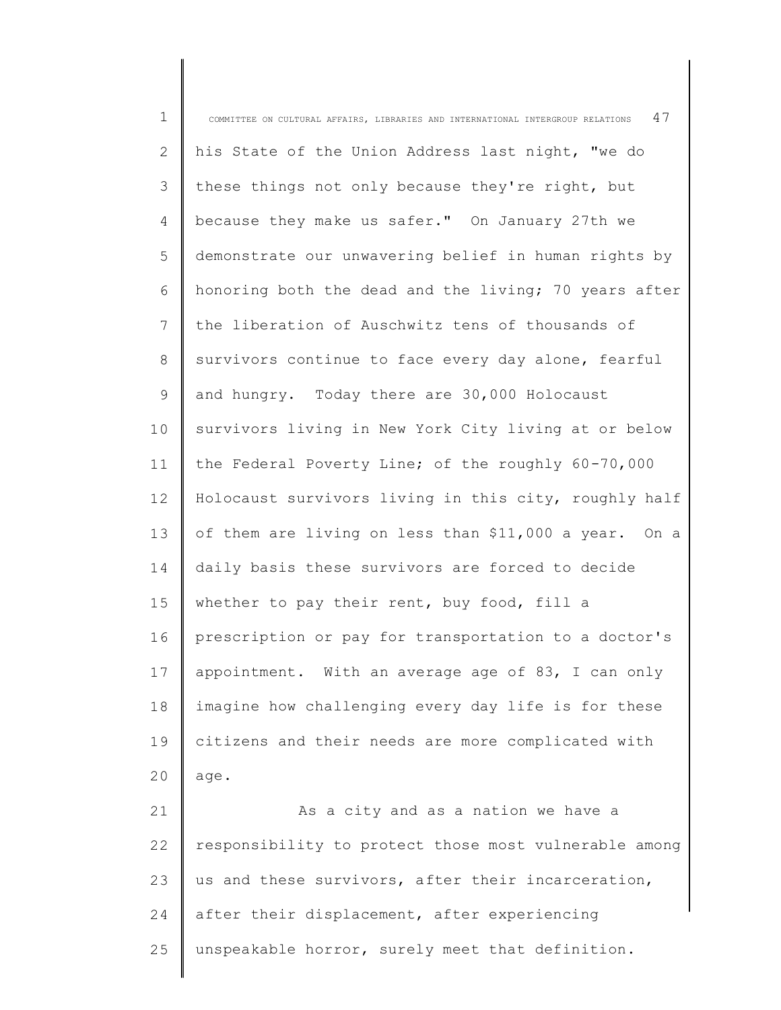1 2 3 4 5 6 7 8 9 10 11 12 13 14 15 16 17 18 19 20 21 22 23 24 COMMITTEE ON CULTURAL AFFAIRS, LIBRARIES AND INTERNATIONAL INTERGROUP RELATIONS  $\,$  47  $\,$ his State of the Union Address last night, "we do these things not only because they're right, but because they make us safer." On January 27th we demonstrate our unwavering belief in human rights by honoring both the dead and the living; 70 years after the liberation of Auschwitz tens of thousands of survivors continue to face every day alone, fearful and hungry. Today there are 30,000 Holocaust survivors living in New York City living at or below the Federal Poverty Line; of the roughly 60-70,000 Holocaust survivors living in this city, roughly half of them are living on less than \$11,000 a year. On a daily basis these survivors are forced to decide whether to pay their rent, buy food, fill a prescription or pay for transportation to a doctor's appointment. With an average age of 83, I can only imagine how challenging every day life is for these citizens and their needs are more complicated with age. As a city and as a nation we have a responsibility to protect those most vulnerable among us and these survivors, after their incarceration, after their displacement, after experiencing

unspeakable horror, surely meet that definition.

25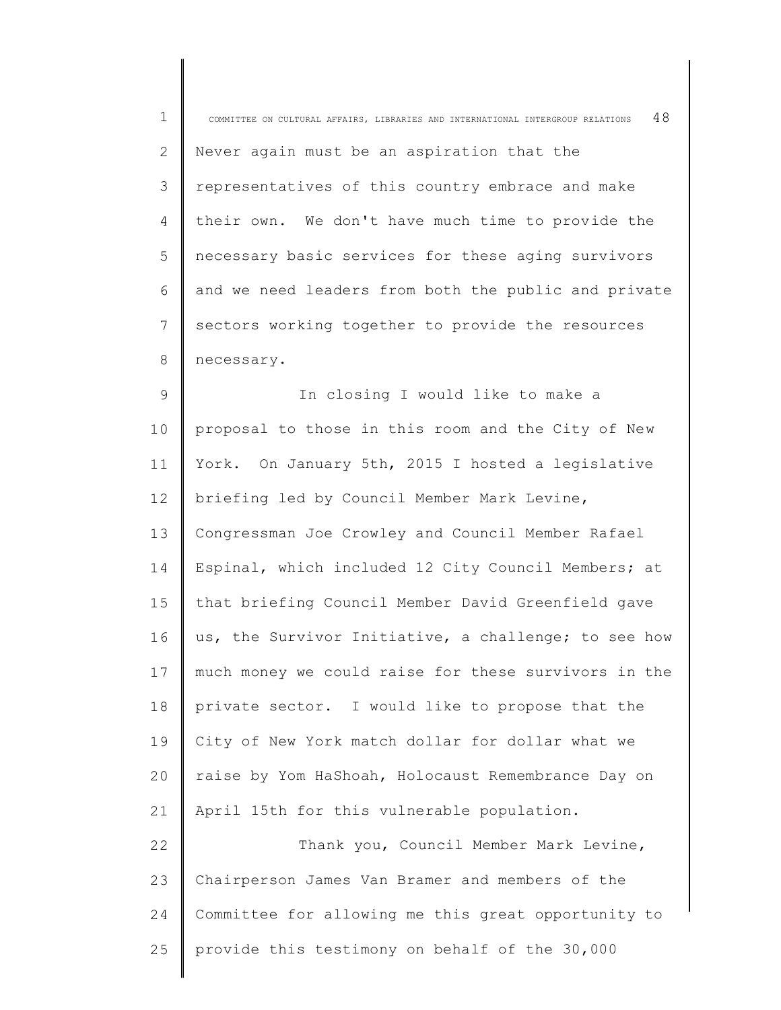| $\mathbf 1$    | 48<br>COMMITTEE ON CULTURAL AFFAIRS, LIBRARIES AND INTERNATIONAL INTERGROUP RELATIONS |
|----------------|---------------------------------------------------------------------------------------|
| $\overline{2}$ | Never again must be an aspiration that the                                            |
| 3              | representatives of this country embrace and make                                      |
| 4              | their own. We don't have much time to provide the                                     |
| 5              | necessary basic services for these aging survivors                                    |
| 6              | and we need leaders from both the public and private                                  |
| 7              | sectors working together to provide the resources                                     |
| 8              | necessary.                                                                            |
| 9              | In closing I would like to make a                                                     |
| 10             | proposal to those in this room and the City of New                                    |
| 11             | York. On January 5th, 2015 I hosted a legislative                                     |
| 12             | briefing led by Council Member Mark Levine,                                           |
| 13             | Congressman Joe Crowley and Council Member Rafael                                     |
| 14             | Espinal, which included 12 City Council Members; at                                   |
| 15             | that briefing Council Member David Greenfield gave                                    |
| 16             | us, the Survivor Initiative, a challenge; to see how                                  |
| 17             | much money we could raise for these survivors in the                                  |
| 18             | private sector. I would like to propose that the                                      |
| 19             | City of New York match dollar for dollar what we                                      |
| 20             | raise by Yom HaShoah, Holocaust Remembrance Day on                                    |
| 21             | April 15th for this vulnerable population.                                            |
| 22             | Thank you, Council Member Mark Levine,                                                |
| 23             | Chairperson James Van Bramer and members of the                                       |
| 24             | Committee for allowing me this great opportunity to                                   |
| 25             | provide this testimony on behalf of the 30,000                                        |

 $\parallel$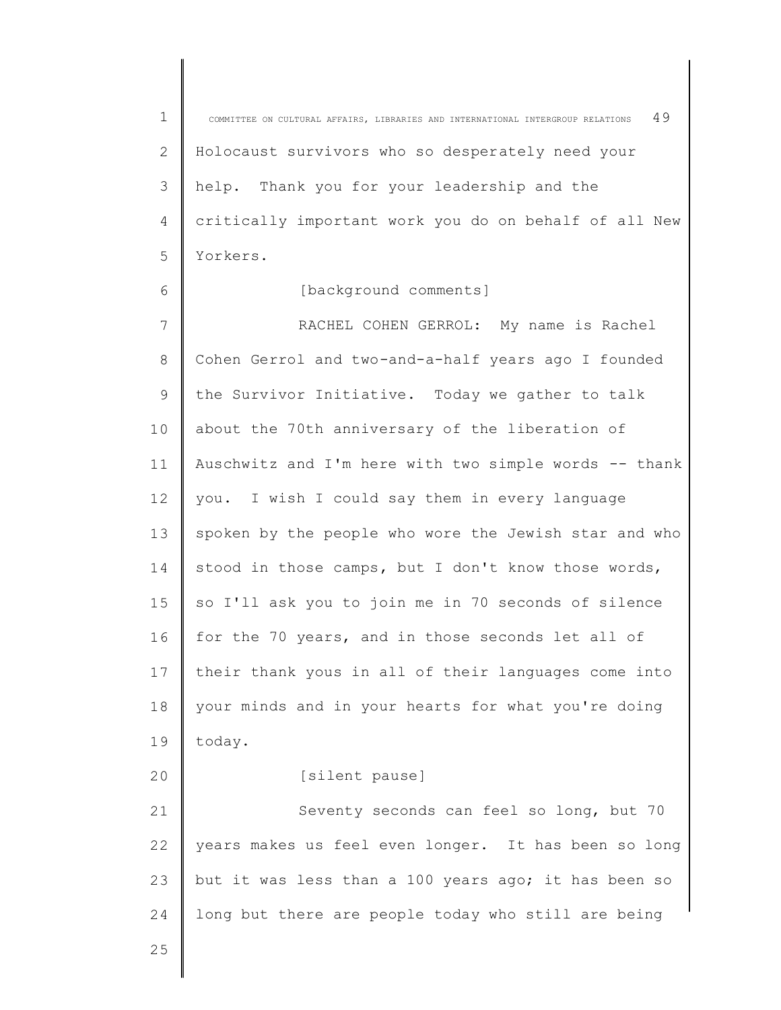1 2 3 4 5 COMMITTEE ON CULTURAL AFFAIRS, LIBRARIES AND INTERNATIONAL INTERGROUP RELATIONS  $49$ Holocaust survivors who so desperately need your help. Thank you for your leadership and the critically important work you do on behalf of all New Yorkers.

## [background comments]

7 8 9 10 11 12 13 14 15 16 17 18 19 20 21 22 23 24 RACHEL COHEN GERROL: My name is Rachel Cohen Gerrol and two-and-a-half years ago I founded the Survivor Initiative. Today we gather to talk about the 70th anniversary of the liberation of Auschwitz and I'm here with two simple words -- thank you. I wish I could say them in every language spoken by the people who wore the Jewish star and who stood in those camps, but I don't know those words, so I'll ask you to join me in 70 seconds of silence for the 70 years, and in those seconds let all of their thank yous in all of their languages come into your minds and in your hearts for what you're doing today. [silent pause] Seventy seconds can feel so long, but 70 years makes us feel even longer. It has been so long but it was less than a 100 years ago; it has been so long but there are people today who still are being

25

6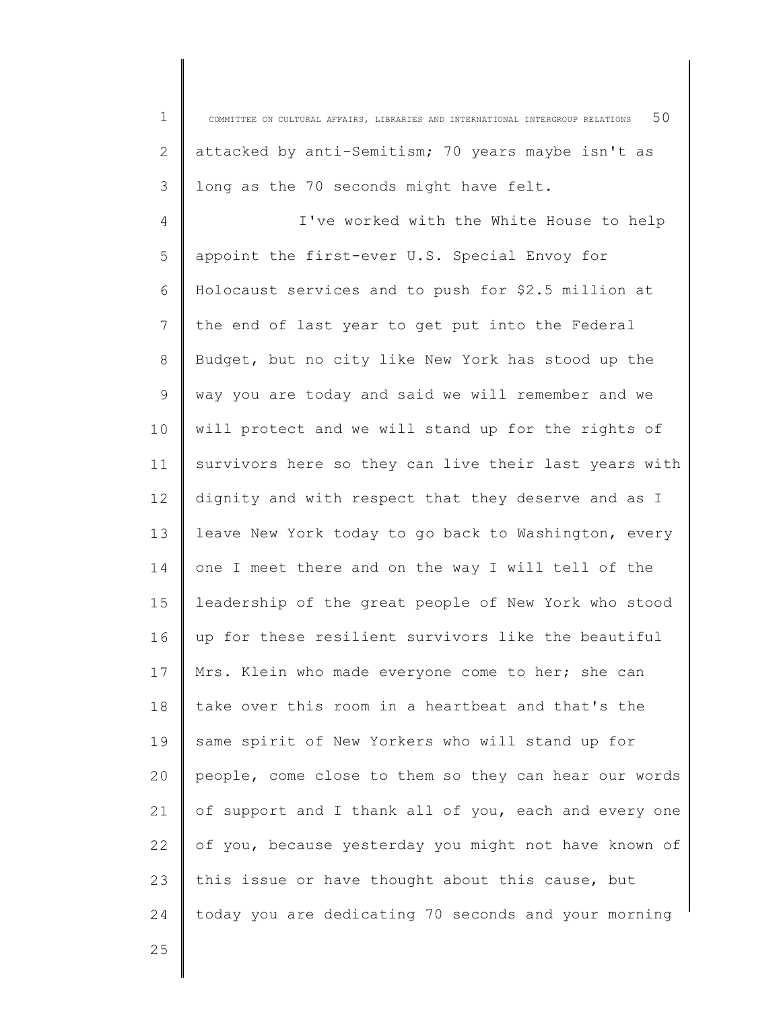1 2 3 4 5 6 7 8 9 10 11 12 13 14 COMMITTEE ON CULTURAL AFFAIRS, LIBRARIES AND INTERNATIONAL INTERGROUP RELATIONS  $50$ attacked by anti-Semitism; 70 years maybe isn't as long as the 70 seconds might have felt. I've worked with the White House to help appoint the first-ever U.S. Special Envoy for Holocaust services and to push for \$2.5 million at the end of last year to get put into the Federal Budget, but no city like New York has stood up the way you are today and said we will remember and we will protect and we will stand up for the rights of survivors here so they can live their last years with dignity and with respect that they deserve and as I leave New York today to go back to Washington, every one I meet there and on the way I will tell of the

15 16 17 18 19 20 21 22 23 24 leadership of the great people of New York who stood up for these resilient survivors like the beautiful Mrs. Klein who made everyone come to her; she can take over this room in a heartbeat and that's the same spirit of New Yorkers who will stand up for people, come close to them so they can hear our words of support and I thank all of you, each and every one of you, because yesterday you might not have known of this issue or have thought about this cause, but today you are dedicating 70 seconds and your morning

25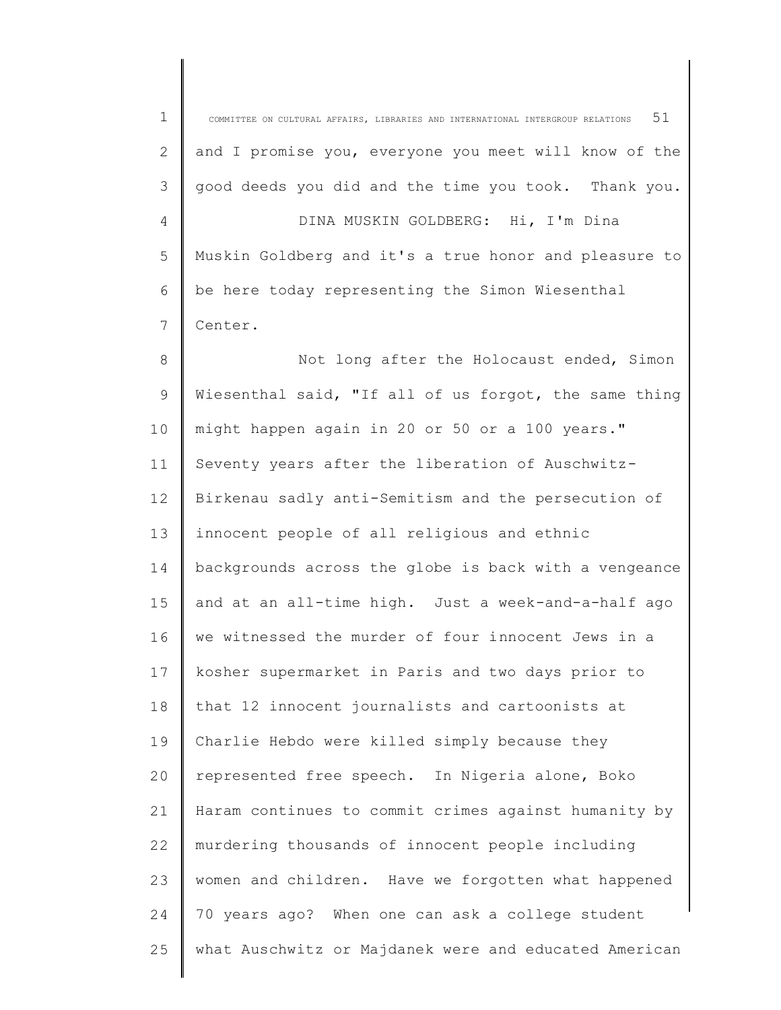| $\mathbf 1$ | 51<br>COMMITTEE ON CULTURAL AFFAIRS, LIBRARIES AND INTERNATIONAL INTERGROUP RELATIONS |
|-------------|---------------------------------------------------------------------------------------|
| 2           | and I promise you, everyone you meet will know of the                                 |
| 3           | good deeds you did and the time you took. Thank you.                                  |
| 4           | DINA MUSKIN GOLDBERG: Hi, I'm Dina                                                    |
| 5           | Muskin Goldberg and it's a true honor and pleasure to                                 |
| 6           | be here today representing the Simon Wiesenthal                                       |
| 7           | Center.                                                                               |
| 8           | Not long after the Holocaust ended, Simon                                             |
| 9           | Wiesenthal said, "If all of us forgot, the same thing                                 |
| 10          | might happen again in 20 or 50 or a 100 years."                                       |
| 11          | Seventy years after the liberation of Auschwitz-                                      |
| 12          | Birkenau sadly anti-Semitism and the persecution of                                   |
| 13          | innocent people of all religious and ethnic                                           |
| 14          | backgrounds across the globe is back with a vengeance                                 |
| 15          | and at an all-time high. Just a week-and-a-half ago                                   |
| 16          | we witnessed the murder of four innocent Jews in a                                    |
| 17          | kosher supermarket in Paris and two days prior to                                     |
| 18          | that 12 innocent journalists and cartoonists at                                       |
| 19          | Charlie Hebdo were killed simply because they                                         |
| 20          | represented free speech. In Nigeria alone, Boko                                       |
| 21          | Haram continues to commit crimes against humanity by                                  |
| 22          | murdering thousands of innocent people including                                      |
| 23          | women and children. Have we forgotten what happened                                   |
| 24          | 70 years ago? When one can ask a college student                                      |
| 25          | what Auschwitz or Majdanek were and educated American                                 |
|             |                                                                                       |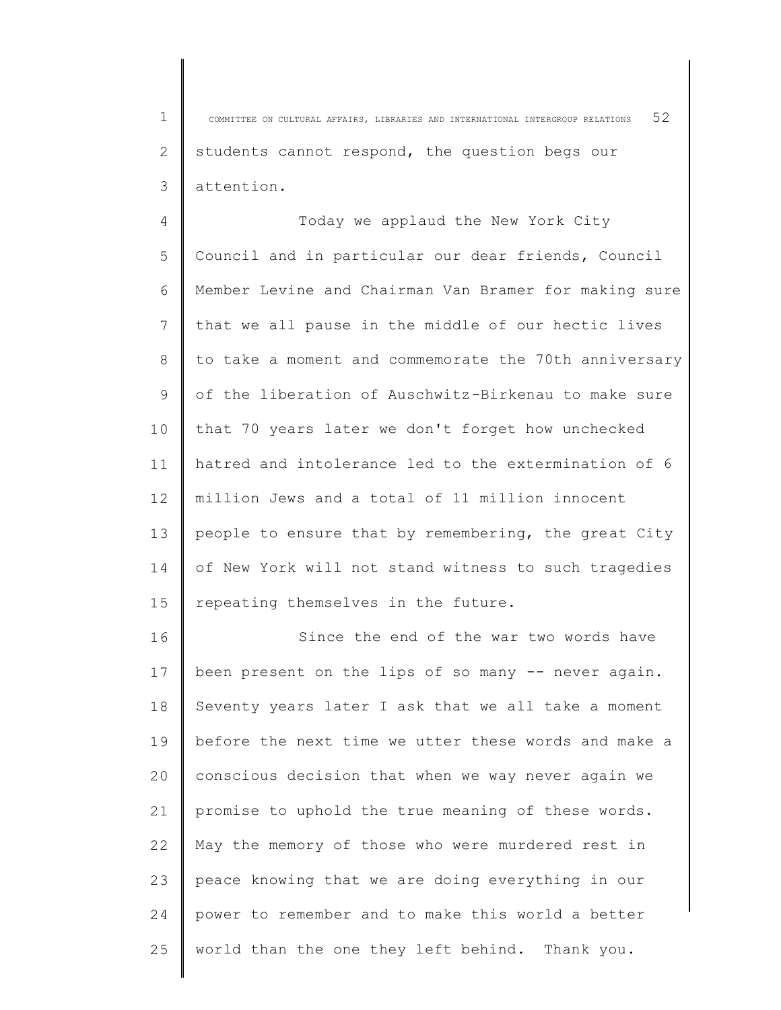1 2 3 COMMITTEE ON CULTURAL AFFAIRS, LIBRARIES AND INTERNATIONAL INTERGROUP RELATIONS 52 students cannot respond, the question begs our attention.

4 5 6 7 8 9 10 11 12 13 14 15 Today we applaud the New York City Council and in particular our dear friends, Council Member Levine and Chairman Van Bramer for making sure that we all pause in the middle of our hectic lives to take a moment and commemorate the 70th anniversary of the liberation of Auschwitz-Birkenau to make sure that 70 years later we don't forget how unchecked hatred and intolerance led to the extermination of 6 million Jews and a total of 11 million innocent people to ensure that by remembering, the great City of New York will not stand witness to such tragedies repeating themselves in the future.

16 17 18 19  $20$ 21 22 23 24 25 Since the end of the war two words have been present on the lips of so many -- never again. Seventy years later I ask that we all take a moment before the next time we utter these words and make a conscious decision that when we way never again we promise to uphold the true meaning of these words. May the memory of those who were murdered rest in peace knowing that we are doing everything in our power to remember and to make this world a better world than the one they left behind. Thank you.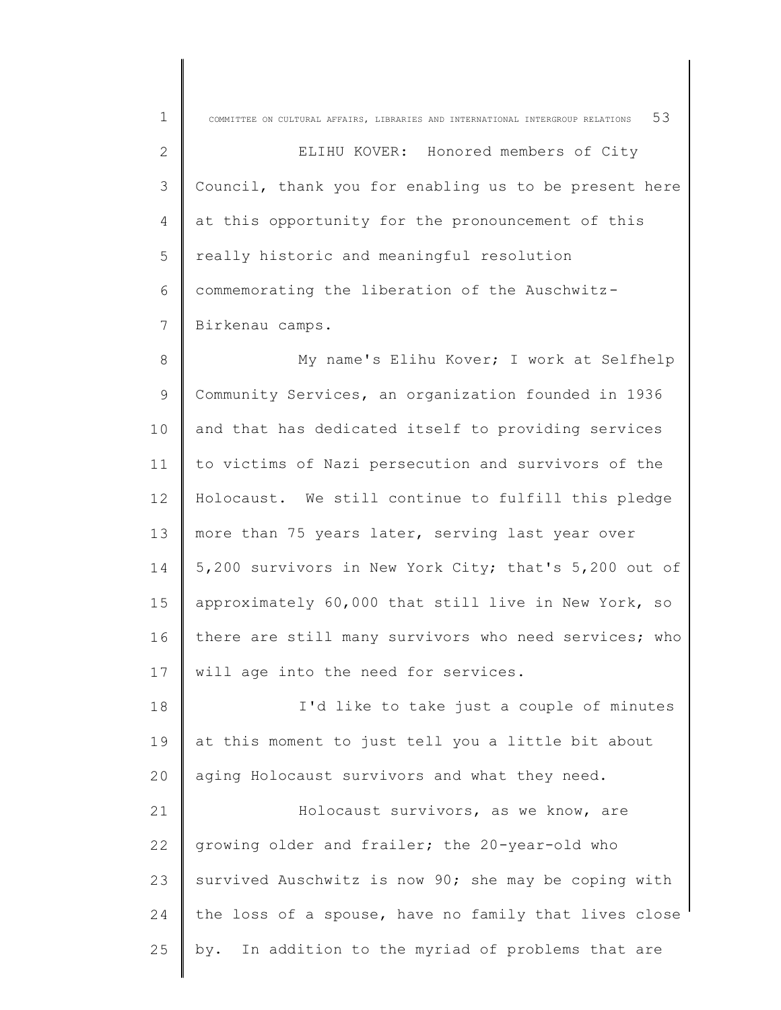| $\mathbf 1$     | 53<br>COMMITTEE ON CULTURAL AFFAIRS, LIBRARIES AND INTERNATIONAL INTERGROUP RELATIONS |
|-----------------|---------------------------------------------------------------------------------------|
| 2               | ELIHU KOVER: Honored members of City                                                  |
| 3               | Council, thank you for enabling us to be present here                                 |
| 4               | at this opportunity for the pronouncement of this                                     |
| 5               | really historic and meaningful resolution                                             |
| 6               | commemorating the liberation of the Auschwitz-                                        |
| 7               | Birkenau camps.                                                                       |
| 8               | My name's Elihu Kover; I work at Selfhelp                                             |
| 9               | Community Services, an organization founded in 1936                                   |
| 10              | and that has dedicated itself to providing services                                   |
| 11              | to victims of Nazi persecution and survivors of the                                   |
| 12 <sup>°</sup> | Holocaust. We still continue to fulfill this pledge                                   |
| 13              | more than 75 years later, serving last year over                                      |
| 14              | 5,200 survivors in New York City; that's 5,200 out of                                 |
| 15              | approximately 60,000 that still live in New York, so                                  |
| 16              | there are still many survivors who need services; who                                 |
| 17              | will age into the need for services.                                                  |
| 18              | I'd like to take just a couple of minutes                                             |
| 19              | at this moment to just tell you a little bit about                                    |
| 20              | aging Holocaust survivors and what they need.                                         |
| 21              | Holocaust survivors, as we know, are                                                  |
| 22              | growing older and frailer; the 20-year-old who                                        |
| 23              | survived Auschwitz is now 90; she may be coping with                                  |
| 24              | the loss of a spouse, have no family that lives close                                 |
| 25              | In addition to the myriad of problems that are<br>by.                                 |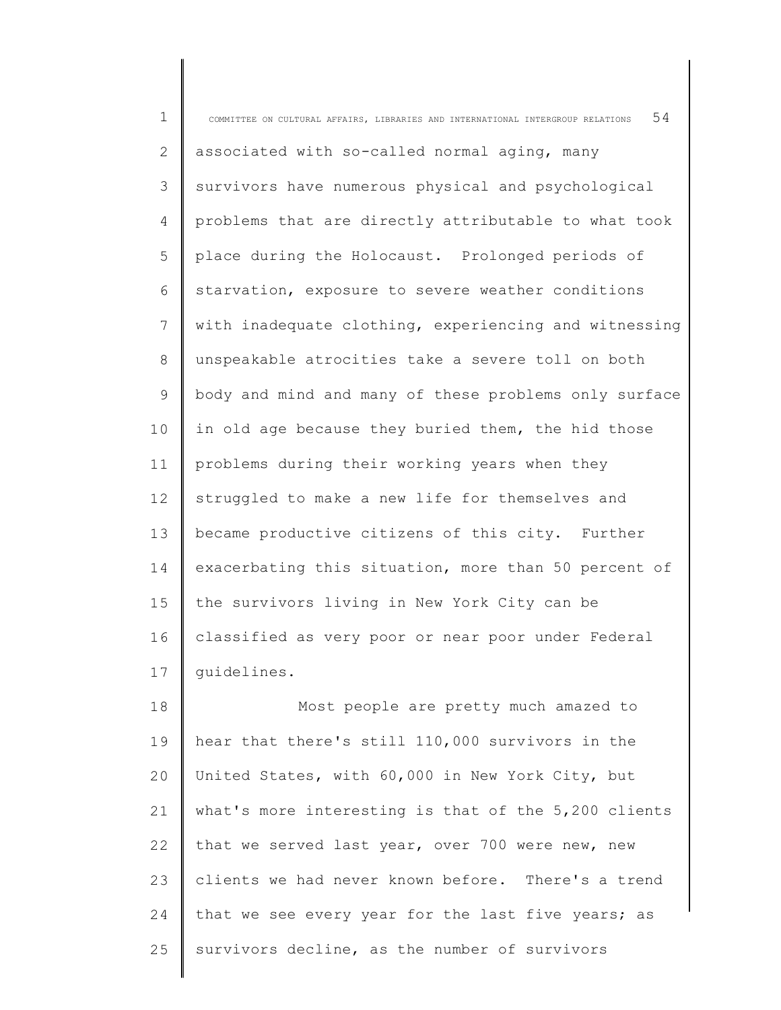1 2 3 4 5 6 7 8 9 10 11 12 13 14 15 16 17 18 COMMITTEE ON CULTURAL AFFAIRS, LIBRARIES AND INTERNATIONAL INTERGROUP RELATIONS  $54$ associated with so-called normal aging, many survivors have numerous physical and psychological problems that are directly attributable to what took place during the Holocaust. Prolonged periods of starvation, exposure to severe weather conditions with inadequate clothing, experiencing and witnessing unspeakable atrocities take a severe toll on both body and mind and many of these problems only surface in old age because they buried them, the hid those problems during their working years when they struggled to make a new life for themselves and became productive citizens of this city. Further exacerbating this situation, more than 50 percent of the survivors living in New York City can be classified as very poor or near poor under Federal guidelines. Most people are pretty much amazed to hear that there's still 110,000 survivors in the

19 20 21 22 23 24 25 United States, with 60,000 in New York City, but what's more interesting is that of the 5,200 clients that we served last year, over 700 were new, new clients we had never known before. There's a trend that we see every year for the last five years; as survivors decline, as the number of survivors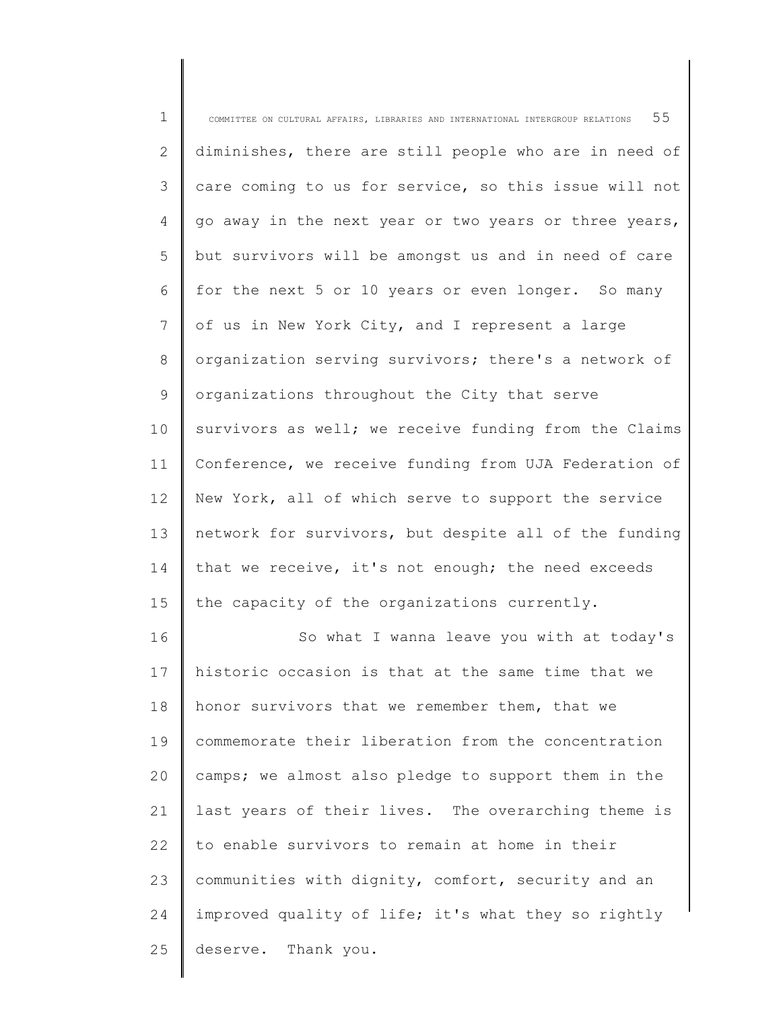| $\mathbf 1$ | 55<br>COMMITTEE ON CULTURAL AFFAIRS, LIBRARIES AND INTERNATIONAL INTERGROUP RELATIONS |
|-------------|---------------------------------------------------------------------------------------|
| 2           | diminishes, there are still people who are in need of                                 |
| 3           | care coming to us for service, so this issue will not                                 |
| 4           | go away in the next year or two years or three years,                                 |
| 5           | but survivors will be amongst us and in need of care                                  |
| 6           | for the next 5 or 10 years or even longer. So many                                    |
| 7           | of us in New York City, and I represent a large                                       |
| 8           | organization serving survivors; there's a network of                                  |
| 9           | organizations throughout the City that serve                                          |
| 10          | survivors as well; we receive funding from the Claims                                 |
| 11          | Conference, we receive funding from UJA Federation of                                 |
| 12          | New York, all of which serve to support the service                                   |
| 13          | network for survivors, but despite all of the funding                                 |
| 14          | that we receive, it's not enough; the need exceeds                                    |
| 15          | the capacity of the organizations currently.                                          |
| 16          | So what I wanna leave you with at today's                                             |
| 17          | historic occasion is that at the same time that we                                    |
| 18          | honor survivors that we remember them, that we                                        |
| 19          | commemorate their liberation from the concentration                                   |
| 20          | camps; we almost also pledge to support them in the                                   |
| 21          | last years of their lives. The overarching theme is                                   |
| 22          | to enable survivors to remain at home in their                                        |
| 23          | communities with dignity, comfort, security and an                                    |
| 24          | improved quality of life; it's what they so rightly                                   |
| 25          | deserve. Thank you.                                                                   |
|             |                                                                                       |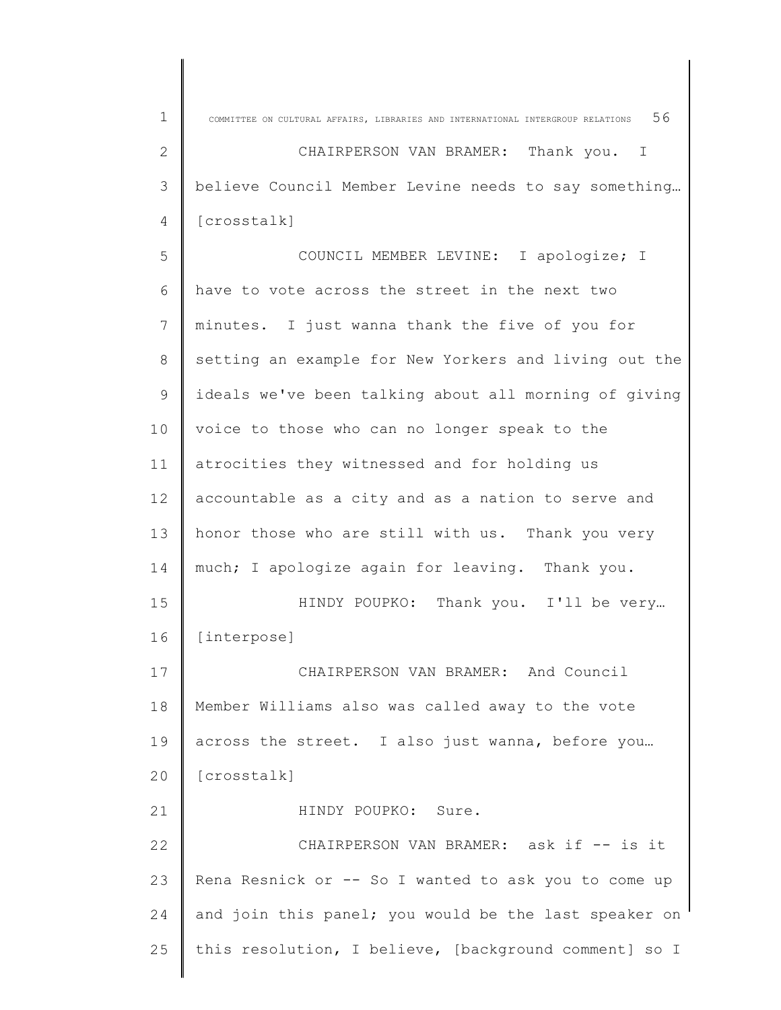| 56<br>1<br>COMMITTEE ON CULTURAL AFFAIRS, LIBRARIES AND INTERNATIONAL INTERGROUP RELATIONS<br>2<br>CHAIRPERSON VAN BRAMER:<br>Thank you. I<br>believe Council Member Levine needs to say something<br>3<br>[crosstalk]<br>4<br>5<br>COUNCIL MEMBER LEVINE: I apologize; I<br>have to vote across the street in the next two<br>6<br>minutes. I just wanna thank the five of you for<br>7<br>setting an example for New Yorkers and living out the<br>8<br>ideals we've been talking about all morning of giving<br>9<br>10<br>voice to those who can no longer speak to the<br>atrocities they witnessed and for holding us<br>11<br>accountable as a city and as a nation to serve and<br>12 <sup>°</sup><br>13<br>honor those who are still with us. Thank you very<br>much; I apologize again for leaving. Thank you.<br>14<br>15<br>Thank you. I'll be very<br>HINDY POUPKO:<br>16<br>[interpose]<br>CHAIRPERSON VAN BRAMER: And Council<br>17<br>Member Williams also was called away to the vote<br>18<br>19<br>across the street. I also just wanna, before you<br>[crosstalk]<br>20<br>21<br>HINDY POUPKO: Sure.<br>22<br>CHAIRPERSON VAN BRAMER: ask if -- is it |    |                                                      |
|---------------------------------------------------------------------------------------------------------------------------------------------------------------------------------------------------------------------------------------------------------------------------------------------------------------------------------------------------------------------------------------------------------------------------------------------------------------------------------------------------------------------------------------------------------------------------------------------------------------------------------------------------------------------------------------------------------------------------------------------------------------------------------------------------------------------------------------------------------------------------------------------------------------------------------------------------------------------------------------------------------------------------------------------------------------------------------------------------------------------------------------------------------------------------|----|------------------------------------------------------|
|                                                                                                                                                                                                                                                                                                                                                                                                                                                                                                                                                                                                                                                                                                                                                                                                                                                                                                                                                                                                                                                                                                                                                                           |    |                                                      |
|                                                                                                                                                                                                                                                                                                                                                                                                                                                                                                                                                                                                                                                                                                                                                                                                                                                                                                                                                                                                                                                                                                                                                                           |    |                                                      |
|                                                                                                                                                                                                                                                                                                                                                                                                                                                                                                                                                                                                                                                                                                                                                                                                                                                                                                                                                                                                                                                                                                                                                                           |    |                                                      |
|                                                                                                                                                                                                                                                                                                                                                                                                                                                                                                                                                                                                                                                                                                                                                                                                                                                                                                                                                                                                                                                                                                                                                                           |    |                                                      |
|                                                                                                                                                                                                                                                                                                                                                                                                                                                                                                                                                                                                                                                                                                                                                                                                                                                                                                                                                                                                                                                                                                                                                                           |    |                                                      |
|                                                                                                                                                                                                                                                                                                                                                                                                                                                                                                                                                                                                                                                                                                                                                                                                                                                                                                                                                                                                                                                                                                                                                                           |    |                                                      |
|                                                                                                                                                                                                                                                                                                                                                                                                                                                                                                                                                                                                                                                                                                                                                                                                                                                                                                                                                                                                                                                                                                                                                                           |    |                                                      |
|                                                                                                                                                                                                                                                                                                                                                                                                                                                                                                                                                                                                                                                                                                                                                                                                                                                                                                                                                                                                                                                                                                                                                                           |    |                                                      |
|                                                                                                                                                                                                                                                                                                                                                                                                                                                                                                                                                                                                                                                                                                                                                                                                                                                                                                                                                                                                                                                                                                                                                                           |    |                                                      |
|                                                                                                                                                                                                                                                                                                                                                                                                                                                                                                                                                                                                                                                                                                                                                                                                                                                                                                                                                                                                                                                                                                                                                                           |    |                                                      |
|                                                                                                                                                                                                                                                                                                                                                                                                                                                                                                                                                                                                                                                                                                                                                                                                                                                                                                                                                                                                                                                                                                                                                                           |    |                                                      |
|                                                                                                                                                                                                                                                                                                                                                                                                                                                                                                                                                                                                                                                                                                                                                                                                                                                                                                                                                                                                                                                                                                                                                                           |    |                                                      |
|                                                                                                                                                                                                                                                                                                                                                                                                                                                                                                                                                                                                                                                                                                                                                                                                                                                                                                                                                                                                                                                                                                                                                                           |    |                                                      |
|                                                                                                                                                                                                                                                                                                                                                                                                                                                                                                                                                                                                                                                                                                                                                                                                                                                                                                                                                                                                                                                                                                                                                                           |    |                                                      |
|                                                                                                                                                                                                                                                                                                                                                                                                                                                                                                                                                                                                                                                                                                                                                                                                                                                                                                                                                                                                                                                                                                                                                                           |    |                                                      |
|                                                                                                                                                                                                                                                                                                                                                                                                                                                                                                                                                                                                                                                                                                                                                                                                                                                                                                                                                                                                                                                                                                                                                                           |    |                                                      |
|                                                                                                                                                                                                                                                                                                                                                                                                                                                                                                                                                                                                                                                                                                                                                                                                                                                                                                                                                                                                                                                                                                                                                                           |    |                                                      |
|                                                                                                                                                                                                                                                                                                                                                                                                                                                                                                                                                                                                                                                                                                                                                                                                                                                                                                                                                                                                                                                                                                                                                                           |    |                                                      |
|                                                                                                                                                                                                                                                                                                                                                                                                                                                                                                                                                                                                                                                                                                                                                                                                                                                                                                                                                                                                                                                                                                                                                                           |    |                                                      |
|                                                                                                                                                                                                                                                                                                                                                                                                                                                                                                                                                                                                                                                                                                                                                                                                                                                                                                                                                                                                                                                                                                                                                                           |    |                                                      |
|                                                                                                                                                                                                                                                                                                                                                                                                                                                                                                                                                                                                                                                                                                                                                                                                                                                                                                                                                                                                                                                                                                                                                                           |    |                                                      |
|                                                                                                                                                                                                                                                                                                                                                                                                                                                                                                                                                                                                                                                                                                                                                                                                                                                                                                                                                                                                                                                                                                                                                                           |    |                                                      |
|                                                                                                                                                                                                                                                                                                                                                                                                                                                                                                                                                                                                                                                                                                                                                                                                                                                                                                                                                                                                                                                                                                                                                                           | 23 | Rena Resnick or -- So I wanted to ask you to come up |
| and join this panel; you would be the last speaker on<br>24                                                                                                                                                                                                                                                                                                                                                                                                                                                                                                                                                                                                                                                                                                                                                                                                                                                                                                                                                                                                                                                                                                               |    |                                                      |
| 25<br>this resolution, I believe, [background comment] so I                                                                                                                                                                                                                                                                                                                                                                                                                                                                                                                                                                                                                                                                                                                                                                                                                                                                                                                                                                                                                                                                                                               |    |                                                      |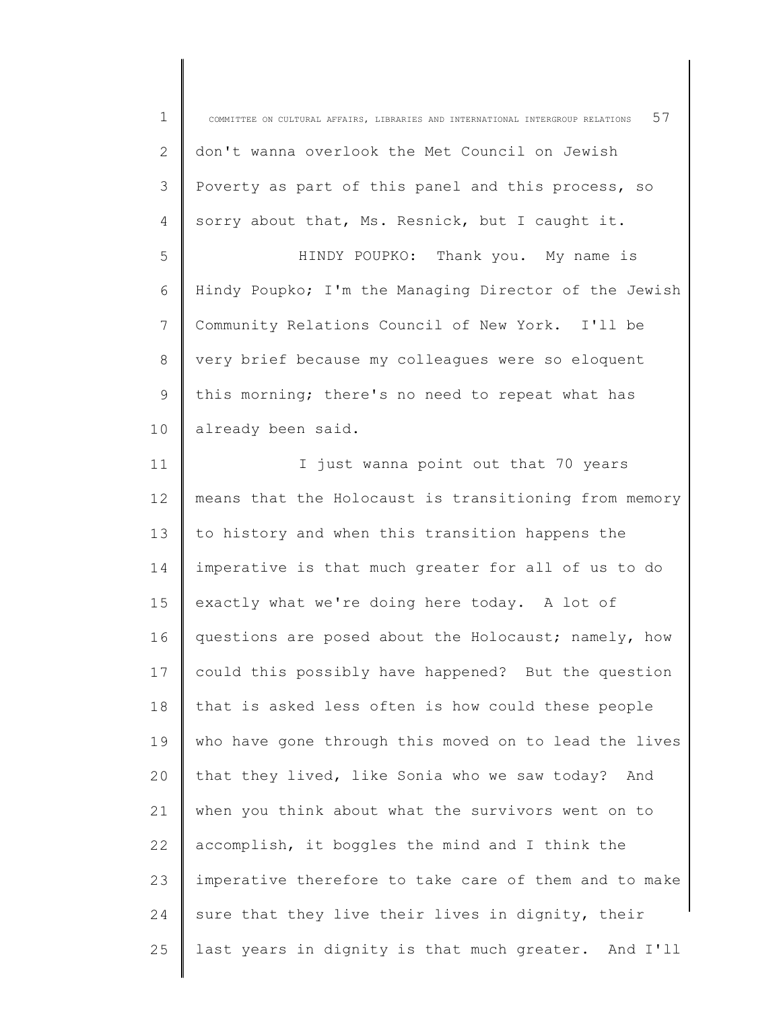| $\mathbf 1$  | 57<br>COMMITTEE ON CULTURAL AFFAIRS, LIBRARIES AND INTERNATIONAL INTERGROUP RELATIONS |
|--------------|---------------------------------------------------------------------------------------|
| $\mathbf{2}$ | don't wanna overlook the Met Council on Jewish                                        |
| 3            | Poverty as part of this panel and this process, so                                    |
| 4            | sorry about that, Ms. Resnick, but I caught it.                                       |
| 5            | HINDY POUPKO: Thank you. My name is                                                   |
| 6            | Hindy Poupko; I'm the Managing Director of the Jewish                                 |
| 7            | Community Relations Council of New York. I'll be                                      |
| $8\,$        | very brief because my colleagues were so eloquent                                     |
| 9            | this morning; there's no need to repeat what has                                      |
| 10           | already been said.                                                                    |
| 11           | I just wanna point out that 70 years                                                  |
| 12           | means that the Holocaust is transitioning from memory                                 |
| 13           | to history and when this transition happens the                                       |
| 14           | imperative is that much greater for all of us to do                                   |
| 15           | exactly what we're doing here today. A lot of                                         |
| 16           | questions are posed about the Holocaust; namely, how                                  |
| 17           | could this possibly have happened? But the question                                   |
| 18           | that is asked less often is how could these people                                    |
| 19           | who have gone through this moved on to lead the lives                                 |
| 20           | that they lived, like Sonia who we saw today? And                                     |
| 21           | when you think about what the survivors went on to                                    |
| 22           | accomplish, it boggles the mind and I think the                                       |
| 23           | imperative therefore to take care of them and to make                                 |
| 24           | sure that they live their lives in dignity, their                                     |
| 25           | last years in dignity is that much greater. And I'll                                  |
|              |                                                                                       |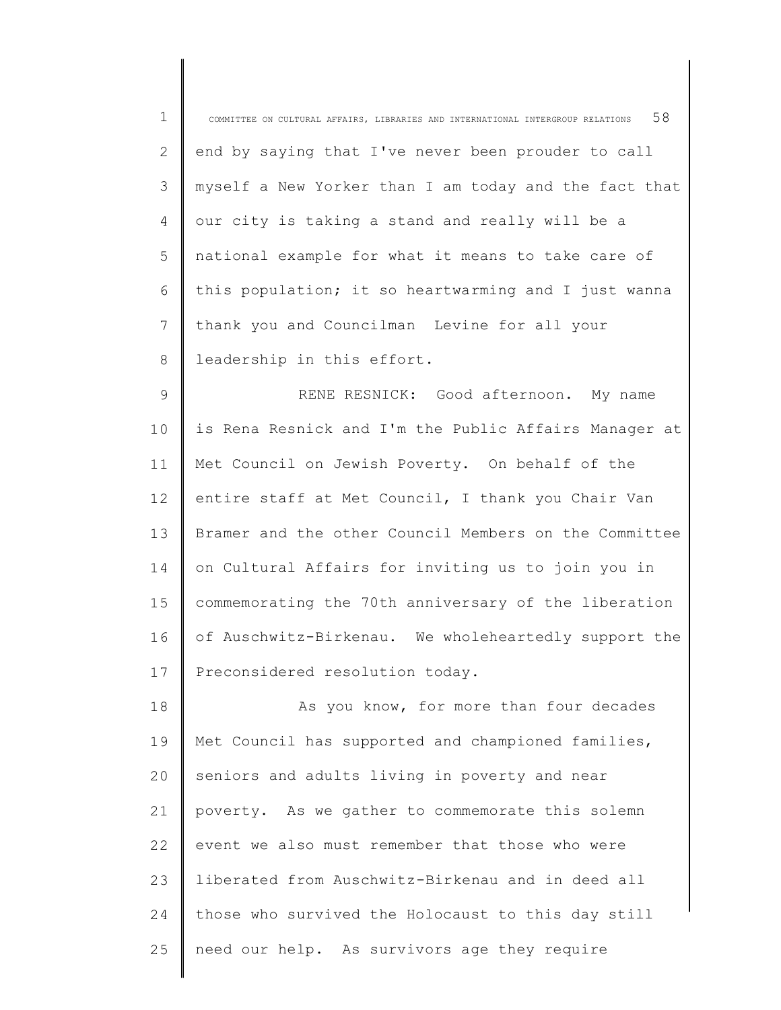| $\mathbf 1$ | 58<br>COMMITTEE ON CULTURAL AFFAIRS, LIBRARIES AND INTERNATIONAL INTERGROUP RELATIONS |
|-------------|---------------------------------------------------------------------------------------|
| 2           | end by saying that I've never been prouder to call                                    |
| 3           | myself a New Yorker than I am today and the fact that                                 |
| 4           | our city is taking a stand and really will be a                                       |
| 5           | national example for what it means to take care of                                    |
| 6           | this population; it so heartwarming and I just wanna                                  |
| 7           | thank you and Councilman Levine for all your                                          |
| 8           | leadership in this effort.                                                            |
| 9           | RENE RESNICK: Good afternoon. My name                                                 |
| 10          | is Rena Resnick and I'm the Public Affairs Manager at                                 |
| 11          | Met Council on Jewish Poverty. On behalf of the                                       |
| 12          | entire staff at Met Council, I thank you Chair Van                                    |
| 13          | Bramer and the other Council Members on the Committee                                 |
| 14          | on Cultural Affairs for inviting us to join you in                                    |
| 15          | commemorating the 70th anniversary of the liberation                                  |
| 16          | of Auschwitz-Birkenau. We wholeheartedly support the                                  |
| 17          | Preconsidered resolution today.                                                       |
| 18          | As you know, for more than four decades                                               |
| 19          | Met Council has supported and championed families,                                    |
| 20          | seniors and adults living in poverty and near                                         |
| 21          | poverty. As we gather to commemorate this solemn                                      |
| 22          | event we also must remember that those who were                                       |
| 23          | liberated from Auschwitz-Birkenau and in deed all                                     |
| 24          | those who survived the Holocaust to this day still                                    |
| 25          | need our help. As survivors age they require                                          |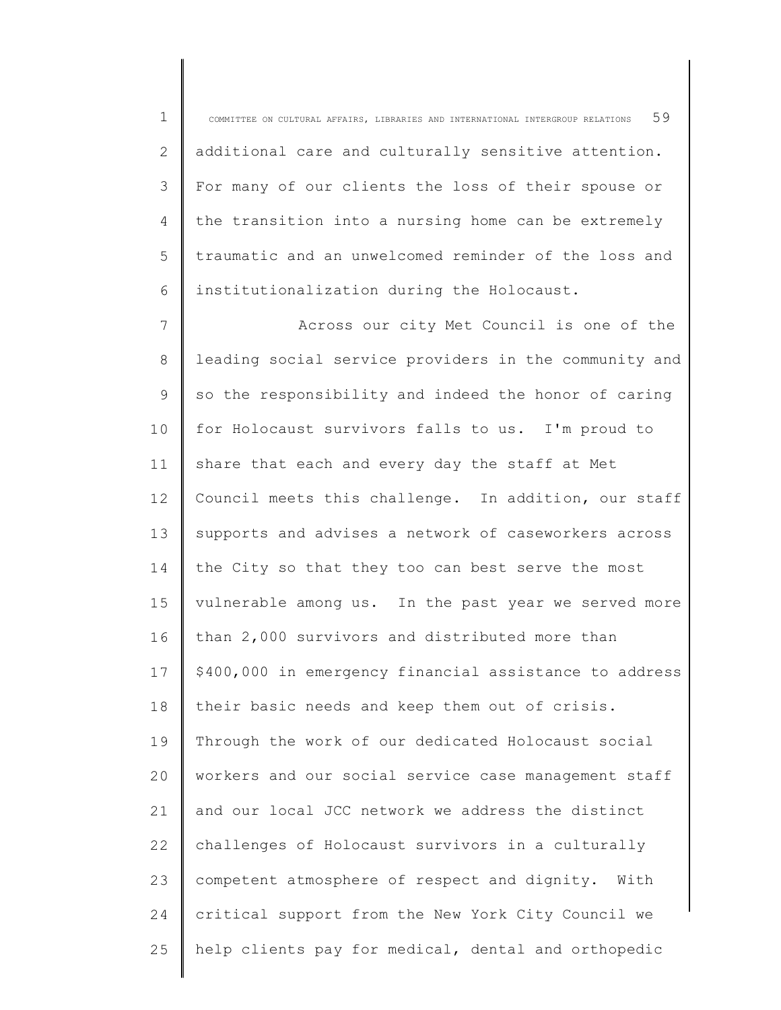1 2 3 4 5 6 COMMITTEE ON CULTURAL AFFAIRS, LIBRARIES AND INTERNATIONAL INTERGROUP RELATIONS  $59$ additional care and culturally sensitive attention. For many of our clients the loss of their spouse or the transition into a nursing home can be extremely traumatic and an unwelcomed reminder of the loss and institutionalization during the Holocaust.

7 8 9 10 11 12 13 14 15 16 17 18 19  $20$ 21 22 23 24 25 Across our city Met Council is one of the leading social service providers in the community and so the responsibility and indeed the honor of caring for Holocaust survivors falls to us. I'm proud to share that each and every day the staff at Met Council meets this challenge. In addition, our staff supports and advises a network of caseworkers across the City so that they too can best serve the most vulnerable among us. In the past year we served more than 2,000 survivors and distributed more than \$400,000 in emergency financial assistance to address their basic needs and keep them out of crisis. Through the work of our dedicated Holocaust social workers and our social service case management staff and our local JCC network we address the distinct challenges of Holocaust survivors in a culturally competent atmosphere of respect and dignity. With critical support from the New York City Council we help clients pay for medical, dental and orthopedic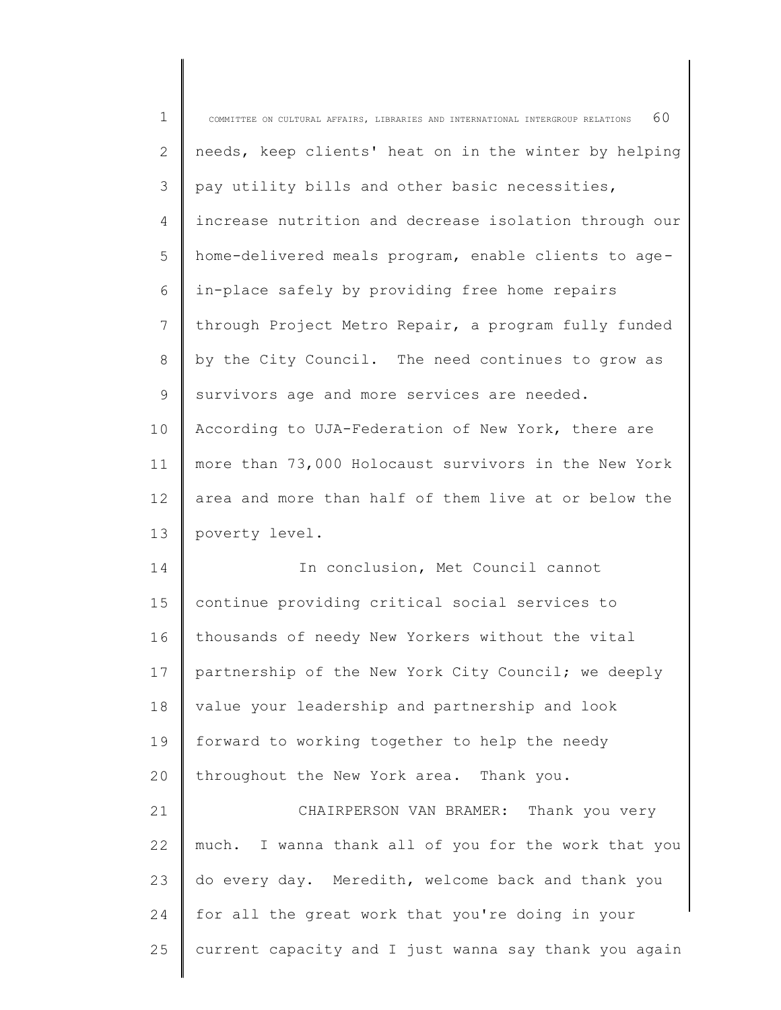| $\mathbf 1$ | 60<br>COMMITTEE ON CULTURAL AFFAIRS, LIBRARIES AND INTERNATIONAL INTERGROUP RELATIONS |
|-------------|---------------------------------------------------------------------------------------|
| 2           | needs, keep clients' heat on in the winter by helping                                 |
| 3           | pay utility bills and other basic necessities,                                        |
| 4           | increase nutrition and decrease isolation through our                                 |
| 5           | home-delivered meals program, enable clients to age-                                  |
| 6           | in-place safely by providing free home repairs                                        |
| 7           | through Project Metro Repair, a program fully funded                                  |
| 8           | by the City Council. The need continues to grow as                                    |
| 9           | survivors age and more services are needed.                                           |
| 10          | According to UJA-Federation of New York, there are                                    |
| 11          | more than 73,000 Holocaust survivors in the New York                                  |
| 12          | area and more than half of them live at or below the                                  |
| 13          | poverty level.                                                                        |
| 14          | In conclusion, Met Council cannot                                                     |
| 15          | continue providing critical social services to                                        |
| 16          | thousands of needy New Yorkers without the vital                                      |
| 17          | partnership of the New York City Council; we deeply                                   |
| 18          | value your leadership and partnership and look                                        |
| 19          | forward to working together to help the needy                                         |
| 20          | throughout the New York area. Thank you.                                              |
| 21          | CHAIRPERSON VAN BRAMER: Thank you very                                                |
| 22          | much. I wanna thank all of you for the work that you                                  |
| 23          | do every day. Meredith, welcome back and thank you                                    |
| 24          | for all the great work that you're doing in your                                      |
| 25          | current capacity and I just wanna say thank you again                                 |
|             |                                                                                       |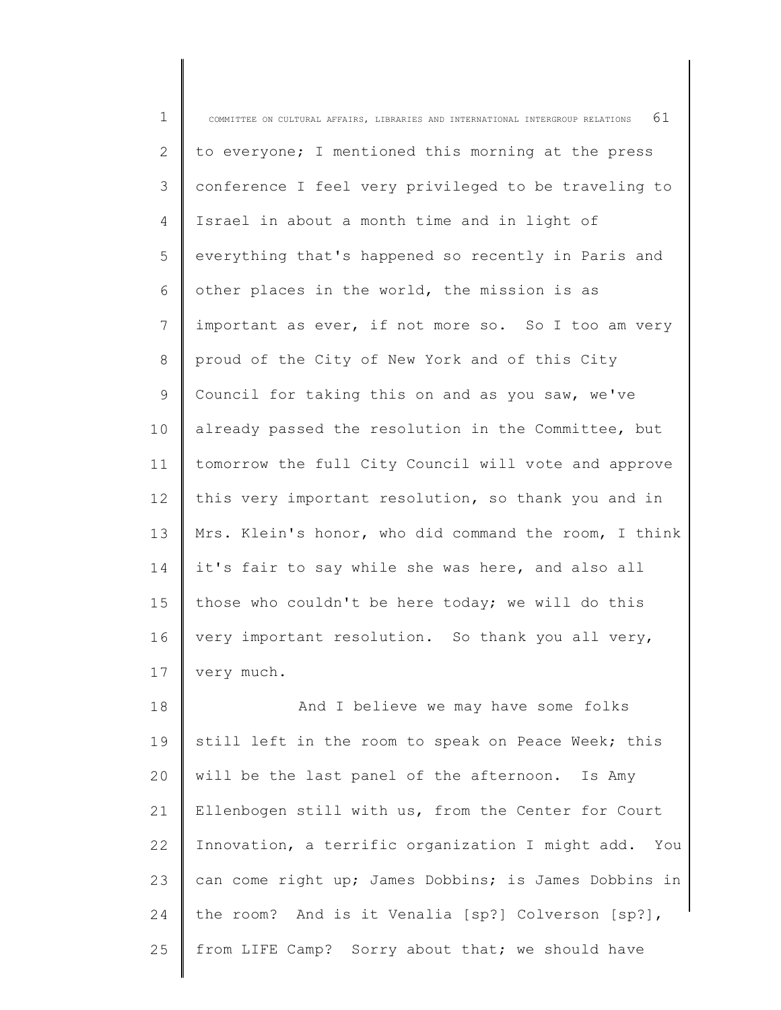1 2 3 4 5 6 7 8 9 10 11 12 13 14 15 16 17 18 COMMITTEE ON CULTURAL AFFAIRS, LIBRARIES AND INTERNATIONAL INTERGROUP RELATIONS  $61$ to everyone; I mentioned this morning at the press conference I feel very privileged to be traveling to Israel in about a month time and in light of everything that's happened so recently in Paris and other places in the world, the mission is as important as ever, if not more so. So I too am very proud of the City of New York and of this City Council for taking this on and as you saw, we've already passed the resolution in the Committee, but tomorrow the full City Council will vote and approve this very important resolution, so thank you and in Mrs. Klein's honor, who did command the room, I think it's fair to say while she was here, and also all those who couldn't be here today; we will do this very important resolution. So thank you all very, very much. And I believe we may have some folks

19 20 21 22 23 24 25 still left in the room to speak on Peace Week; this will be the last panel of the afternoon. Is Amy Ellenbogen still with us, from the Center for Court Innovation, a terrific organization I might add. You can come right up; James Dobbins; is James Dobbins in the room? And is it Venalia [sp?] Colverson [sp?], from LIFE Camp? Sorry about that; we should have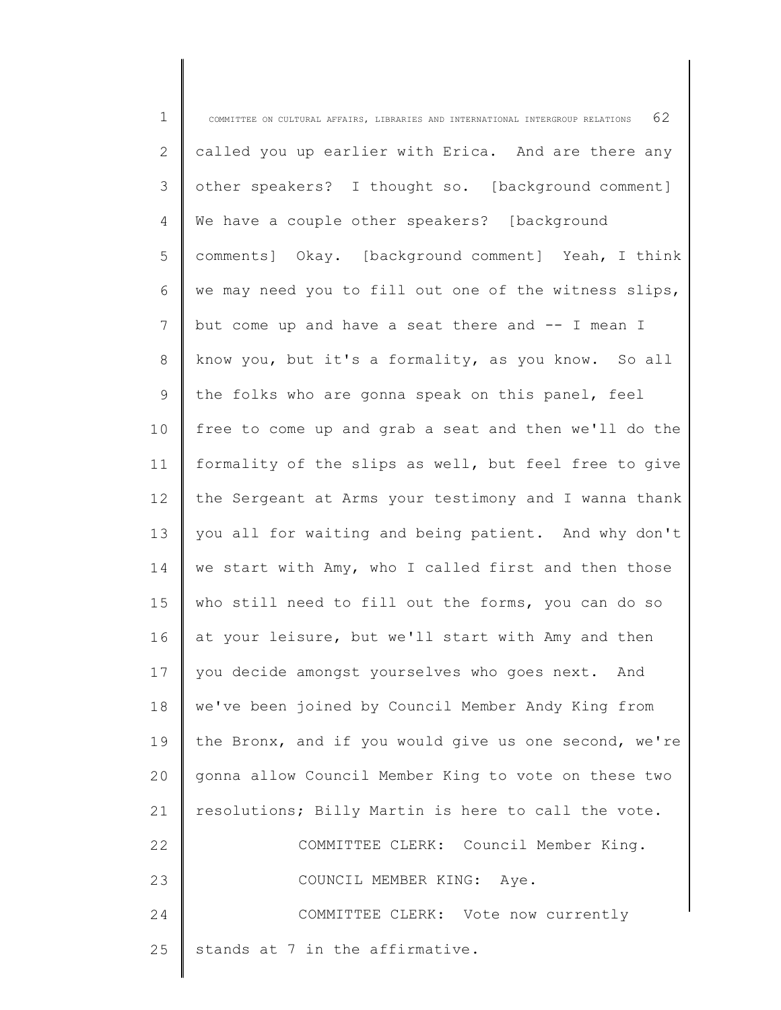| $\mathbf 1$    | COMMITTEE ON CULTURAL AFFAIRS, LIBRARIES AND INTERNATIONAL INTERGROUP RELATIONS $62$ |
|----------------|--------------------------------------------------------------------------------------|
| 2              | called you up earlier with Erica. And are there any                                  |
| $\mathfrak{Z}$ | other speakers? I thought so. [background comment]                                   |
| 4              | We have a couple other speakers? [background                                         |
| 5              | comments] Okay. [background comment] Yeah, I think                                   |
| 6              | we may need you to fill out one of the witness slips,                                |
| 7              | but come up and have a seat there and -- I mean I                                    |
| $8\,$          | know you, but it's a formality, as you know. So all                                  |
| 9              | the folks who are gonna speak on this panel, feel                                    |
| 10             | free to come up and grab a seat and then we'll do the                                |
| 11             | formality of the slips as well, but feel free to give                                |
| 12             | the Sergeant at Arms your testimony and I wanna thank                                |
| 13             | you all for waiting and being patient. And why don't                                 |
| 14             | we start with Amy, who I called first and then those                                 |
| 15             | who still need to fill out the forms, you can do so                                  |
| 16             | at your leisure, but we'll start with Amy and then                                   |
| 17             | you decide amongst yourselves who goes next. And                                     |
| 18             | we've been joined by Council Member Andy King from                                   |
| 19             | the Bronx, and if you would give us one second, we're                                |
| 20             | gonna allow Council Member King to vote on these two                                 |
| 21             | resolutions; Billy Martin is here to call the vote.                                  |
| 22             | COMMITTEE CLERK: Council Member King.                                                |
| 23             | COUNCIL MEMBER KING: Aye.                                                            |
| 24             | COMMITTEE CLERK: Vote now currently                                                  |
| 25             | stands at 7 in the affirmative.                                                      |
|                |                                                                                      |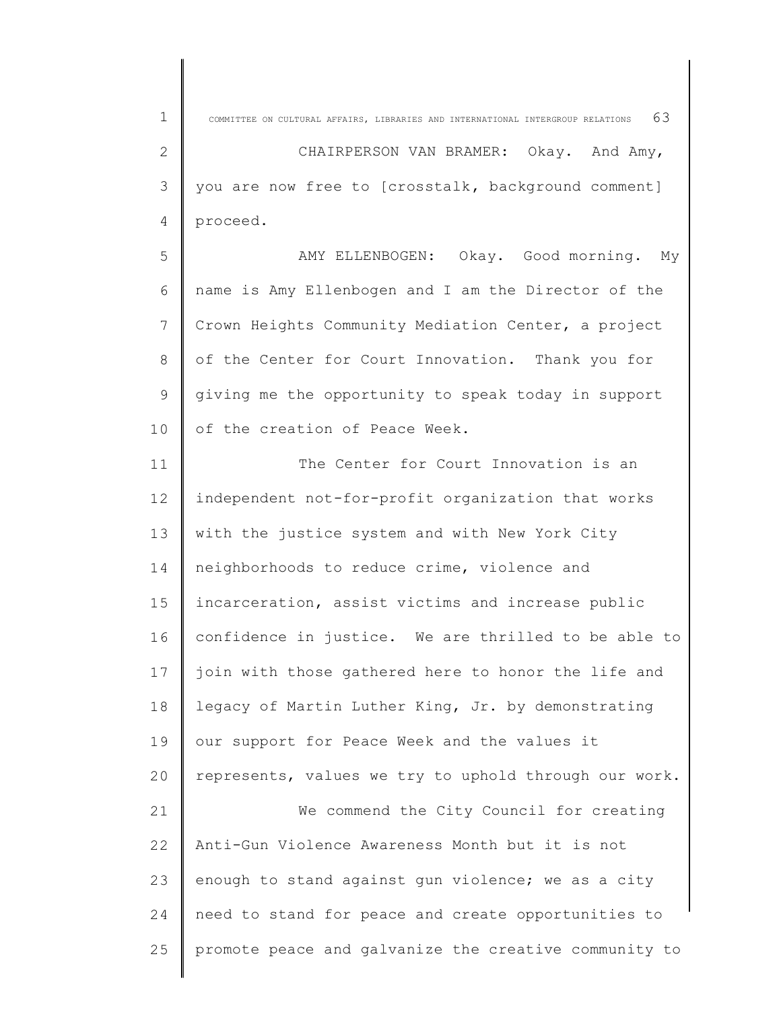1 2 3 4 5 6 7 8 9 10 11 12 13 14 15 16 17 18 19 20 21 22 23 24 25 COMMITTEE ON CULTURAL AFFAIRS, LIBRARIES AND INTERNATIONAL INTERGROUP RELATIONS  $63$ CHAIRPERSON VAN BRAMER: Okay. And Amy, you are now free to [crosstalk, background comment] proceed. AMY ELLENBOGEN: Okay. Good morning. My name is Amy Ellenbogen and I am the Director of the Crown Heights Community Mediation Center, a project of the Center for Court Innovation. Thank you for giving me the opportunity to speak today in support of the creation of Peace Week. The Center for Court Innovation is an independent not-for-profit organization that works with the justice system and with New York City neighborhoods to reduce crime, violence and incarceration, assist victims and increase public confidence in justice. We are thrilled to be able to join with those gathered here to honor the life and legacy of Martin Luther King, Jr. by demonstrating our support for Peace Week and the values it represents, values we try to uphold through our work. We commend the City Council for creating Anti-Gun Violence Awareness Month but it is not enough to stand against gun violence; we as a city need to stand for peace and create opportunities to promote peace and galvanize the creative community to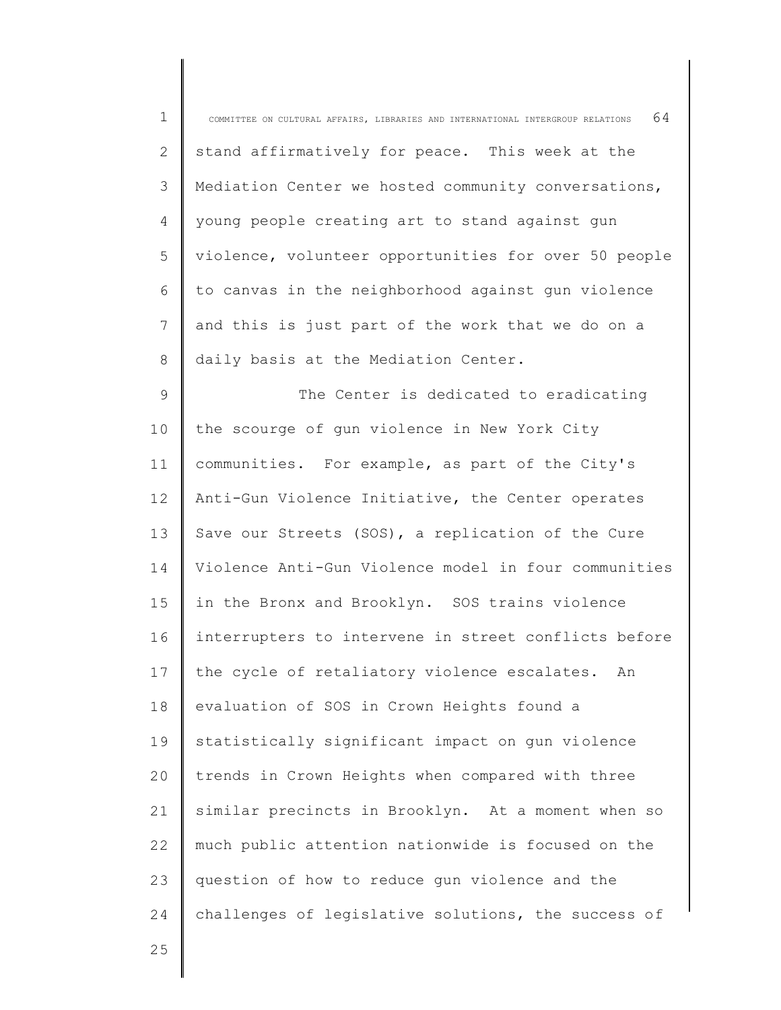| $\mathbf 1$ | 64<br>COMMITTEE ON CULTURAL AFFAIRS, LIBRARIES AND INTERNATIONAL INTERGROUP RELATIONS |
|-------------|---------------------------------------------------------------------------------------|
| 2           | stand affirmatively for peace. This week at the                                       |
| 3           | Mediation Center we hosted community conversations,                                   |
| 4           | young people creating art to stand against gun                                        |
| 5           | violence, volunteer opportunities for over 50 people                                  |
| 6           | to canvas in the neighborhood against gun violence                                    |
| 7           | and this is just part of the work that we do on a                                     |
| 8           | daily basis at the Mediation Center.                                                  |
| $\mathsf 9$ | The Center is dedicated to eradicating                                                |
| 10          | the scourge of gun violence in New York City                                          |
| 11          | communities. For example, as part of the City's                                       |
| 12          | Anti-Gun Violence Initiative, the Center operates                                     |
| 13          | Save our Streets (SOS), a replication of the Cure                                     |
| 14          | Violence Anti-Gun Violence model in four communities                                  |
| 15          | in the Bronx and Brooklyn. SOS trains violence                                        |
| 16          | interrupters to intervene in street conflicts before                                  |
| 17          | the cycle of retaliatory violence escalates. An                                       |
| 18          | evaluation of SOS in Crown Heights found a                                            |
| 19          | statistically significant impact on gun violence                                      |
| 20          | trends in Crown Heights when compared with three                                      |
| 21          | similar precincts in Brooklyn. At a moment when so                                    |
| 22          | much public attention nationwide is focused on the                                    |
| 23          | question of how to reduce gun violence and the                                        |
| 24          | challenges of legislative solutions, the success of                                   |
| 25          |                                                                                       |

25

∥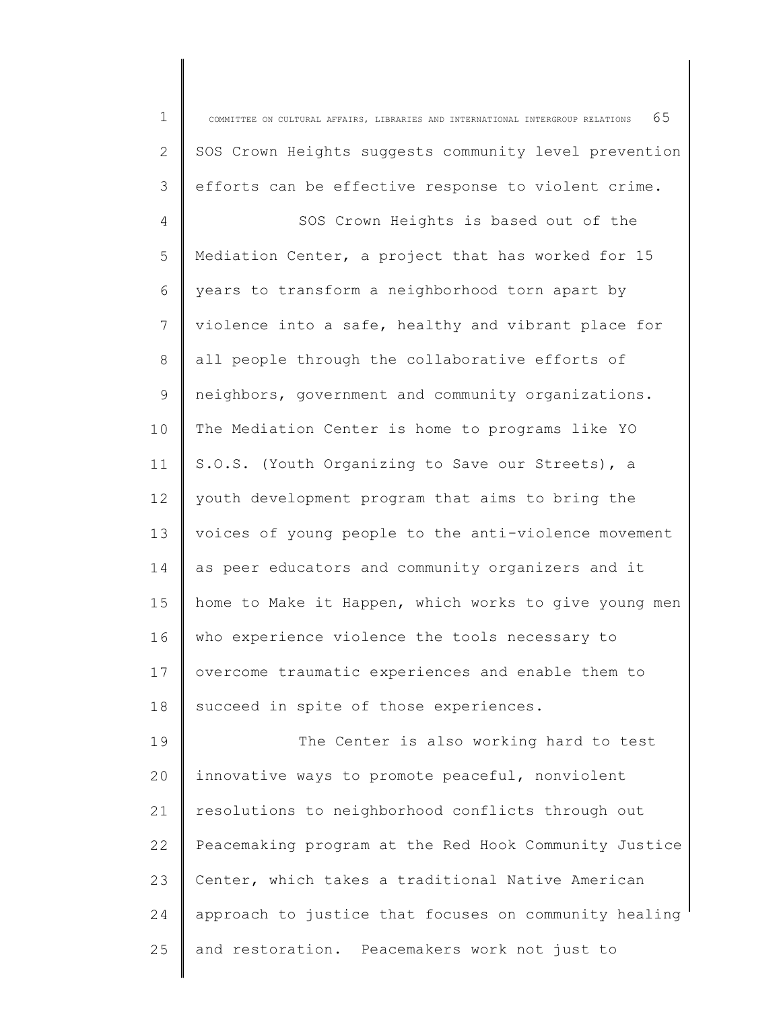1 2 3 4 5 6 7 8 9 10 11 12 13 14 15 16 17 18 19 20 21 22 23 24 25 COMMITTEE ON CULTURAL AFFAIRS, LIBRARIES AND INTERNATIONAL INTERGROUP RELATIONS  $65$ SOS Crown Heights suggests community level prevention efforts can be effective response to violent crime. SOS Crown Heights is based out of the Mediation Center, a project that has worked for 15 years to transform a neighborhood torn apart by violence into a safe, healthy and vibrant place for all people through the collaborative efforts of neighbors, government and community organizations. The Mediation Center is home to programs like YO S.O.S. (Youth Organizing to Save our Streets), a youth development program that aims to bring the voices of young people to the anti-violence movement as peer educators and community organizers and it home to Make it Happen, which works to give young men who experience violence the tools necessary to overcome traumatic experiences and enable them to succeed in spite of those experiences. The Center is also working hard to test innovative ways to promote peaceful, nonviolent resolutions to neighborhood conflicts through out Peacemaking program at the Red Hook Community Justice Center, which takes a traditional Native American approach to justice that focuses on community healing and restoration. Peacemakers work not just to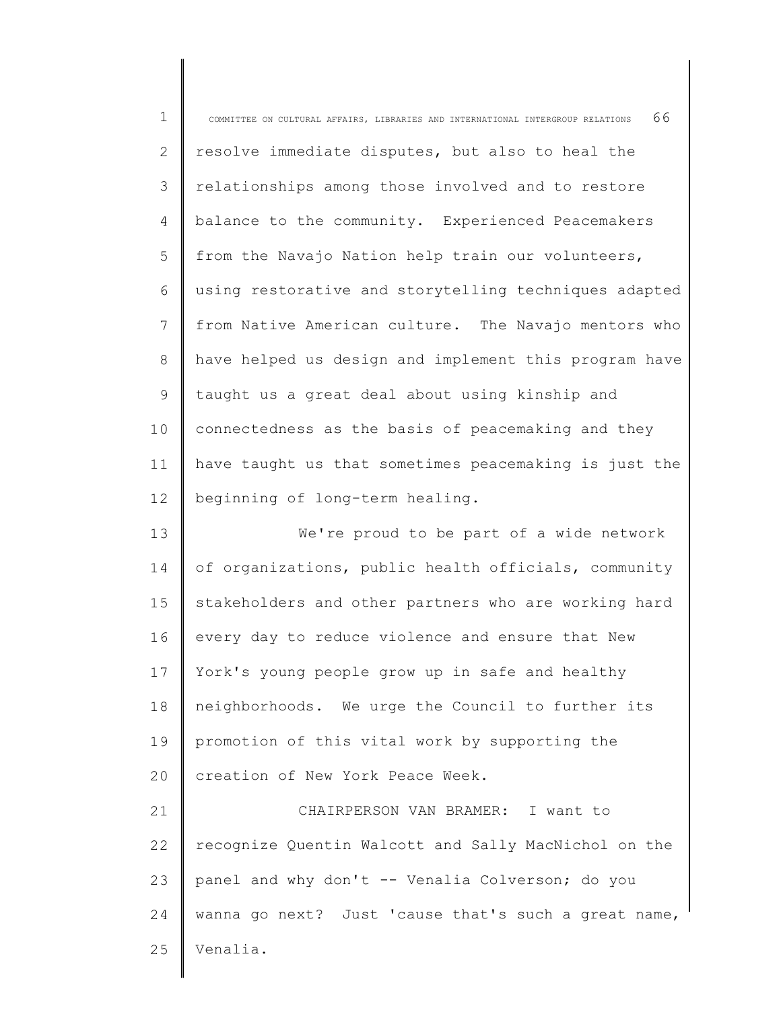| $\mathbf 1$ | 66<br>COMMITTEE ON CULTURAL AFFAIRS, LIBRARIES AND INTERNATIONAL INTERGROUP RELATIONS |
|-------------|---------------------------------------------------------------------------------------|
| 2           | resolve immediate disputes, but also to heal the                                      |
| 3           | relationships among those involved and to restore                                     |
| 4           | balance to the community. Experienced Peacemakers                                     |
| 5           | from the Navajo Nation help train our volunteers,                                     |
| 6           | using restorative and storytelling techniques adapted                                 |
| 7           | from Native American culture. The Navajo mentors who                                  |
| $8\,$       | have helped us design and implement this program have                                 |
| 9           | taught us a great deal about using kinship and                                        |
| 10          | connectedness as the basis of peacemaking and they                                    |
| 11          | have taught us that sometimes peacemaking is just the                                 |
| 12          | beginning of long-term healing.                                                       |
| 13          | We're proud to be part of a wide network                                              |
| 14          | of organizations, public health officials, community                                  |
| 15          | stakeholders and other partners who are working hard                                  |
| 16          | every day to reduce violence and ensure that New                                      |
| 17          | York's young people grow up in safe and healthy                                       |
| 18          | neighborhoods. We urge the Council to further its                                     |
| 19          | promotion of this vital work by supporting the                                        |
| 20          | creation of New York Peace Week.                                                      |
| 21          | CHAIRPERSON VAN BRAMER: I want to                                                     |
| 22          | recognize Quentin Walcott and Sally MacNichol on the                                  |
| 23          | panel and why don't -- Venalia Colverson; do you                                      |
| 24          | wanna go next? Just 'cause that's such a great name,                                  |
| 25          | Venalia.                                                                              |
|             |                                                                                       |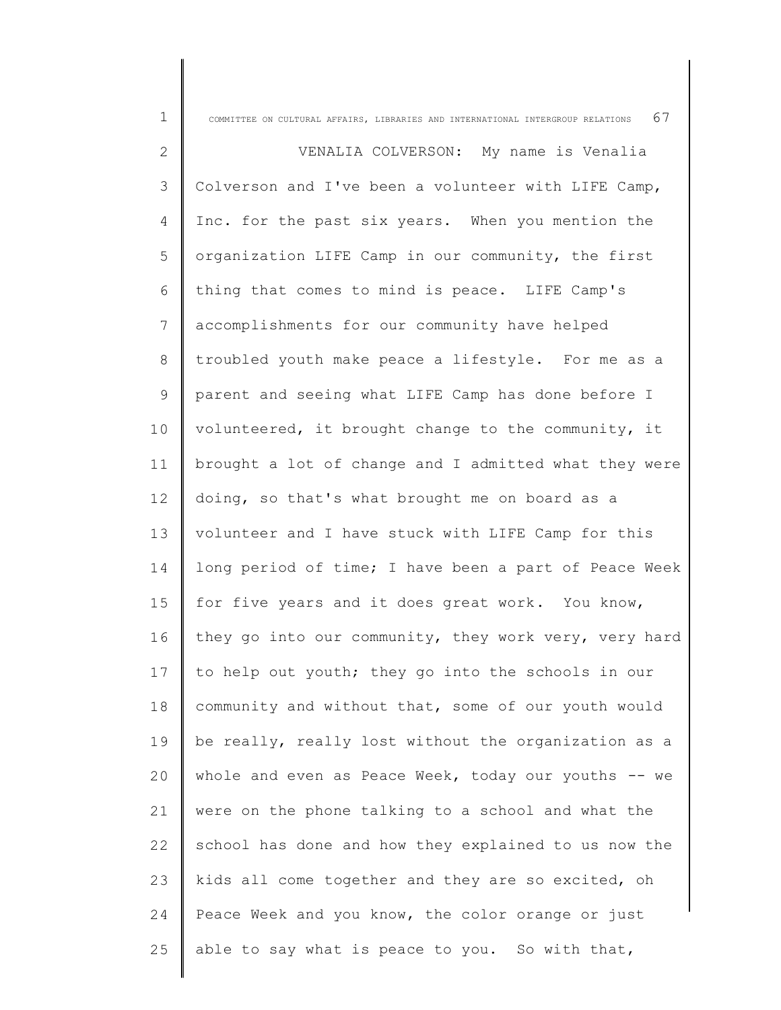| $\mathbf 1$   | COMMITTEE ON CULTURAL AFFAIRS, LIBRARIES AND INTERNATIONAL INTERGROUP RELATIONS $67$ |
|---------------|--------------------------------------------------------------------------------------|
| $\mathbf{2}$  | VENALIA COLVERSON: My name is Venalia                                                |
| $\mathcal{S}$ | Colverson and I've been a volunteer with LIFE Camp,                                  |
| 4             | Inc. for the past six years. When you mention the                                    |
| 5             | organization LIFE Camp in our community, the first                                   |
| 6             | thing that comes to mind is peace. LIFE Camp's                                       |
| 7             | accomplishments for our community have helped                                        |
| 8             | troubled youth make peace a lifestyle. For me as a                                   |
| 9             | parent and seeing what LIFE Camp has done before I                                   |
| 10            | volunteered, it brought change to the community, it                                  |
| 11            | brought a lot of change and I admitted what they were                                |
| 12            | doing, so that's what brought me on board as a                                       |
| 13            | volunteer and I have stuck with LIFE Camp for this                                   |
| 14            | long period of time; I have been a part of Peace Week                                |
| 15            | for five years and it does great work. You know,                                     |
| 16            | they go into our community, they work very, very hard                                |
| 17            | to help out youth; they go into the schools in our                                   |
| 18            | community and without that, some of our youth would                                  |
| 19            | be really, really lost without the organization as a                                 |
| 20            | whole and even as Peace Week, today our youths -- we                                 |
| 21            | were on the phone talking to a school and what the                                   |
| 22            | school has done and how they explained to us now the                                 |
| 23            | kids all come together and they are so excited, oh                                   |
| 24            | Peace Week and you know, the color orange or just                                    |
| 25            | able to say what is peace to you. So with that,                                      |
|               |                                                                                      |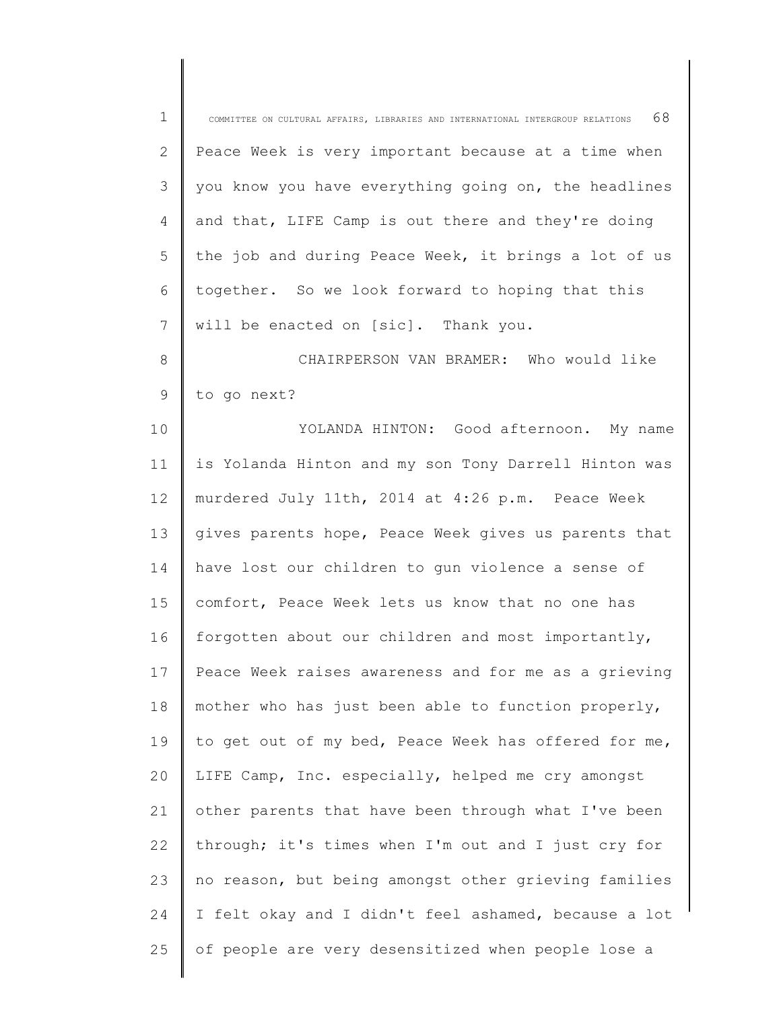| $\mathbf 1$  | 68<br>COMMITTEE ON CULTURAL AFFAIRS, LIBRARIES AND INTERNATIONAL INTERGROUP RELATIONS |
|--------------|---------------------------------------------------------------------------------------|
| $\mathbf{2}$ | Peace Week is very important because at a time when                                   |
| 3            | you know you have everything going on, the headlines                                  |
| 4            | and that, LIFE Camp is out there and they're doing                                    |
| 5            | the job and during Peace Week, it brings a lot of us                                  |
| 6            | together. So we look forward to hoping that this                                      |
| 7            | will be enacted on [sic]. Thank you.                                                  |
| $8\,$        | CHAIRPERSON VAN BRAMER: Who would like                                                |
| $\mathsf 9$  | to go next?                                                                           |
| 10           | YOLANDA HINTON: Good afternoon. My name                                               |
| 11           | is Yolanda Hinton and my son Tony Darrell Hinton was                                  |
| 12           | murdered July 11th, 2014 at 4:26 p.m. Peace Week                                      |
| 13           | gives parents hope, Peace Week gives us parents that                                  |
| 14           | have lost our children to gun violence a sense of                                     |
| 15           | comfort, Peace Week lets us know that no one has                                      |
| 16           | forgotten about our children and most importantly,                                    |
| 17           | Peace Week raises awareness and for me as a grieving                                  |
| 18           | mother who has just been able to function properly,                                   |
| 19           | to get out of my bed, Peace Week has offered for me,                                  |
| 20           | LIFE Camp, Inc. especially, helped me cry amongst                                     |
| 21           | other parents that have been through what I've been                                   |
| 22           | through; it's times when I'm out and I just cry for                                   |
| 23           | no reason, but being amongst other grieving families                                  |
| 24           | I felt okay and I didn't feel ashamed, because a lot                                  |
| 25           | of people are very desensitized when people lose a                                    |
|              |                                                                                       |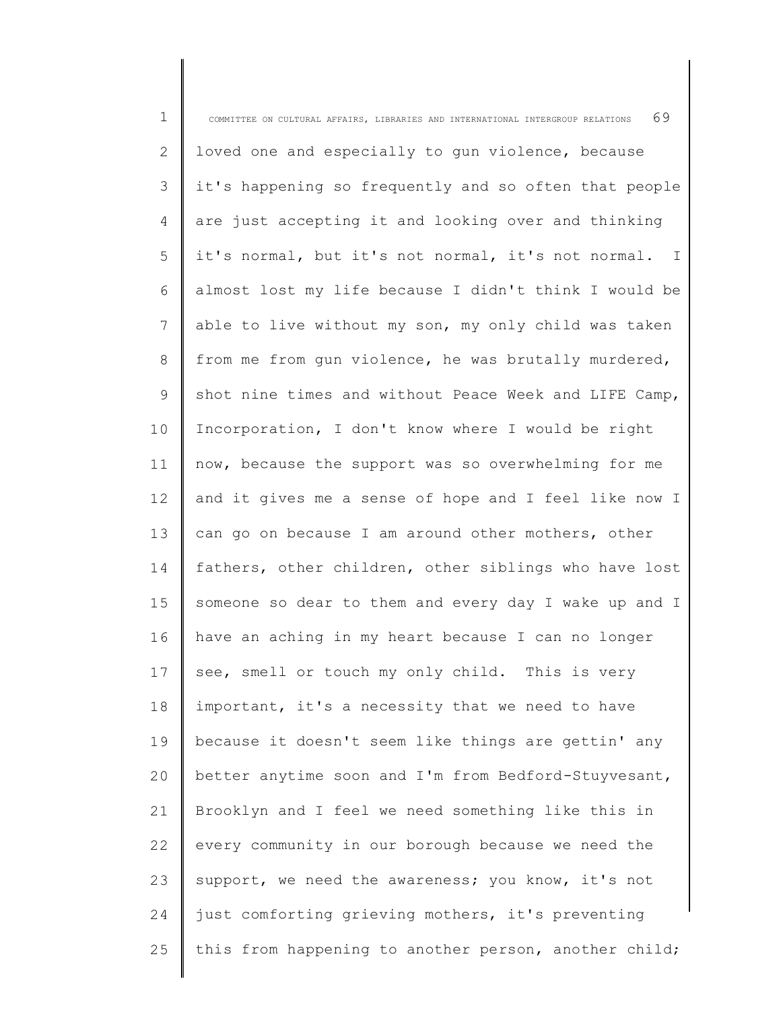| $\mathbf 1$ | 69<br>COMMITTEE ON CULTURAL AFFAIRS, LIBRARIES AND INTERNATIONAL INTERGROUP RELATIONS |
|-------------|---------------------------------------------------------------------------------------|
| 2           | loved one and especially to gun violence, because                                     |
| 3           | it's happening so frequently and so often that people                                 |
| 4           | are just accepting it and looking over and thinking                                   |
| 5           | it's normal, but it's not normal, it's not normal. I                                  |
| 6           | almost lost my life because I didn't think I would be                                 |
| 7           | able to live without my son, my only child was taken                                  |
| 8           | from me from qun violence, he was brutally murdered,                                  |
| 9           | shot nine times and without Peace Week and LIFE Camp,                                 |
| 10          | Incorporation, I don't know where I would be right                                    |
| 11          | now, because the support was so overwhelming for me                                   |
| 12          | and it gives me a sense of hope and I feel like now I                                 |
| 13          | can go on because I am around other mothers, other                                    |
| 14          | fathers, other children, other siblings who have lost                                 |
| 15          | someone so dear to them and every day I wake up and I                                 |
| 16          | have an aching in my heart because I can no longer                                    |
| 17          | see, smell or touch my only child. This is very                                       |
| 18          | important, it's a necessity that we need to have                                      |
| 19          | because it doesn't seem like things are gettin' any                                   |
| 20          | better anytime soon and I'm from Bedford-Stuyvesant,                                  |
| 21          | Brooklyn and I feel we need something like this in                                    |
| 22          | every community in our borough because we need the                                    |
| 23          | support, we need the awareness; you know, it's not                                    |
| 24          | just comforting grieving mothers, it's preventing                                     |
| 25          | this from happening to another person, another child;                                 |
|             |                                                                                       |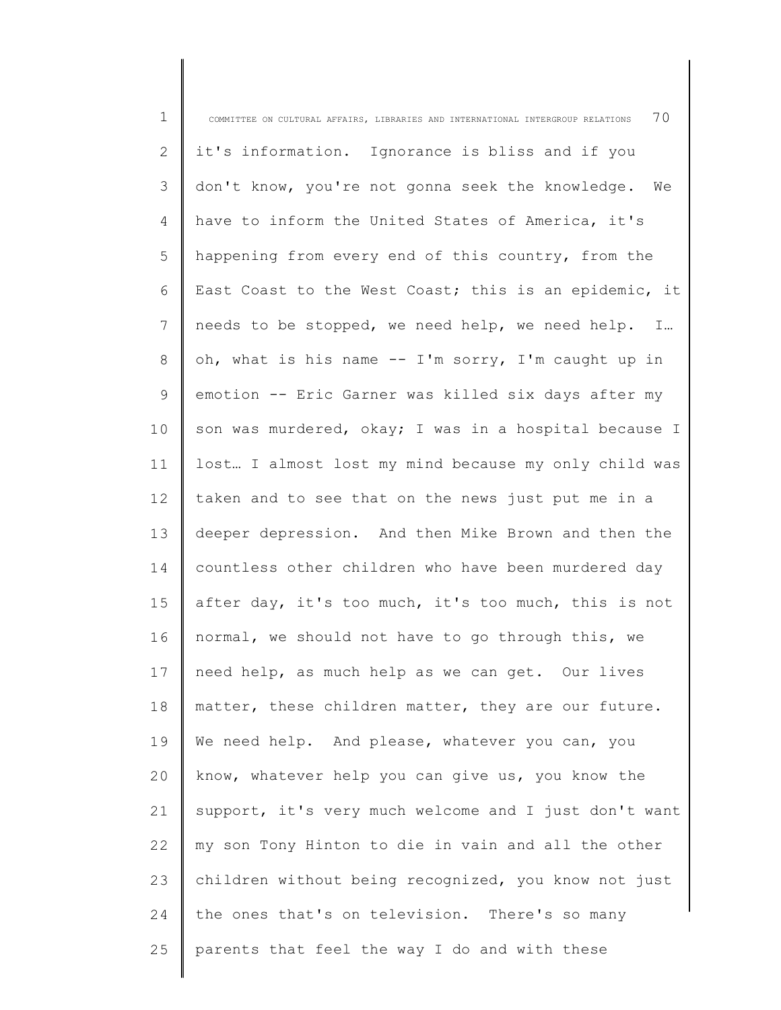| $\mathbf 1$    | 70<br>COMMITTEE ON CULTURAL AFFAIRS, LIBRARIES AND INTERNATIONAL INTERGROUP RELATIONS |
|----------------|---------------------------------------------------------------------------------------|
| 2              | it's information. Ignorance is bliss and if you                                       |
| $\mathfrak{Z}$ | don't know, you're not gonna seek the knowledge. We                                   |
| 4              | have to inform the United States of America, it's                                     |
| 5              | happening from every end of this country, from the                                    |
| 6              | East Coast to the West Coast; this is an epidemic, it                                 |
| 7              | needs to be stopped, we need help, we need help. I                                    |
| 8              | oh, what is his name -- I'm sorry, I'm caught up in                                   |
| 9              | emotion -- Eric Garner was killed six days after my                                   |
| 10             | son was murdered, okay; I was in a hospital because I                                 |
| 11             | lost I almost lost my mind because my only child was                                  |
| 12             | taken and to see that on the news just put me in a                                    |
| 13             | deeper depression. And then Mike Brown and then the                                   |
| 14             | countless other children who have been murdered day                                   |
| 15             | after day, it's too much, it's too much, this is not                                  |
| 16             | normal, we should not have to go through this, we                                     |
| 17             | need help, as much help as we can get. Our lives                                      |
| 18             | matter, these children matter, they are our future.                                   |
| 19             | We need help. And please, whatever you can, you                                       |
| 20             | know, whatever help you can give us, you know the                                     |
| 21             | support, it's very much welcome and I just don't want                                 |
| 22             | my son Tony Hinton to die in vain and all the other                                   |
| 23             | children without being recognized, you know not just                                  |
| 24             | the ones that's on television. There's so many                                        |
| 25             | parents that feel the way I do and with these                                         |
|                |                                                                                       |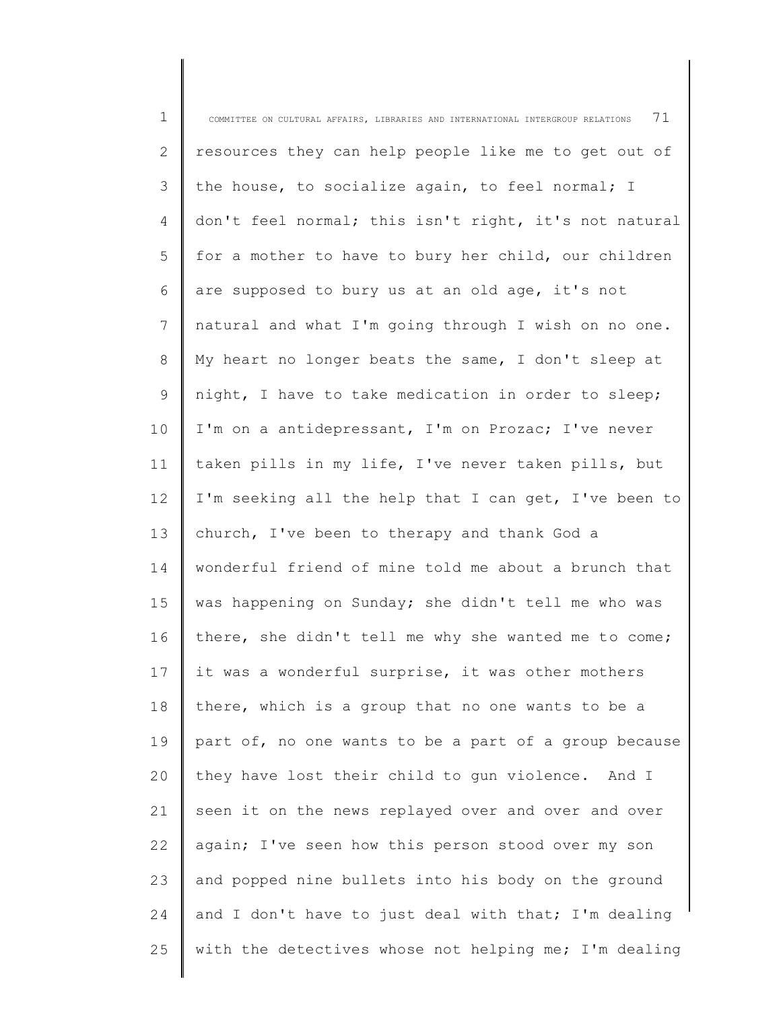| $\mathbf 1$ | 71<br>COMMITTEE ON CULTURAL AFFAIRS, LIBRARIES AND INTERNATIONAL INTERGROUP RELATIONS |
|-------------|---------------------------------------------------------------------------------------|
| 2           | resources they can help people like me to get out of                                  |
| 3           | the house, to socialize again, to feel normal; I                                      |
| 4           | don't feel normal; this isn't right, it's not natural                                 |
| 5           | for a mother to have to bury her child, our children                                  |
| 6           | are supposed to bury us at an old age, it's not                                       |
| 7           | natural and what I'm going through I wish on no one.                                  |
| 8           | My heart no longer beats the same, I don't sleep at                                   |
| $\mathsf 9$ | night, I have to take medication in order to sleep;                                   |
| 10          | I'm on a antidepressant, I'm on Prozac; I've never                                    |
| 11          | taken pills in my life, I've never taken pills, but                                   |
| 12          | I'm seeking all the help that I can get, I've been to                                 |
| 13          | church, I've been to therapy and thank God a                                          |
| 14          | wonderful friend of mine told me about a brunch that                                  |
| 15          | was happening on Sunday; she didn't tell me who was                                   |
| 16          | there, she didn't tell me why she wanted me to come;                                  |
| 17          | it was a wonderful surprise, it was other mothers                                     |
| 18          | there, which is a group that no one wants to be a                                     |
| 19          | part of, no one wants to be a part of a group because                                 |
| 20          | they have lost their child to gun violence. And I                                     |
| 21          | seen it on the news replayed over and over and over                                   |
| 22          | again; I've seen how this person stood over my son                                    |
| 23          | and popped nine bullets into his body on the ground                                   |
| 24          | and I don't have to just deal with that; I'm dealing                                  |
| 25          | with the detectives whose not helping me; I'm dealing                                 |
|             |                                                                                       |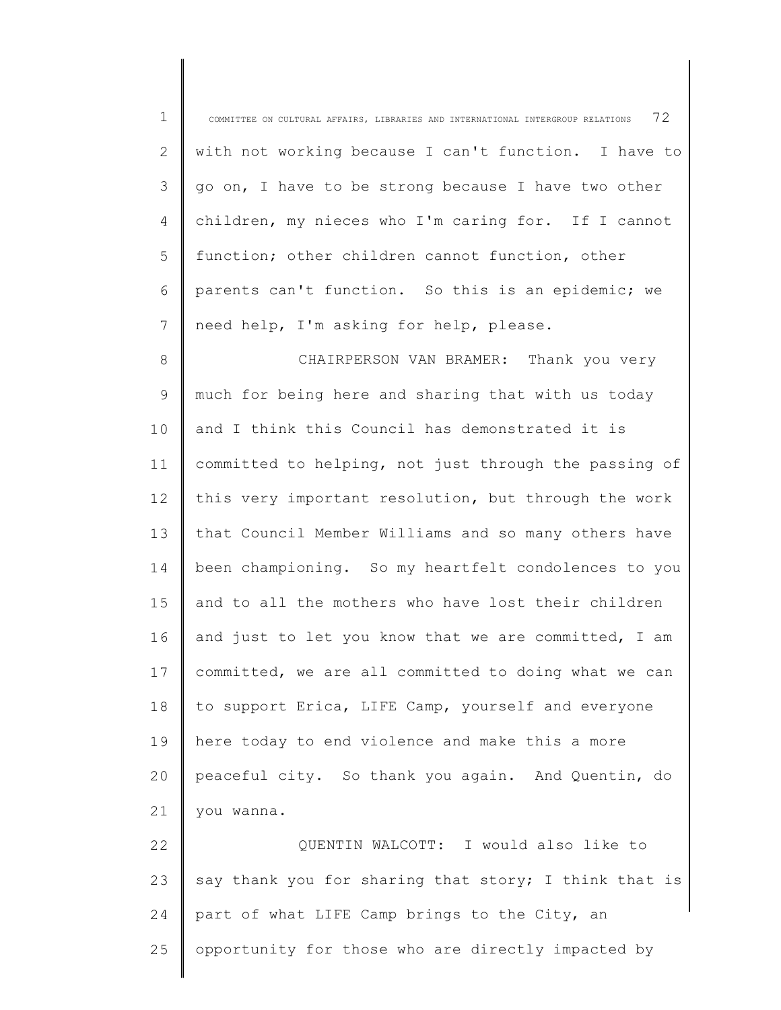| $\mathbf 1$    | 72<br>COMMITTEE ON CULTURAL AFFAIRS, LIBRARIES AND INTERNATIONAL INTERGROUP RELATIONS |
|----------------|---------------------------------------------------------------------------------------|
| $\overline{2}$ | with not working because I can't function. I have to                                  |
| 3              | go on, I have to be strong because I have two other                                   |
| 4              | children, my nieces who I'm caring for. If I cannot                                   |
| 5              | function; other children cannot function, other                                       |
| 6              | parents can't function. So this is an epidemic; we                                    |
| 7              | need help, I'm asking for help, please.                                               |
| 8              | CHAIRPERSON VAN BRAMER: Thank you very                                                |
| 9              | much for being here and sharing that with us today                                    |
| 10             | and I think this Council has demonstrated it is                                       |
| 11             | committed to helping, not just through the passing of                                 |
| 12             | this very important resolution, but through the work                                  |
| 13             | that Council Member Williams and so many others have                                  |
| 14             | been championing. So my heartfelt condolences to you                                  |
| 15             | and to all the mothers who have lost their children                                   |
| 16             | and just to let you know that we are committed, I am                                  |
| 17             | committed, we are all committed to doing what we can                                  |
| 18             | to support Erica, LIFE Camp, yourself and everyone                                    |
| 19             | here today to end violence and make this a more                                       |
| 20             | peaceful city. So thank you again. And Quentin, do                                    |
| 21             | you wanna.                                                                            |
| 22             | QUENTIN WALCOTT: I would also like to                                                 |
| 23             | say thank you for sharing that story; I think that is                                 |
| 24             | part of what LIFE Camp brings to the City, an                                         |
| 25             | opportunity for those who are directly impacted by                                    |

∥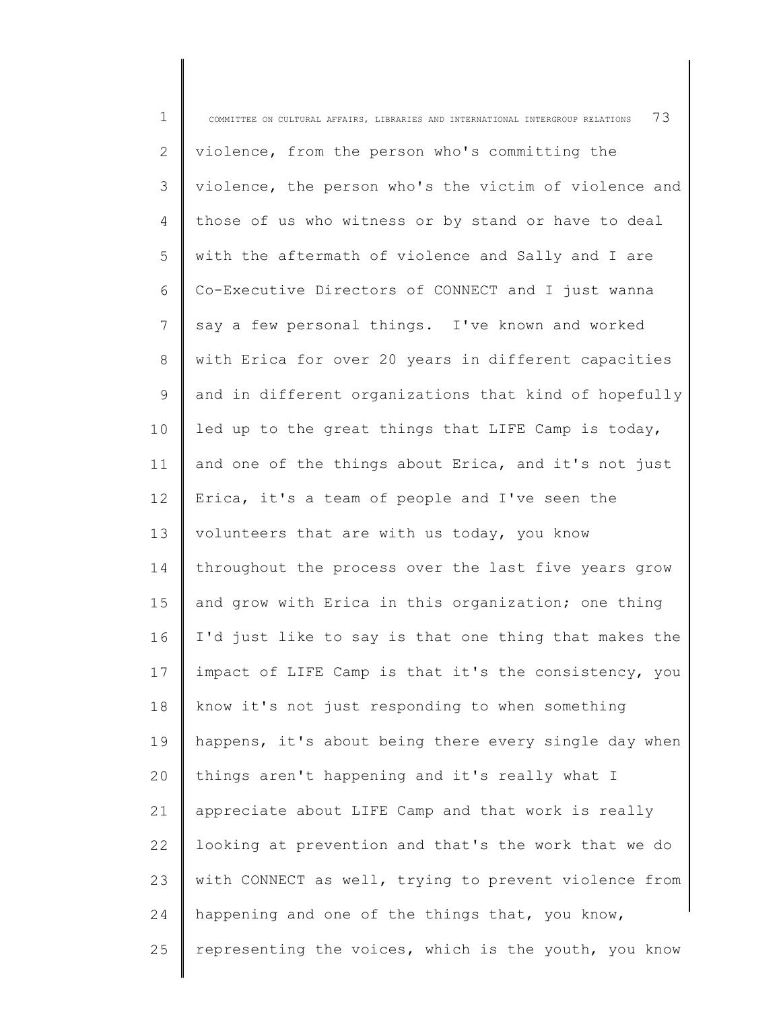| $\mathbf 1$    | 73<br>COMMITTEE ON CULTURAL AFFAIRS, LIBRARIES AND INTERNATIONAL INTERGROUP RELATIONS |
|----------------|---------------------------------------------------------------------------------------|
| 2              | violence, from the person who's committing the                                        |
| 3              | violence, the person who's the victim of violence and                                 |
| $\overline{4}$ | those of us who witness or by stand or have to deal                                   |
| 5              | with the aftermath of violence and Sally and I are                                    |
| 6              | Co-Executive Directors of CONNECT and I just wanna                                    |
| 7              | say a few personal things. I've known and worked                                      |
| 8              | with Erica for over 20 years in different capacities                                  |
| 9              | and in different organizations that kind of hopefully                                 |
| 10             | led up to the great things that LIFE Camp is today,                                   |
| 11             | and one of the things about Erica, and it's not just                                  |
| 12             | Erica, it's a team of people and I've seen the                                        |
| 13             | volunteers that are with us today, you know                                           |
| 14             | throughout the process over the last five years grow                                  |
| 15             | and grow with Erica in this organization; one thing                                   |
| 16             | I'd just like to say is that one thing that makes the                                 |
| 17             | impact of LIFE Camp is that it's the consistency, you                                 |
| 18             | know it's not just responding to when something                                       |
| 19             | happens, it's about being there every single day when                                 |
| 20             | things aren't happening and it's really what I                                        |
| 21             | appreciate about LIFE Camp and that work is really                                    |
| 22             | looking at prevention and that's the work that we do                                  |
| 23             | with CONNECT as well, trying to prevent violence from                                 |
| 24             | happening and one of the things that, you know,                                       |
| 25             | representing the voices, which is the youth, you know                                 |
|                |                                                                                       |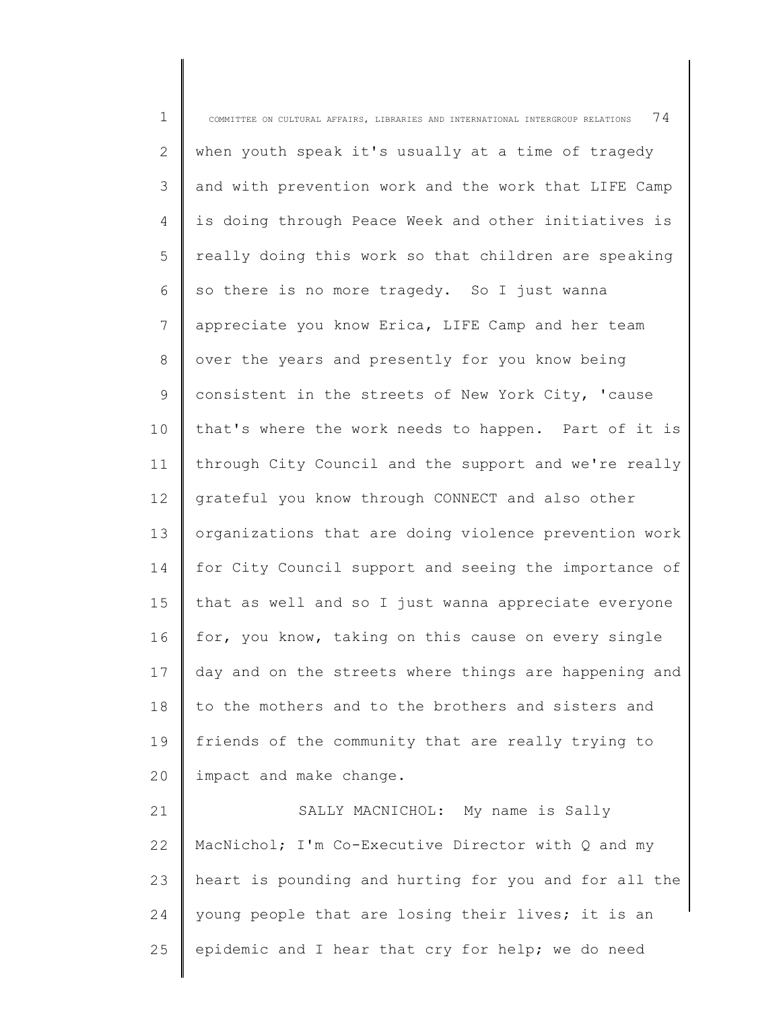| $\mathbf 1$    | 74<br>COMMITTEE ON CULTURAL AFFAIRS, LIBRARIES AND INTERNATIONAL INTERGROUP RELATIONS |
|----------------|---------------------------------------------------------------------------------------|
| $\overline{2}$ | when youth speak it's usually at a time of tragedy                                    |
| 3              | and with prevention work and the work that LIFE Camp                                  |
| $\overline{4}$ | is doing through Peace Week and other initiatives is                                  |
| 5              | really doing this work so that children are speaking                                  |
| 6              | so there is no more tragedy. So I just wanna                                          |
| 7              | appreciate you know Erica, LIFE Camp and her team                                     |
| 8              | over the years and presently for you know being                                       |
| 9              | consistent in the streets of New York City, 'cause                                    |
| 10             | that's where the work needs to happen. Part of it is                                  |
| 11             | through City Council and the support and we're really                                 |
| 12             | grateful you know through CONNECT and also other                                      |
| 13             | organizations that are doing violence prevention work                                 |
| 14             | for City Council support and seeing the importance of                                 |
| 15             | that as well and so I just wanna appreciate everyone                                  |
| 16             | for, you know, taking on this cause on every single                                   |
| 17             | day and on the streets where things are happening and                                 |
| 18             | to the mothers and to the brothers and sisters and                                    |
| 19             | friends of the community that are really trying to                                    |
| 20             | impact and make change.                                                               |
| 21             | SALLY MACNICHOL: My name is Sally                                                     |
| 22             | MacNichol; I'm Co-Executive Director with Q and my                                    |
| 23             | heart is pounding and hurting for you and for all the                                 |
| 24             | young people that are losing their lives; it is an                                    |
| 25             | epidemic and I hear that cry for help; we do need                                     |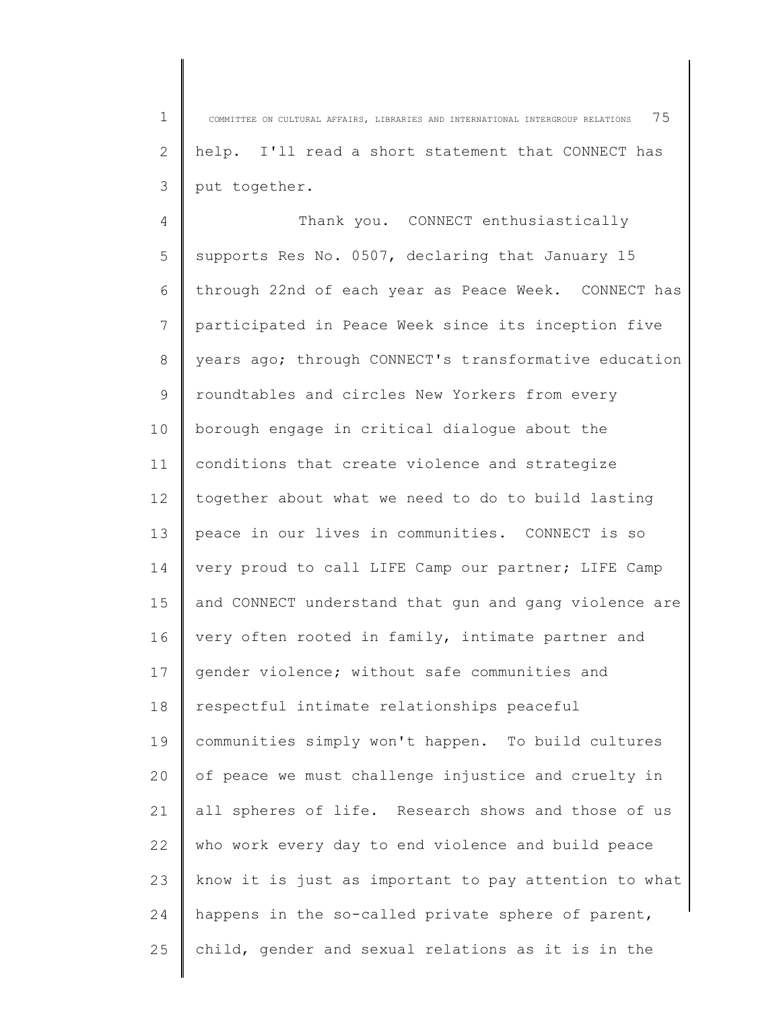1 2 3 COMMITTEE ON CULTURAL AFFAIRS, LIBRARIES AND INTERNATIONAL INTERGROUP RELATIONS 75 help. I'll read a short statement that CONNECT has put together.

4 5 6 7 8 9 10 11 12 13 14 15 16 17 18 19  $20$ 21 22 23 24 25 Thank you. CONNECT enthusiastically supports Res No. 0507, declaring that January 15 through 22nd of each year as Peace Week. CONNECT has participated in Peace Week since its inception five years ago; through CONNECT's transformative education roundtables and circles New Yorkers from every borough engage in critical dialogue about the conditions that create violence and strategize together about what we need to do to build lasting peace in our lives in communities. CONNECT is so very proud to call LIFE Camp our partner; LIFE Camp and CONNECT understand that gun and gang violence are very often rooted in family, intimate partner and gender violence; without safe communities and respectful intimate relationships peaceful communities simply won't happen. To build cultures of peace we must challenge injustice and cruelty in all spheres of life. Research shows and those of us who work every day to end violence and build peace know it is just as important to pay attention to what happens in the so-called private sphere of parent, child, gender and sexual relations as it is in the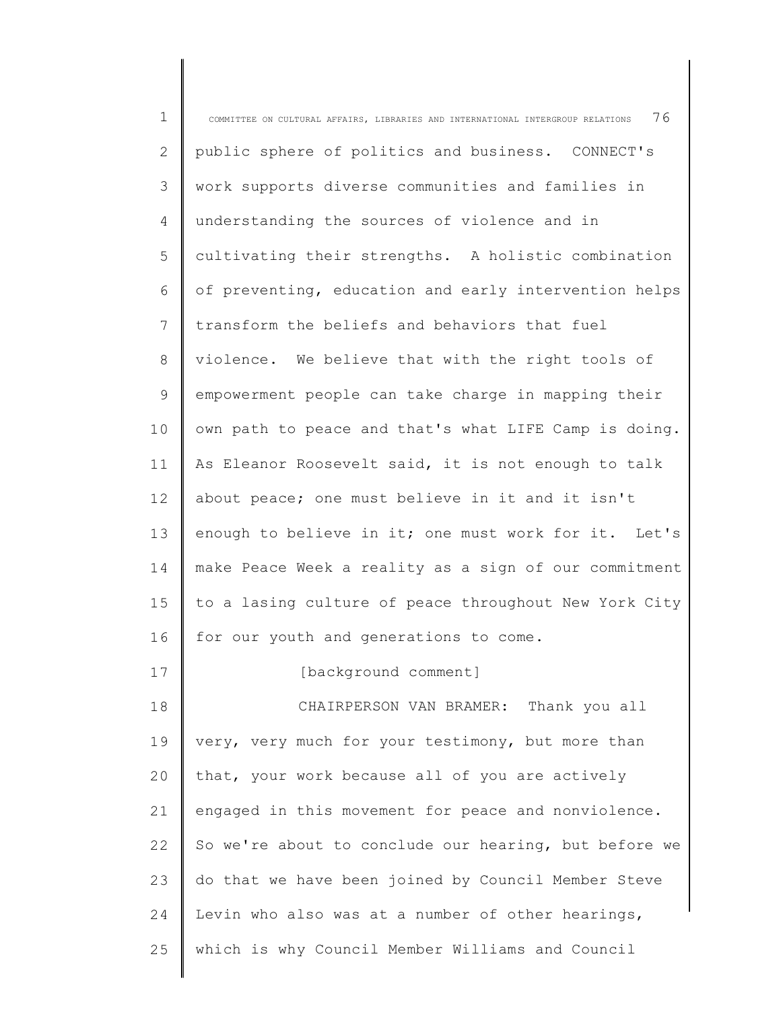| $\mathbf 1$ | 76<br>COMMITTEE ON CULTURAL AFFAIRS, LIBRARIES AND INTERNATIONAL INTERGROUP RELATIONS |
|-------------|---------------------------------------------------------------------------------------|
| 2           | public sphere of politics and business. CONNECT's                                     |
| 3           | work supports diverse communities and families in                                     |
| 4           | understanding the sources of violence and in                                          |
| 5           | cultivating their strengths. A holistic combination                                   |
| 6           | of preventing, education and early intervention helps                                 |
| 7           | transform the beliefs and behaviors that fuel                                         |
| 8           | violence. We believe that with the right tools of                                     |
| 9           | empowerment people can take charge in mapping their                                   |
| 10          | own path to peace and that's what LIFE Camp is doing.                                 |
| 11          | As Eleanor Roosevelt said, it is not enough to talk                                   |
| 12          | about peace; one must believe in it and it isn't                                      |
| 13          | enough to believe in it; one must work for it. Let's                                  |
| 14          | make Peace Week a reality as a sign of our commitment                                 |
| 15          | to a lasing culture of peace throughout New York City                                 |
| 16          | for our youth and generations to come.                                                |
| 17          | [background comment]                                                                  |
| 18          | CHAIRPERSON VAN BRAMER: Thank you all                                                 |
| 19          | very, very much for your testimony, but more than                                     |
| 20          | that, your work because all of you are actively                                       |
| 21          | engaged in this movement for peace and nonviolence.                                   |
| 22          | So we're about to conclude our hearing, but before we                                 |
| 23          | do that we have been joined by Council Member Steve                                   |
| 24          | Levin who also was at a number of other hearings,                                     |
| 25          | which is why Council Member Williams and Council                                      |
|             |                                                                                       |

∥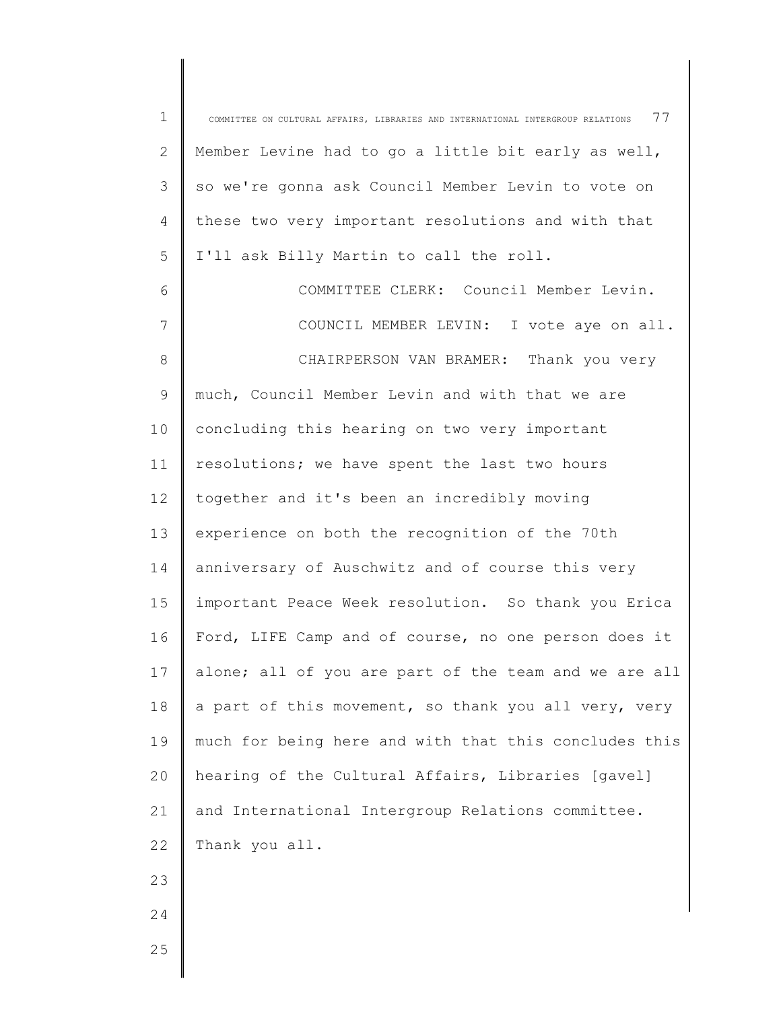| $\mathbf 1$ | 77<br>COMMITTEE ON CULTURAL AFFAIRS, LIBRARIES AND INTERNATIONAL INTERGROUP RELATIONS |
|-------------|---------------------------------------------------------------------------------------|
| 2           | Member Levine had to go a little bit early as well,                                   |
| 3           | so we're gonna ask Council Member Levin to vote on                                    |
| 4           | these two very important resolutions and with that                                    |
| 5           | I'll ask Billy Martin to call the roll.                                               |
| 6           | COMMITTEE CLERK: Council Member Levin.                                                |
| 7           | COUNCIL MEMBER LEVIN: I vote aye on all.                                              |
| 8           | CHAIRPERSON VAN BRAMER: Thank you very                                                |
| 9           | much, Council Member Levin and with that we are                                       |
| 10          | concluding this hearing on two very important                                         |
| 11          | resolutions; we have spent the last two hours                                         |
| 12          | together and it's been an incredibly moving                                           |
| 13          | experience on both the recognition of the 70th                                        |
| 14          | anniversary of Auschwitz and of course this very                                      |
| 15          | important Peace Week resolution. So thank you Erica                                   |
| 16          | Ford, LIFE Camp and of course, no one person does it                                  |
| 17          | alone; all of you are part of the team and we are all                                 |
| 18          | a part of this movement, so thank you all very, very                                  |
| 19          | much for being here and with that this concludes this                                 |
| 20          | hearing of the Cultural Affairs, Libraries [gavel]                                    |
| 21          | and International Intergroup Relations committee.                                     |
| 22          | Thank you all.                                                                        |
| 23          |                                                                                       |
| 24          |                                                                                       |
| 25          |                                                                                       |
|             |                                                                                       |

∥